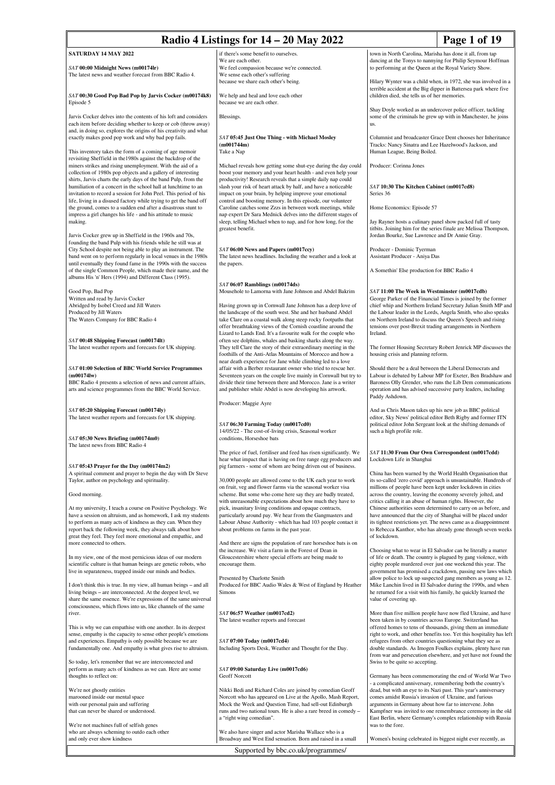| Radio 4 Listings for $14 - 20$ May 2022<br>Page 1 of 19                                                                             |                                                                                                                                    |                                                                                                                                      |  |
|-------------------------------------------------------------------------------------------------------------------------------------|------------------------------------------------------------------------------------------------------------------------------------|--------------------------------------------------------------------------------------------------------------------------------------|--|
| SATURDAY 14 MAY 2022                                                                                                                | if there's some benefit to ourselves.                                                                                              | town in North Carolina, Marisha has done it all, from tap                                                                            |  |
| SAT 00:00 Midnight News (m00174lr)                                                                                                  | We are each other.<br>We feel compassion because we're connected.                                                                  | dancing at the Tonys to nannying for Philip Seymour Hoffman<br>to performing at the Queen at the Royal Variety Show.                 |  |
| The latest news and weather forecast from BBC Radio 4.                                                                              | We sense each other's suffering<br>because we share each other's being.                                                            | Hilary Wynter was a child when, in 1972, she was involved in a                                                                       |  |
| SAT 00:30 Good Pop Bad Pop by Jarvis Cocker (m00174k8)                                                                              | We help and heal and love each other                                                                                               | terrible accident at the Big dipper in Battersea park where five<br>children died, she tells us of her memories.                     |  |
| Episode 5                                                                                                                           | because we are each other.                                                                                                         |                                                                                                                                      |  |
| Jarvis Cocker delves into the contents of his loft and considers                                                                    | Blessings.                                                                                                                         | Shay Doyle worked as an undercover police officer, tackling<br>some of the criminals he grew up with in Manchester, he joins         |  |
| each item before deciding whether to keep or cob (throw away)<br>and, in doing so, explores the origins of his creativity and what  |                                                                                                                                    | us.                                                                                                                                  |  |
| exactly makes good pop work and why bad pop fails.                                                                                  | SAT 05:45 Just One Thing - with Michael Mosley<br>(m001744m)                                                                       | Columnist and broadcaster Grace Dent chooses her Inheritance<br>Tracks: Nancy Sinatra and Lee Hazelwood's Jackson, and               |  |
| This inventory takes the form of a coming of age memoir<br>revisiting Sheffield in the 1980s against the backdrop of the            | Take a Nap                                                                                                                         | Human League, Being Boiled.                                                                                                          |  |
| miners strikes and rising unemployment. With the aid of a                                                                           | Michael reveals how getting some shut-eye during the day could                                                                     | Producer: Corinna Jones                                                                                                              |  |
| collection of 1980s pop objects and a gallery of interesting<br>shirts, Jarvis charts the early days of the band Pulp, from the     | boost your memory and your heart health - and even help your<br>productivity! Research reveals that a simple daily nap could       |                                                                                                                                      |  |
| humiliation of a concert in the school hall at lunchtime to an<br>invitation to record a session for John Peel. This period of his  | slash your risk of heart attack by half, and have a noticeable<br>impact on your brain, by helping improve your emotional          | SAT 10:30 The Kitchen Cabinet (m0017cd8)<br>Series 36                                                                                |  |
| life, living in a disused factory while trying to get the band off<br>the ground, comes to a sudden end after a disastrous stunt to | control and boosting memory. In this episode, our volunteer<br>Caroline catches some Zzzs in between work meetings, while          | Home Economics: Episode 57                                                                                                           |  |
| impress a girl changes his life - and his attitude to music<br>making.                                                              | nap expert Dr Sara Mednick delves into the different stages of<br>sleep, telling Michael when to nap, and for how long, for the    | Jay Rayner hosts a culinary panel show packed full of tasty                                                                          |  |
|                                                                                                                                     | greatest benefit.                                                                                                                  | titbits. Joining him for the series finale are Melissa Thompson,<br>Jordan Bourke, Sue Lawrence and Dr Annie Gray.                   |  |
| Jarvis Cocker grew up in Sheffield in the 1960s and 70s,<br>founding the band Pulp with his friends while he still was at           |                                                                                                                                    |                                                                                                                                      |  |
| City School despite not being able to play an instrument. The<br>band went on to perform regularly in local venues in the 1980s     | SAT 06:00 News and Papers (m0017ccy)<br>The latest news headlines. Including the weather and a look at                             | Producer - Dominic Tyerman<br>Assistant Producer - Aniya Das                                                                         |  |
| until eventually they found fame in the 1990s with the success<br>of the single Common People, which made their name, and the       | the papers.                                                                                                                        | A Somethin' Else production for BBC Radio 4                                                                                          |  |
| albums His 'n' Hers (1994) and Different Class (1995).                                                                              | SAT 06:07 Ramblings (m00174ds)                                                                                                     |                                                                                                                                      |  |
| Good Pop, Bad Pop<br>Written and read by Jarvis Cocker                                                                              | Mousehole to Lamorna with Jane Johnson and Abdel Bakrim                                                                            | SAT 11:00 The Week in Westminster (m0017cdb)<br>George Parker of the Financial Times is joined by the former                         |  |
| Abridged by Isobel Creed and Jill Waters                                                                                            | Having grown up in Cornwall Jane Johnson has a deep love of                                                                        | chief whip and Northern Ireland Secretary Julian Smith MP and                                                                        |  |
| Produced by Jill Waters<br>The Waters Company for BBC Radio 4                                                                       | the landscape of the south west. She and her husband Abdel<br>take Clare on a coastal walk along steep rocky footpaths that        | the Labour leader in the Lords, Angela Smith, who also speaks<br>on Northern Ireland to discuss the Queen's Speech and rising        |  |
|                                                                                                                                     | offer breathtaking views of the Cornish coastline around the<br>Lizard to Lands End. It's a favourite walk for the couple who      | tensions over post-Brexit trading arrangements in Northern<br>Ireland.                                                               |  |
| SAT 00:48 Shipping Forecast (m00174lt)<br>The latest weather reports and forecasts for UK shipping.                                 | often see dolphins, whales and basking sharks along the way.<br>They tell Clare the story of their extraordinary meeting in the    | The former Housing Secretary Robert Jenrick MP discusses the                                                                         |  |
|                                                                                                                                     | foothills of the Anti-Atlas Mountains of Morocco and how a<br>near death experience for Jane while climbing led to a love          | housing crisis and planning reform.                                                                                                  |  |
| SAT 01:00 Selection of BBC World Service Programmes<br>(m00174lw)                                                                   | affair with a Berber restaurant owner who tried to rescue her.<br>Seventeen years on the couple live mainly in Cornwall but try to | Should there be a deal between the Liberal Democrats and<br>Labour is debated by Labour MP for Exeter, Ben Bradshaw and              |  |
| BBC Radio 4 presents a selection of news and current affairs,                                                                       | divide their time between there and Morocco. Jane is a writer                                                                      | Baroness Olly Grender, who runs the Lib Dem communications                                                                           |  |
| arts and science programmes from the BBC World Service.                                                                             | and publisher while Abdel is now developing his artwork.                                                                           | operation and has advised successive party leaders, including<br>Paddy Ashdown.                                                      |  |
| SAT 05:20 Shipping Forecast (m00174ly)                                                                                              | Producer: Maggie Ayre                                                                                                              | And as Chris Mason takes up his new job as BBC political                                                                             |  |
| The latest weather reports and forecasts for UK shipping.                                                                           | SAT 06:30 Farming Today (m0017cd0)                                                                                                 | editor, Sky News' political editor Beth Rigby and former ITN<br>political editor John Sergeant look at the shifting demands of       |  |
| SAT 05:30 News Briefing (m00174m0)                                                                                                  | 14/05/22 - The cost-of-living crisis, Seasonal worker<br>conditions, Horseshoe bats                                                | such a high profile role.                                                                                                            |  |
| The latest news from BBC Radio 4                                                                                                    | The price of fuel, fertiliser and feed has risen significantly. We                                                                 | SAT 11:30 From Our Own Correspondent (m0017cdd)                                                                                      |  |
| SAT 05:43 Prayer for the Day (m00174m2)                                                                                             | hear what impact that is having on free range egg producers and<br>pig farmers - some of whom are being driven out of business.    | Lockdown Life in Shanghai                                                                                                            |  |
| A spiritual comment and prayer to begin the day with Dr Steve<br>Taylor, author on psychology and spirituality.                     | 30,000 people are allowed come to the UK each year to work                                                                         | China has been warned by the World Health Organisation that<br>its so-called 'zero covid' approach is unsustainable. Hundreds of     |  |
| Good morning.                                                                                                                       | on fruit, veg and flower farms via the seasonal worker visa<br>scheme. But some who come here say they are badly treated,          | millions of people have been kept under lockdown in cities<br>across the country, leaving the economy severely jolted, and           |  |
| At my university, I teach a course on Positive Psychology. We                                                                       | with unreasonable expectations about how much they have to                                                                         | critics calling it an abuse of human rights. However, the                                                                            |  |
| have a session on altruism, and as homework, I ask my students                                                                      | pick, insanitary living conditions and opaque contracts,<br>particularly around pay. We hear from the Gangmasters and              | Chinese authorities seem determined to carry on as before, and<br>have announced that the city of Shanghai will be placed under      |  |
| to perform as many acts of kindness as they can. When they<br>report back the following week, they always talk about how            | Labour Abuse Authority - which has had 103 people contact it<br>about problems on farms in the past year.                          | its tightest restrictions yet. The news came as a disappointment<br>to Rebecca Kanthor, who has already gone through seven weeks     |  |
| great they feel. They feel more emotional and empathic, and<br>more connected to others.                                            | And there are signs the population of rare horseshoe bats is on                                                                    | of lockdown.                                                                                                                         |  |
| In my view, one of the most pernicious ideas of our modern                                                                          | the increase. We visit a farm in the Forest of Dean in<br>Gloucestershire where special efforts are being made to                  | Choosing what to wear in El Salvador can be literally a matter<br>of life or death. The country is plagued by gang violence, with    |  |
| scientific culture is that human beings are genetic robots, who<br>live in separateness, trapped inside our minds and bodies.       | encourage them.                                                                                                                    | eighty people murdered over just one weekend this year. The<br>government has promised a crackdown, passing new laws which           |  |
| I don't think this is true. In my view, all human beings - and all                                                                  | Presented by Charlotte Smith<br>Produced for BBC Audio Wales & West of England by Heather                                          | allow police to lock up suspected gang members as young as 12.<br>Mike Lanchin lived in El Salvador during the 1990s, and when       |  |
| living beings - are interconnected. At the deepest level, we<br>share the same essence. We're expressions of the same universal     | <b>Simons</b>                                                                                                                      | he returned for a visit with his family, he quickly learned the<br>value of covering up.                                             |  |
| consciousness, which flows into us, like channels of the same                                                                       |                                                                                                                                    |                                                                                                                                      |  |
| river.                                                                                                                              | SAT 06:57 Weather (m0017cd2)<br>The latest weather reports and forecast                                                            | More than five million people have now fled Ukraine, and have<br>been taken in by countries across Europe. Switzerland has           |  |
| This is why we can empathise with one another. In its deepest<br>sense, empathy is the capacity to sense other people's emotions    |                                                                                                                                    | offered homes to tens of thousands, giving them an immediate<br>right to work, and other benefits too. Yet this hospitality has left |  |
| and experiences. Empathy is only possible because we are<br>fundamentally one. And empathy is what gives rise to altruism.          | SAT 07:00 Today (m0017cd4)<br>Including Sports Desk, Weather and Thought for the Day.                                              | refugees from other countries questioning what they see as<br>double standards. As Imogen Foulkes explains, plenty have run          |  |
| So today, let's remember that we are interconnected and                                                                             |                                                                                                                                    | from war and persecution elsewhere, and yet have not found the<br>Swiss to be quite so accepting.                                    |  |
| perform as many acts of kindness as we can. Here are some<br>thoughts to reflect on:                                                | SAT 09:00 Saturday Live (m0017cd6)<br>Geoff Norcott                                                                                | Germany has been commemorating the end of World War Two                                                                              |  |
| We're not ghostly entities                                                                                                          | Nikki Bedi and Richard Coles are joined by comedian Geoff                                                                          | - a complicated anniversary, remembering both the country's<br>dead, but with an eye to its Nazi past. This year's anniversary       |  |
| marooned inside our mental space<br>with our personal pain and suffering                                                            | Norcott who has appeared on Live at the Apollo, Mash Report,<br>Mock the Week and Question Time, had sell-out Edinburgh            | comes amidst Russia's invasion of Ukraine, and furious<br>arguments in Germany about how far to intervene. John                      |  |
| that can never be shared or understood.                                                                                             | runs and two national tours. He is also a rare breed in comedy -                                                                   | Kampfner was invited to one remembrance ceremony in the old                                                                          |  |
| We're not machines full of selfish genes                                                                                            | a "right wing comedian".                                                                                                           | East Berlin, where Germany's complex relationship with Russia<br>was to the fore.                                                    |  |
| who are always scheming to outdo each other<br>and only ever show kindness                                                          | We also have singer and actor Marisha Wallace who is a<br>Broadway and West End sensation. Born and raised in a small              | Women's boxing celebrated its biggest night ever recently, as                                                                        |  |
| Supported by bbc.co.uk/programmes/                                                                                                  |                                                                                                                                    |                                                                                                                                      |  |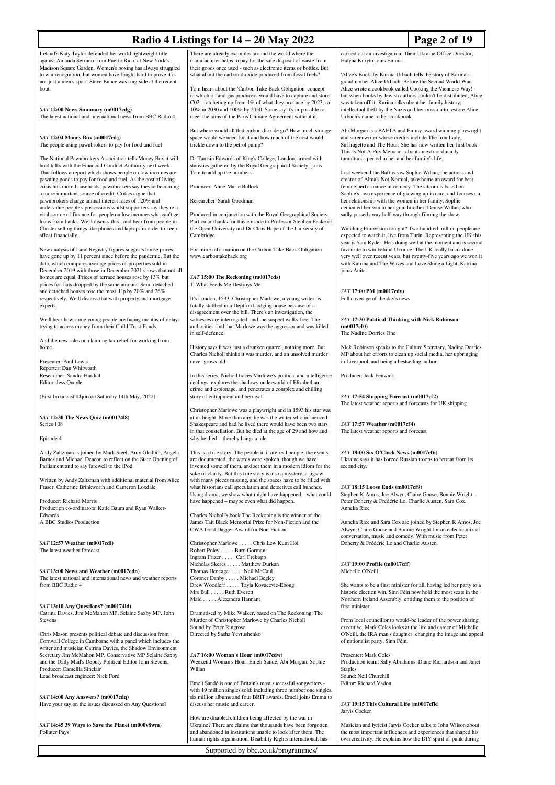| Radio 4 Listings for 14 - 20 May 2022<br>Page 2 of 19                                                                                                                                                                                                                                                                                                                                                                                                                                                                                                                                                                                                                                                                                          |                                                                                                                                                                                                                                                                                                                                                                                                                                    |                                                                                                                                                                                                                                                                                                                                                                                                                 |                                                                                                                                                                                                   |
|------------------------------------------------------------------------------------------------------------------------------------------------------------------------------------------------------------------------------------------------------------------------------------------------------------------------------------------------------------------------------------------------------------------------------------------------------------------------------------------------------------------------------------------------------------------------------------------------------------------------------------------------------------------------------------------------------------------------------------------------|------------------------------------------------------------------------------------------------------------------------------------------------------------------------------------------------------------------------------------------------------------------------------------------------------------------------------------------------------------------------------------------------------------------------------------|-----------------------------------------------------------------------------------------------------------------------------------------------------------------------------------------------------------------------------------------------------------------------------------------------------------------------------------------------------------------------------------------------------------------|---------------------------------------------------------------------------------------------------------------------------------------------------------------------------------------------------|
| Ireland's Katy Taylor defended her world lightweight title<br>against Amanda Serrano from Puerto Rico, at New York's<br>Madison Square Garden. Women's boxing has always struggled<br>to win recognition, but women have fought hard to prove it is<br>not just a men's sport. Steve Bunce was ring-side at the recent<br>bout.                                                                                                                                                                                                                                                                                                                                                                                                                | There are already examples around the world where the<br>manufacturer helps to pay for the safe disposal of waste from<br>their goods once used - such as electronic items or bottles. But<br>what about the carbon dioxide produced from fossil fuels?<br>Tom hears about the 'Carbon Take Back Obligation' concept -<br>in which oil and gas producers would have to capture and store                                           | carried out an investigation. Their Ukraine Office Director,<br>Halyna Kurylo joins Emma.<br>'Alice's Book' by Karina Urbach tells the story of Karina's<br>grandmother Alice Urbach. Before the Second World War<br>Alice wrote a cookbook called Cooking the Viennese Way! -<br>but when books by Jewish authors couldn't be distributed, Alice                                                               |                                                                                                                                                                                                   |
| SAT 12:00 News Summary (m0017cdg)<br>The latest national and international news from BBC Radio 4.                                                                                                                                                                                                                                                                                                                                                                                                                                                                                                                                                                                                                                              | C02 - ratcheting up from 1% of what they produce by 2023, to<br>10% in 2030 and 100% by 2050. Some say it's impossible to<br>meet the aims of the Paris Climate Agreement without it.                                                                                                                                                                                                                                              | was taken off it. Karina talks about her family history,<br>intellectual theft by the Nazis and her mission to restore Alice<br>Urbach's name to her cookbook.                                                                                                                                                                                                                                                  |                                                                                                                                                                                                   |
| SAT 12:04 Money Box (m0017cdj)<br>The people using pawnbrokers to pay for food and fuel                                                                                                                                                                                                                                                                                                                                                                                                                                                                                                                                                                                                                                                        | But where would all that carbon dioxide go? How much storage<br>space would we need for it and how much of the cost would<br>trickle down to the petrol pump?                                                                                                                                                                                                                                                                      | Abi Morgan is a BAFTA and Emmy-award winning playwright<br>and screenwriter whose credits include The Iron Lady,<br>Suffragette and The Hour. She has now written her first book -<br>This Is Not A Pity Memoir - about an extraordinarily                                                                                                                                                                      |                                                                                                                                                                                                   |
| The National Pawnbrokers Association tells Money Box it will<br>hold talks with the Financial Conduct Authority next week.<br>That follows a report which shows people on low incomes are<br>pawning goods to pay for food and fuel. As the cost of living<br>crisis hits more households, pawnbrokers say they're becoming<br>a more important source of credit. Critics argue that<br>pawnbrokers charge annual interest rates of 120% and<br>undervalue people's possessions whilst supporters say they're a<br>vital source of finance for people on low incomes who can't get<br>loans from banks. We'll discuss this - and hear from people in<br>Chester selling things like phones and laptops in order to keep<br>afloat financially. | Dr Tamsin Edwards of King's College, London, armed with<br>statistics gathered by the Royal Geographical Society, joins<br>Tom to add up the numbers.<br>Producer: Anne-Marie Bullock<br>Researcher: Sarah Goodman<br>Produced in conjunction with the Royal Geographical Society.<br>Particular thanks for this episode to Professor Stephen Peake of<br>the Open University and Dr Chris Hope of the University of<br>Cambridge. | tumultuous period in her and her family's life.<br>Last weekend the Baftas saw Sophie Willan, the actress and<br>creator of Alma's Not Normal, take home an award for best<br>female performance in comedy. The sitcom is based on<br>her relationship with the women in her family. Sophie<br>dedicated her win to her grandmother, Denise Willan, who<br>sadly passed away half-way through filming the show. | Sophie's own experience of growing up in care, and focuses on<br>Watching Eurovision tonight? Two hundred million people are<br>expected to watch it, live from Turin. Representing the UK this   |
| New analysis of Land Registry figures suggests house prices<br>have gone up by 11 percent since before the pandemic. But the<br>data, which compares average prices of properties sold in<br>December 2019 with those in December 2021 shows that not all<br>homes are equal. Prices of terrace houses rose by 13% but<br>prices for flats dropped by the same amount. Semi detached                                                                                                                                                                                                                                                                                                                                                           | For more information on the Carbon Take Back Obligation<br>www.carbontakeback.org<br>SAT 15:00 The Reckoning (m0017cds)<br>1. What Feeds Me Destroys Me                                                                                                                                                                                                                                                                            | favourite to win behind Ukraine. The UK really hasn't done<br>joins Anita.                                                                                                                                                                                                                                                                                                                                      | year is Sam Ryder. He's doing well at the moment and is second<br>very well over recent years, but twenty-five years ago we won it<br>with Katrina and The Waves and Love Shine a Light. Katrina  |
| and detached houses rose the most. Up by 20% and 26%<br>respectively. We'll discuss that with property and mortgage<br>experts.<br>We'll hear how some young people are facing months of delays<br>trying to access money from their Child Trust Funds.                                                                                                                                                                                                                                                                                                                                                                                                                                                                                        | It's London, 1593. Christopher Marlowe, a young writer, is<br>fatally stabbed in a Deptford lodging house because of a<br>disagreement over the bill. There's an investigation, the<br>witnesses are interrogated, and the suspect walks free. The<br>authorities find that Marlowe was the aggressor and was killed                                                                                                               | SAT 17:00 PM (m0017cdy)<br>Full coverage of the day's news<br>SAT 17:30 Political Thinking with Nick Robinson<br>(m0017cf0)                                                                                                                                                                                                                                                                                     |                                                                                                                                                                                                   |
| And the new rules on claiming tax relief for working from<br>home.                                                                                                                                                                                                                                                                                                                                                                                                                                                                                                                                                                                                                                                                             | in self-defence.<br>History says it was just a drunken quarrel, nothing more. But<br>Charles Nicholl thinks it was murder, and an unsolved murder                                                                                                                                                                                                                                                                                  | The Nadine Dorries One                                                                                                                                                                                                                                                                                                                                                                                          | Nick Robinson speaks to the Culture Secretary, Nadine Dorries<br>MP about her efforts to clean up social media, her upbringing                                                                    |
| Presenter: Paul Lewis<br>Reporter: Dan Whitworth<br>Researcher: Sandra Hardial<br>Editor: Jess Quayle<br>(First broadcast 12pm on Saturday 14th May, 2022)                                                                                                                                                                                                                                                                                                                                                                                                                                                                                                                                                                                     | never grows old.<br>In this series, Nicholl traces Marlowe's political and intelligence<br>dealings, explores the shadowy underworld of Elizabethan<br>crime and espionage, and penetrates a complex and chilling<br>story of entrapment and betrayal.                                                                                                                                                                             | in Liverpool, and being a bestselling author.<br>Producer: Jack Fenwick.<br>SAT 17:54 Shipping Forecast (m0017cf2)                                                                                                                                                                                                                                                                                              |                                                                                                                                                                                                   |
| SAT 12:30 The News Quiz (m0017418)<br>Series 108                                                                                                                                                                                                                                                                                                                                                                                                                                                                                                                                                                                                                                                                                               | Christopher Marlowe was a playwright and in 1593 his star was<br>at its height. More than any, he was the writer who influenced<br>Shakespeare and had he lived there would have been two stars<br>in that constellation. But he died at the age of 29 and how and                                                                                                                                                                 | The latest weather reports and forecasts for UK shipping.<br>SAT 17:57 Weather (m0017cf4)<br>The latest weather reports and forecast                                                                                                                                                                                                                                                                            |                                                                                                                                                                                                   |
| Episode 4<br>Andy Zaltzman is joined by Mark Steel, Amy Gledhill, Angela<br>Barnes and Michael Deacon to reflect on the State Opening of<br>Parliament and to say farewell to the iPod.                                                                                                                                                                                                                                                                                                                                                                                                                                                                                                                                                        | why he died - thereby hangs a tale.<br>This is a true story. The people in it are real people, the events<br>are documented, the words were spoken, though we have<br>invented some of them, and set them in a modern idiom for the                                                                                                                                                                                                | SAT 18:00 Six O'Clock News (m0017cf6)<br>Ukraine says it has forced Russian troops to retreat from its<br>second city.                                                                                                                                                                                                                                                                                          |                                                                                                                                                                                                   |
| Written by Andy Zaltzman with additional material from Alice<br>Fraser, Catherine Brinkworth and Cameron Loxdale.<br>Producer: Richard Morris                                                                                                                                                                                                                                                                                                                                                                                                                                                                                                                                                                                                  | sake of clarity. But this true story is also a mystery, a jigsaw<br>with many pieces missing, and the spaces have to be filled with<br>what historians call speculation and detectives call hunches.<br>Using drama, we show what might have happened - what could<br>have happened – maybe even what did happen.                                                                                                                  | SAT 18:15 Loose Ends (m0017cf9)<br>Stephen K Amos, Joe Alwyn, Claire Goose, Bonnie Wright,<br>Peter Doherty & Frédéric Lo, Charlie Austen, Sara Cox,                                                                                                                                                                                                                                                            |                                                                                                                                                                                                   |
| Production co-ordinators: Katie Baum and Ryan Walker-<br>Edwards<br>A BBC Studios Production                                                                                                                                                                                                                                                                                                                                                                                                                                                                                                                                                                                                                                                   | Charles Nicholl's book The Reckoning is the winner of the<br>James Tait Black Memorial Prize for Non-Fiction and the<br>CWA Gold Dagger Award for Non-Fiction.                                                                                                                                                                                                                                                                     | Anneka Rice<br>conversation, music and comedy. With music from Peter                                                                                                                                                                                                                                                                                                                                            | Anneka Rice and Sara Cox are joined by Stephen K Amos, Joe<br>Alwyn, Claire Goose and Bonnie Wright for an eclectic mix of                                                                        |
| SAT 12:57 Weather (m0017cdl)<br>The latest weather forecast                                                                                                                                                                                                                                                                                                                                                                                                                                                                                                                                                                                                                                                                                    | Christopher Marlowe Chris Lew Kum Hoi<br>Robert Poley Burn Gorman<br>Ingram Frizer Carl Prekopp<br>Nicholas Skeres Matthew Durkan                                                                                                                                                                                                                                                                                                  | Doherty & Frédéric Lo and Charlie Austen.<br>$SAT$ 19:00 Profile (m0017cff)                                                                                                                                                                                                                                                                                                                                     |                                                                                                                                                                                                   |
| SAT 13:00 News and Weather (m0017cdn)<br>The latest national and international news and weather reports<br>from BBC Radio 4                                                                                                                                                                                                                                                                                                                                                                                                                                                                                                                                                                                                                    | Thomas Heneage Neil McCaul<br>Coroner Danby Michael Begley<br>Drew Woodleff Tayla Kovacevic-Ebong<br>Mrs Bull Ruth Everett<br>Maid Alexandra Hannant                                                                                                                                                                                                                                                                               | Michelle O'Neill<br>Northern Ireland Assembly, entitling them to the position of                                                                                                                                                                                                                                                                                                                                | She wants to be a first minister for all, having led her party to a<br>historic election win. Sinn Féin now hold the most seats in the                                                            |
| SAT 13:10 Any Questions? (m00174ld)<br>Catrina Davies, Jim McMahon MP, Selaine Saxby MP, John<br>Stevens<br>Chris Mason presents political debate and discussion from                                                                                                                                                                                                                                                                                                                                                                                                                                                                                                                                                                          | Dramatised by Mike Walker, based on The Reckoning: The<br>Murder of Christopher Marlowe by Charles Nicholl<br>Sound by Peter Ringrose<br>Directed by Sasha Yevtushenko                                                                                                                                                                                                                                                             | first minister.                                                                                                                                                                                                                                                                                                                                                                                                 | From local councillor to would-be leader of the power sharing<br>executive, Mark Coles looks at the life and career of Michelle<br>O'Neill, the IRA man's daughter, changing the image and appeal |
| Cornwall College in Camborne with a panel which includes the<br>writer and musician Catrina Davies, the Shadow Environment<br>Secretary Jim McMahon MP, Conservative MP Selaine Saxby<br>and the Daily Mail's Deputy Political Editor John Stevens.<br>Producer: Camellia Sinclair                                                                                                                                                                                                                                                                                                                                                                                                                                                             | SAT 16:00 Woman's Hour (m0017cdw)<br>Weekend Woman's Hour: Emeli Sandé, Abi Morgan, Sophie<br>Willan                                                                                                                                                                                                                                                                                                                               | of nationalist party, Sinn Féin.<br>Presenter: Mark Coles<br><b>Staples</b>                                                                                                                                                                                                                                                                                                                                     | Production team: Sally Abrahams, Diane Richardson and Janet                                                                                                                                       |
| Lead broadcast engineer: Nick Ford<br>SAT 14:00 Any Answers? (m0017cdq)<br>Have your say on the issues discussed on Any Questions?                                                                                                                                                                                                                                                                                                                                                                                                                                                                                                                                                                                                             | Emeli Sandé is one of Britain's most successful songwriters -<br>with 19 million singles sold; including three number one singles,<br>six million albums and four BRIT awards. Emeli joins Emma to<br>discuss her music and career.                                                                                                                                                                                                | Sound: Neil Churchill<br>Editor: Richard Vadon<br>SAT 19:15 This Cultural Life (m0017cfk)                                                                                                                                                                                                                                                                                                                       |                                                                                                                                                                                                   |
| SAT 14:45 39 Ways to Save the Planet (m000v8wm)<br>Polluter Pays                                                                                                                                                                                                                                                                                                                                                                                                                                                                                                                                                                                                                                                                               | How are disabled children being affected by the war in<br>Ukraine? There are claims that thousands have been forgotten<br>and abandoned in institutions unable to look after them. The<br>human rights organisation, Disability Rights International, has                                                                                                                                                                          | Jarvis Cocker                                                                                                                                                                                                                                                                                                                                                                                                   | Musician and lyricist Jarvis Cocker talks to John Wilson about<br>the most important influences and experiences that shaped his<br>own creativity. He explains how the DIY spirit of punk during  |
| Supported by bbc.co.uk/programmes/                                                                                                                                                                                                                                                                                                                                                                                                                                                                                                                                                                                                                                                                                                             |                                                                                                                                                                                                                                                                                                                                                                                                                                    |                                                                                                                                                                                                                                                                                                                                                                                                                 |                                                                                                                                                                                                   |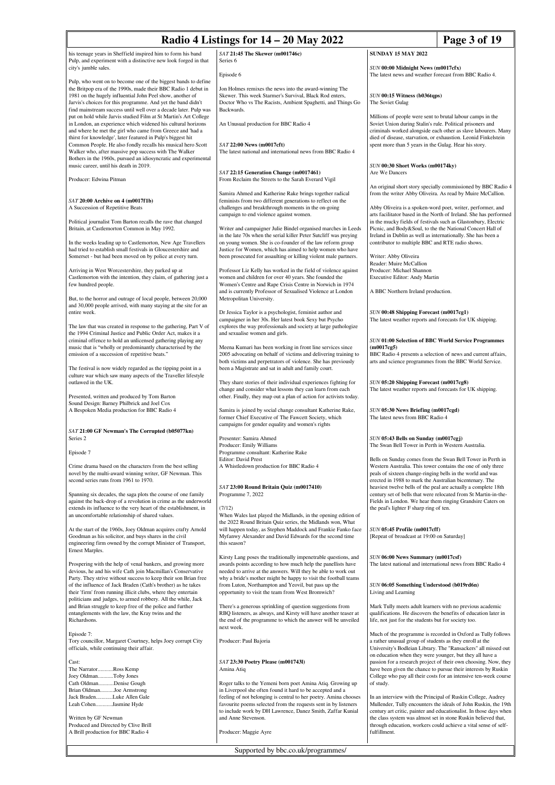| Radio 4 Listings for $14 - 20$ May 2022<br>Page 3 of 19                                                                                                                                                                                                                                                                          |                                                                                                                                                                                                               |                                                                                                                                                                                   |                                                                                                                                                                                                       |
|----------------------------------------------------------------------------------------------------------------------------------------------------------------------------------------------------------------------------------------------------------------------------------------------------------------------------------|---------------------------------------------------------------------------------------------------------------------------------------------------------------------------------------------------------------|-----------------------------------------------------------------------------------------------------------------------------------------------------------------------------------|-------------------------------------------------------------------------------------------------------------------------------------------------------------------------------------------------------|
| his teenage years in Sheffield inspired him to form his band                                                                                                                                                                                                                                                                     | SAT 21:45 The Skewer (m001746c)                                                                                                                                                                               | <b>SUNDAY 15 MAY 2022</b>                                                                                                                                                         |                                                                                                                                                                                                       |
| Pulp, and experiment with a distinctive new look forged in that<br>city's jumble sales.                                                                                                                                                                                                                                          | Series <sub>6</sub><br>Episode 6                                                                                                                                                                              | SUN 00:00 Midnight News (m0017cfx)<br>The latest news and weather forecast from BBC Radio 4.                                                                                      |                                                                                                                                                                                                       |
| Pulp, who went on to become one of the biggest bands to define<br>the Britpop era of the 1990s, made their BBC Radio 1 debut in<br>1981 on the hugely influential John Peel show, another of<br>Jarvis's choices for this programme. And yet the band didn't<br>find mainstream success until well over a decade later. Pulp was | Jon Holmes remixes the news into the award-winning The<br>Skewer. This week Starmer's Survival, Black Rod enters,<br>Doctor Who vs The Racists, Ambient Spaghetti, and Things Go<br>Backwards.                | SUN 00:15 Witness (b036tqps)<br>The Soviet Gulag                                                                                                                                  |                                                                                                                                                                                                       |
| put on hold while Jarvis studied Film at St Martin's Art College<br>in London, an experience which widened his cultural horizons<br>and where he met the girl who came from Greece and 'had a<br>thirst for knowledge', later featured in Pulp's biggest hit<br>Common People. He also fondly recalls his musical hero Scott     | An Unusual production for BBC Radio 4<br>SAT 22:00 News (m0017cft)                                                                                                                                            | Millions of people were sent to brutal labour camps in the<br>Soviet Union during Stalin's rule. Political prisoners and<br>spent more than 5 years in the Gulag. Hear his story. | criminals worked alongside each other as slave labourers. Many<br>died of disease, starvation, or exhaustion. Leonid Finkelstein                                                                      |
| Walker who, after massive pop success with The Walker<br>Bothers in the 1960s, pursued an idiosyncratic and experimental<br>music career, until his death in 2019.                                                                                                                                                               | The latest national and international news from BBC Radio 4                                                                                                                                                   | SUN 00:30 Short Works (m00174ky)                                                                                                                                                  |                                                                                                                                                                                                       |
| Producer: Edwina Pitman                                                                                                                                                                                                                                                                                                          | SAT 22:15 Generation Change (m0017461)<br>From Reclaim the Streets to the Sarah Everard Vigil                                                                                                                 | Are We Dancers                                                                                                                                                                    | An original short story specially commissioned by BBC Radio 4                                                                                                                                         |
| $SAT$ 20:00 Archive on 4 (m0017f1b)<br>A Succession of Repetitive Beats                                                                                                                                                                                                                                                          | Samira Ahmed and Katherine Rake brings together radical<br>feminists from two different generations to reflect on the<br>challenges and breakthrough moments in the on-going                                  |                                                                                                                                                                                   | from the writer Abby Oliveira. As read by Muire McCallion.<br>Abby Oliveira is a spoken-word poet, writer, performer, and                                                                             |
| Political journalist Tom Barton recalls the rave that changed<br>Britain, at Castlemorton Common in May 1992.                                                                                                                                                                                                                    | campaign to end violence against women.<br>Writer and campaigner Julie Bindel organised marches in Leeds<br>in the late 70s when the serial killer Peter Sutcliff was preying                                 | Picnic, and Body&Soul, to the the National Concert Hall of<br>Ireland in Dublin as well as internationally. She has been a                                                        | arts facilitator based in the North of Ireland. She has performed<br>in the mucky fields of festivals such as Glastonbury, Electric                                                                   |
| In the weeks leading up to Castlemorton, New Age Travellers<br>had tried to establish small festivals in Gloucestershire and<br>Somerset - but had been moved on by police at every turn.                                                                                                                                        | on young women. She is co-founder of the law reform group<br>Justice for Women, which has aimed to help women who have<br>been prosecuted for assaulting or killing violent male partners.                    | contributor to multiple BBC and RTE radio shows.<br>Writer: Abby Oliveira                                                                                                         |                                                                                                                                                                                                       |
| Arriving in West Worcestershire, they parked up at                                                                                                                                                                                                                                                                               | Professor Liz Kelly has worked in the field of violence against                                                                                                                                               | Reader: Muire McCallion<br>Producer: Michael Shannon                                                                                                                              |                                                                                                                                                                                                       |
| Castlemorton with the intention, they claim, of gathering just a<br>few hundred people.                                                                                                                                                                                                                                          | women and children for over 40 years. She founded the<br>Women's Centre and Rape Crisis Centre in Norwich in 1974                                                                                             | Executive Editor: Andy Martin                                                                                                                                                     |                                                                                                                                                                                                       |
| But, to the horror and outrage of local people, between 20,000<br>and 30,000 people arrived, with many staying at the site for an                                                                                                                                                                                                | and is currently Professor of Sexualised Violence at London<br>Metropolitan University.                                                                                                                       | A BBC Northern Ireland production.                                                                                                                                                |                                                                                                                                                                                                       |
| entire week.<br>The law that was created in response to the gathering, Part V of                                                                                                                                                                                                                                                 | Dr Jessica Taylor is a psychologist, feminist author and<br>campaigner in her 30s. Her latest book Sexy but Psycho<br>explores the way professionals and society at large pathologize                         | SUN 00:48 Shipping Forecast (m0017cg1)<br>The latest weather reports and forecasts for UK shipping.                                                                               |                                                                                                                                                                                                       |
| the 1994 Criminal Justice and Public Order Act, makes it a<br>criminal offence to hold an unlicensed gathering playing any                                                                                                                                                                                                       | and sexualise women and girls.                                                                                                                                                                                |                                                                                                                                                                                   | <b>SUN 01:00 Selection of BBC World Service Programmes</b>                                                                                                                                            |
| music that is "wholly or predominantly characterised by the<br>emission of a succession of repetitive beats."                                                                                                                                                                                                                    | Meena Kumari has been working in front line services since<br>2005 advocating on behalf of victims and delivering training to<br>both victims and perpetrators of violence. She has previously                | (m0017cg5)<br>arts and science programmes from the BBC World Service.                                                                                                             | BBC Radio 4 presents a selection of news and current affairs,                                                                                                                                         |
| The festival is now widely regarded as the tipping point in a<br>culture war which saw many aspects of the Traveller lifestyle<br>outlawed in the UK.                                                                                                                                                                            | been a Magistrate and sat in adult and family court.<br>They share stories of their individual experiences fighting for<br>change and consider what lessons they can learn from each                          | SUN 05:20 Shipping Forecast (m0017cg8)<br>The latest weather reports and forecasts for UK shipping.                                                                               |                                                                                                                                                                                                       |
| Presented, written and produced by Tom Barton                                                                                                                                                                                                                                                                                    | other. Finally, they map out a plan of action for activists today.                                                                                                                                            |                                                                                                                                                                                   |                                                                                                                                                                                                       |
| Sound Design: Barney Philbrick and Joel Cox<br>A Bespoken Media production for BBC Radio 4                                                                                                                                                                                                                                       | Samira is joined by social change consultant Katherine Rake,<br>former Chief Executive of The Fawcett Society, which<br>campaigns for gender equality and women's rights                                      | SUN 05:30 News Briefing (m0017cgd)<br>The latest news from BBC Radio 4                                                                                                            |                                                                                                                                                                                                       |
| SAT 21:00 GF Newman's The Corrupted (b05077kn)<br>Series <sub>2</sub>                                                                                                                                                                                                                                                            | Presenter: Samira Ahmed                                                                                                                                                                                       | $SUN$ 05:43 Bells on Sunday (m0017cgj)                                                                                                                                            |                                                                                                                                                                                                       |
| Episode 7                                                                                                                                                                                                                                                                                                                        | Producer: Emily Williams<br>Programme consultant: Katherine Rake                                                                                                                                              | The Swan Bell Tower in Perth in Western Australia.                                                                                                                                |                                                                                                                                                                                                       |
| Crime drama based on the characters from the best selling<br>novel by the multi-award winning writer, GF Newman. This<br>second series runs from 1961 to 1970.                                                                                                                                                                   | Editor: David Prest<br>A Whistledown production for BBC Radio 4                                                                                                                                               | peals of sixteen change-ringing bells in the world and was<br>erected in 1988 to mark the Australian bicentenary. The                                                             | Bells on Sunday comes from the Swan Bell Tower in Perth in<br>Western Australia. This tower contains the one of only three                                                                            |
| Spanning six decades, the saga plots the course of one family<br>against the back-drop of a revolution in crime as the underworld                                                                                                                                                                                                | SAT 23:00 Round Britain Quiz (m0017410)<br>Programme 7, 2022                                                                                                                                                  |                                                                                                                                                                                   | heaviest twelve bells of the peal are actually a complete 18th<br>century set of bells that were relocated from St Martin-in-the-<br>Fields in London. We hear them ringing Grandsire Caters on       |
| extends its influence to the very heart of the establishment, in<br>an uncomfortable relationship of shared values.                                                                                                                                                                                                              | (7/12)<br>When Wales last played the Midlands, in the opening edition of<br>the 2022 Round Britain Quiz series, the Midlands won, What                                                                        | the peal's lighter F sharp ring of ten.                                                                                                                                           |                                                                                                                                                                                                       |
| At the start of the 1960s, Joey Oldman acquires crafty Arnold<br>Goodman as his solicitor, and buys shares in the civil<br>engineering firm owned by the corrupt Minister of Transport,<br>Ernest Marples.                                                                                                                       | will happen today, as Stephen Maddock and Frankie Fanko face<br>Myfanwy Alexander and David Edwards for the second time<br>this season?                                                                       | SUN 05:45 Profile (m0017cff)<br>[Repeat of broadcast at 19:00 on Saturday]                                                                                                        |                                                                                                                                                                                                       |
| Prospering with the help of venal bankers, and growing more<br>devious, he and his wife Cath join Macmillan's Conservative                                                                                                                                                                                                       | Kirsty Lang poses the traditionally impenetrable questions, and<br>awards points according to how much help the panellists have<br>needed to arrive at the answers. Will they be able to work out             | SUN 06:00 News Summary (m0017csf)                                                                                                                                                 | The latest national and international news from BBC Radio 4                                                                                                                                           |
| Party. They strive without success to keep their son Brian free<br>of the influence of Jack Braden (Cath's brother) as he takes<br>their 'firm' from running illicit clubs, where they entertain<br>politicians and judges, to armed robbery. All the while, Jack                                                                | why a bride's mother might be happy to visit the football teams<br>from Luton, Northampton and Yeovil, but pass up the<br>opportunity to visit the team from West Bromwich?                                   | SUN 06:05 Something Understood (b019rd6n)<br>Living and Learning                                                                                                                  |                                                                                                                                                                                                       |
| and Brian struggle to keep free of the police and further<br>entanglements with the law, the Kray twins and the<br>Richardsons.                                                                                                                                                                                                  | There's a generous sprinkling of question suggestions from<br>RBQ listeners, as always, and Kirsty will have another teaser at<br>the end of the programme to which the answer will be unveiled<br>next week. | Mark Tully meets adult learners with no previous academic<br>life, not just for the students but for society too.                                                                 | qualifications. He discovers the benefits of education later in                                                                                                                                       |
| Episode 7:<br>Tory councillor, Margaret Courtney, helps Joey corrupt City<br>officials, while continuing their affair.                                                                                                                                                                                                           | Producer: Paul Bajoria                                                                                                                                                                                        | a rather unusual group of students as they enroll at the                                                                                                                          | Much of the programme is recorded in Oxford as Tully follows<br>University's Bodleian Library. The "Ransackers" all missed out                                                                        |
| Cast:<br>The NarratorRoss Kemp<br>Joey OldmanToby Jones                                                                                                                                                                                                                                                                          | SAT 23:30 Poetry Please (m001743l)<br>Amina Atiq                                                                                                                                                              | on education when they were younger, but they all have a                                                                                                                          | passion for a research project of their own choosing. Now, they<br>have been given the chance to pursue their interests by Ruskin<br>College who pay all their costs for an intensive ten-week course |
| Cath OldmanDenise Gough<br>Brian OldmanJoe Armstrong                                                                                                                                                                                                                                                                             | Roger talks to the Yemeni born poet Amina Atiq. Growing up<br>in Liverpool she often found it hard to be accepted and a                                                                                       | of study.                                                                                                                                                                         |                                                                                                                                                                                                       |
| Jack BradenLuke Allen Gale<br>Leah CohenJasmine Hyde                                                                                                                                                                                                                                                                             | feeling of not belonging is central to her poetry. Amina chooses<br>favourite poems selected from the requests sent in by listeners                                                                           |                                                                                                                                                                                   | In an interview with the Principal of Ruskin College, Audrey<br>Mullender, Tully encounters the ideals of John Ruskin, the 19th                                                                       |
|                                                                                                                                                                                                                                                                                                                                  | to include work by DH Lawrence, Danez Smith, Zaffar Kunial                                                                                                                                                    |                                                                                                                                                                                   | century art critic, painter and educationalist. In those days when                                                                                                                                    |
| Written by GF Newman<br>Produced and Directed by Clive Brill<br>A Brill production for BBC Radio 4                                                                                                                                                                                                                               | and Anne Stevenson.<br>Producer: Maggie Ayre                                                                                                                                                                  | fulfillment.                                                                                                                                                                      | the class system was almost set in stone Ruskin believed that,<br>through education, workers could achieve a vital sense of self-                                                                     |
| Supported by bbc.co.uk/programmes/                                                                                                                                                                                                                                                                                               |                                                                                                                                                                                                               |                                                                                                                                                                                   |                                                                                                                                                                                                       |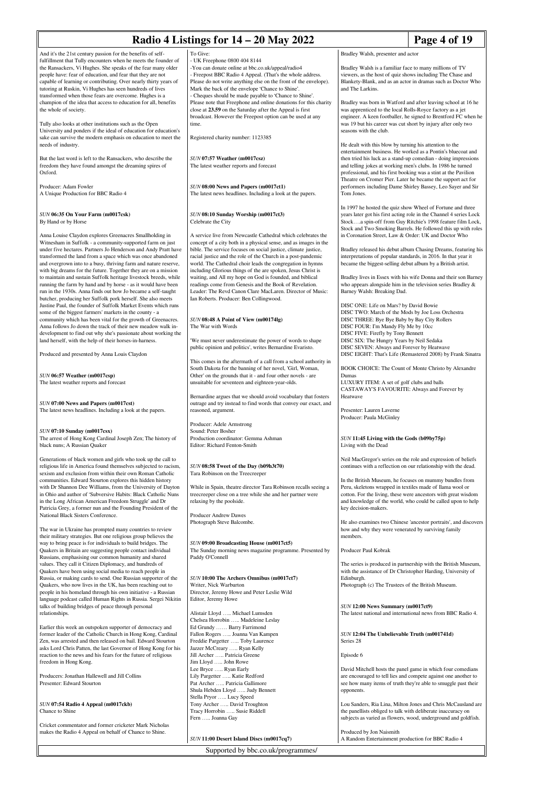| Radio 4 Listings for $14 - 20$ May 2022                                                                                                                                                                                                                                                                                                                   |                                                                                                                                                                                                                                                                                                                                  |                                                                                                                                                                                       | Page 4 of 19                                                                                                                                                                                                                                                    |
|-----------------------------------------------------------------------------------------------------------------------------------------------------------------------------------------------------------------------------------------------------------------------------------------------------------------------------------------------------------|----------------------------------------------------------------------------------------------------------------------------------------------------------------------------------------------------------------------------------------------------------------------------------------------------------------------------------|---------------------------------------------------------------------------------------------------------------------------------------------------------------------------------------|-----------------------------------------------------------------------------------------------------------------------------------------------------------------------------------------------------------------------------------------------------------------|
| And it's the 21st century passion for the benefits of self-                                                                                                                                                                                                                                                                                               | To Give:                                                                                                                                                                                                                                                                                                                         | Bradley Walsh, presenter and actor                                                                                                                                                    |                                                                                                                                                                                                                                                                 |
| fulfillment that Tully encounters when he meets the founder of<br>the Ransackers, Vi Hughes. She speaks of the fear many older<br>people have: fear of education, and fear that they are not<br>capable of learning or contributing. Over nearly thirty years of                                                                                          | - UK Freephone 0800 404 8144<br>-You can donate online at bbc.co.uk/appeal/radio4<br>- Freepost BBC Radio 4 Appeal. (That's the whole address.<br>Please do not write anything else on the front of the envelope).                                                                                                               | Bradley Walsh is a familiar face to many millions of TV<br>viewers, as the host of quiz shows including The Chase and<br>Blankety-Blank, and as an actor in dramas such as Doctor Who |                                                                                                                                                                                                                                                                 |
| tutoring at Ruskin, Vi Hughes has seen hundreds of lives<br>transformed when those fears are overcome. Hughes is a<br>champion of the idea that access to education for all, benefits<br>the whole of society.                                                                                                                                            | Mark the back of the envelope 'Chance to Shine'.<br>- Cheques should be made payable to 'Chance to Shine'.<br>Please note that Freephone and online donations for this charity<br>close at 23.59 on the Saturday after the Appeal is first<br>broadcast. However the Freepost option can be used at any                          | and The Larkins.<br>was apprenticed to the local Rolls-Royce factory as a jet                                                                                                         | Bradley was born in Watford and after leaving school at 16 he<br>engineer. A keen footballer, he signed to Brentford FC when he                                                                                                                                 |
| Tully also looks at other institutions such as the Open<br>University and ponders if the ideal of education for education's<br>sake can survive the modern emphasis on education to meet the                                                                                                                                                              | time.<br>Registered charity number: 1123385                                                                                                                                                                                                                                                                                      | seasons with the club.                                                                                                                                                                | was 19 but his career was cut short by injury after only two                                                                                                                                                                                                    |
| needs of industry.                                                                                                                                                                                                                                                                                                                                        |                                                                                                                                                                                                                                                                                                                                  | He dealt with this blow by turning his attention to the                                                                                                                               | entertainment business. He worked as a Pontin's bluecoat and                                                                                                                                                                                                    |
| But the last word is left to the Ransackers, who describe the<br>freedom they have found amongst the dreaming spires of<br>Oxford.                                                                                                                                                                                                                        | <b>SUN 07:57 Weather (m0017csz)</b><br>The latest weather reports and forecast                                                                                                                                                                                                                                                   |                                                                                                                                                                                       | then tried his luck as a stand-up comedian - doing impressions<br>and telling jokes at working men's clubs. In 1986 he turned<br>professional, and his first booking was a stint at the Pavilion<br>Theatre on Cromer Pier. Later he became the support act for |
| Producer: Adam Fowler<br>A Unique Production for BBC Radio 4                                                                                                                                                                                                                                                                                              | SUN 08:00 News and Papers (m0017ct1)<br>The latest news headlines. Including a look at the papers.                                                                                                                                                                                                                               | Tom Jones.                                                                                                                                                                            | performers including Dame Shirley Bassey, Leo Sayer and Sir                                                                                                                                                                                                     |
| SUN 06:35 On Your Farm (m0017csk)<br>By Hand or by Horse                                                                                                                                                                                                                                                                                                  | SUN 08:10 Sunday Worship (m0017ct3)<br>Celebrate the City                                                                                                                                                                                                                                                                        |                                                                                                                                                                                       | In 1997 he hosted the quiz show Wheel of Fortune and three<br>years later got his first acting role in the Channel 4 series Lock<br>Stocka spin-off from Guy Ritchie's 1998 feature film Lock,<br>Stock and Two Smoking Barrels. He followed this up with roles |
| Anna Louise Claydon explores Greenacres Smallholding in<br>Witnesham in Suffolk - a community-supported farm on just<br>under five hectares. Partners Jo Henderson and Andy Pratt have<br>transformed the land from a space which was once abandoned<br>and overgrown into to a busy, thriving farm and nature reserve,                                   | A service live from Newcastle Cathedral which celebrates the<br>concept of a city both in a physical sense, and as images in the<br>bible. The service focuses on social justice, climate justice,<br>racial justice and the role of the Church in a post-pandemic<br>world. The Cathedral choir leads the congregation in hymns | in Coronation Street, Law & Order: UK and Doctor Who<br>interpretations of popular standards, in 2016. In that year it<br>became the biggest-selling debut album by a British artist. | Bradley released his debut album Chasing Dreams, featuring his                                                                                                                                                                                                  |
| with big dreams for the future. Together they are on a mission<br>to maintain and sustain Suffolk heritage livestock breeds, while<br>running the farm by hand and by horse - as it would have been<br>run in the 1930s. Anna finds out how Jo became a self-taught<br>butcher, producing her Suffolk pork herself. She also meets                        | including Glorious things of the are spoken, Jesus Christ is<br>waiting, and All my hope on God is founded, and biblical<br>readings come from Genesis and the Book of Revelation.<br>Leader: The Revd Canon Clare MacLaren. Director of Music:<br>Ian Roberts. Producer: Ben Collingwood.                                       | Barney Walsh: Breaking Dad.                                                                                                                                                           | Bradley lives in Essex with his wife Donna and their son Barney<br>who appears alongside him in the television series Bradley &                                                                                                                                 |
| Justine Paul, the founder of Suffolk Market Events which runs<br>some of the biggest farmers' markets in the county - a<br>community which has been vital for the growth of Greenacres.                                                                                                                                                                   | SUN 08:48 A Point of View (m00174lg)                                                                                                                                                                                                                                                                                             | DISC ONE: Life on Mars? by David Bowie<br>DISC TWO: March of the Mods by Joe Loss Orchestra<br>DISC THREE: Bye Bye Baby by Bay City Rollers                                           |                                                                                                                                                                                                                                                                 |
| Anna follows Jo down the track of their new meadow walk in-<br>development to find out why she's passionate about working the<br>land herself, with the help of their horses-in-harness.                                                                                                                                                                  | The War with Words<br>'We must never underestimate the power of words to shape<br>public opinion and politics', writes Bernardine Evaristo.                                                                                                                                                                                      | DISC FOUR: I'm Mandy Fly Me by 10cc<br>DISC FIVE: Firefly by Tony Bennett<br>DISC SIX: The Hungry Years by Neil Sedaka<br>DISC SEVEN: Always and Forever by Heatwave                  |                                                                                                                                                                                                                                                                 |
| Produced and presented by Anna Louis Claydon                                                                                                                                                                                                                                                                                                              | This comes in the aftermath of a call from a school authority in                                                                                                                                                                                                                                                                 |                                                                                                                                                                                       | DISC EIGHT: That's Life (Remastered 2008) by Frank Sinatra                                                                                                                                                                                                      |
| SUN 06:57 Weather (m0017csp)<br>The latest weather reports and forecast                                                                                                                                                                                                                                                                                   | South Dakota for the banning of her novel, 'Girl, Woman,<br>Other' on the grounds that it - and four other novels - are<br>unsuitable for seventeen and eighteen-year-olds.                                                                                                                                                      | Dumas<br>LUXURY ITEM: A set of golf clubs and balls<br>CASTAWAY'S FAVOURITE: Always and Forever by<br>Heatwave                                                                        | BOOK CHOICE: The Count of Monte Christo by Alexandre                                                                                                                                                                                                            |
| SUN 07:00 News and Papers (m0017cst)<br>The latest news headlines. Including a look at the papers.                                                                                                                                                                                                                                                        | Bernardine argues that we should avoid vocabulary that fosters<br>outrage and try instead to find words that convey our exact, and<br>reasoned, argument.                                                                                                                                                                        | Presenter: Lauren Laverne<br>Producer: Paula McGinley                                                                                                                                 |                                                                                                                                                                                                                                                                 |
| SUN 07:10 Sunday (m0017csx)<br>The arrest of Hong Kong Cardinal Joseph Zen; The history of<br>black nuns; A Russian Quaker                                                                                                                                                                                                                                | Producer: Adele Armstrong<br>Sound: Peter Bosher<br>Production coordinator: Gemma Ashman<br>Editor: Richard Fenton-Smith                                                                                                                                                                                                         | SUN 11:45 Living with the Gods (b09by75p)<br>Living with the Dead                                                                                                                     |                                                                                                                                                                                                                                                                 |
| Generations of black women and girls who took up the call to<br>religious life in America found themselves subjected to racism,<br>sexism and exclusion from within their own Roman Catholic                                                                                                                                                              | SUN 08:58 Tweet of the Day (b09h3t70)<br>Tara Robinson on the Treecreeper                                                                                                                                                                                                                                                        |                                                                                                                                                                                       | Neil MacGregor's series on the role and expression of beliefs<br>continues with a reflection on our relationship with the dead.                                                                                                                                 |
| communities. Edward Stourton explores this hidden history<br>with Dr Shannon Dee Williams, from the University of Dayton<br>in Ohio and author of 'Subversive Habits: Black Catholic Nuns<br>in the Long African American Freedom Struggle' and Dr<br>Patricia Grey, a former nun and the Founding President of the<br>National Black Sisters Conference. | While in Spain, theatre director Tara Robinson recalls seeing a<br>treecreeper close on a tree while she and her partner were<br>relaxing by the poolside.<br><b>Producer Andrew Dawes</b>                                                                                                                                       | Peru, skeletons wrapped in textiles made of Ilama wool or<br>key decision-makers.                                                                                                     | In the British Museum, he focuses on mummy bundles from<br>cotton. For the living, these were ancestors with great wisdom<br>and knowledge of the world, who could be called upon to help                                                                       |
|                                                                                                                                                                                                                                                                                                                                                           | <b>Dhotograph Stave Dalgomb</b>                                                                                                                                                                                                                                                                                                  |                                                                                                                                                                                       | also examines two Chinese 'ancestor pertraits' and discover                                                                                                                                                                                                     |

The war in Ukraine has prompted many countries to review their military strategies. But one religious group believes the way to bring peace is for individuals to build bridges. The Quakers in Britain are suggesting people contact individual Russians, emphasising our common humanity and shared values. They call it Citizen Diplomacy, and hundreds of Quakers have been using social media to reach people in Russia, or making cards to send. One Russian supporter of the Quakers, who now lives in the UK, has been reaching out to people in his homeland through his own initiative - a Russian language podcast called Human Rights in Russia. Sergei Nikitin talks of building bridges of peace through personal relationships.

Earlier this week an outspoken supporter of democracy and former leader of the Catholic Church in Hong Kong, Cardinal Zen, was arrested and then released on bail. Edward Stourton asks Lord Chris Patten, the last Governor of Hong Kong for his reaction to the news and his fears for the future of religious freedom in Hong Kong.

Producers: Jonathan Hallewell and Jill Collins Presenter: Edward Stourton

*SUN* **07:54 Radio 4 Appeal (m0017ckb)** Chance to Shine

Cricket commentator and former cricketer Mark Nicholas makes the Radio 4 Appeal on behalf of Chance to Shine.

ptograph Steve Balc

*SUN* **09:00 Broadcasting House (m0017ct5)** The Sunday morning news magazine programme. Presented by Paddy O'Connell

# *SUN* **10:00 The Archers Omnibus (m0017ct7)** Writer, Nick Warburton

Director, Jeremy Howe and Peter Leslie Wild Editor, Jeremy Howe

Alistair Lloyd ….. Michael Lumsden Chelsea Horrobin ….. Madeleine Leslay Ed Grundy …… Barry Farrimond Fallon Rogers ….. Joanna Van Kampen Freddie Pargetter ….. Toby Laurence Jazzer McCreary ….. Ryan Kelly Jill Archer ….. Patricia Greene Jim Lloyd ..... John Rowe Lee Bryce ….. Ryan Early Lily Pargetter ….. Katie Redford Pat Archer ….. Patricia Gallimore Shula Hebden Lloyd ….. Judy Bennett Stella Pryor ….. Lucy Speed Tony Archer ….. David Troughton Tracy Horrobin ….. Susie Riddell Fern ….. Joanna Gay

*SUN* **11:00 Desert Island Discs (m0017cq7)**

Supported by bbc.co.uk/programmes/

He also examines two Chinese 'ancestor portraits', and discovers how and why they were venerated by surviving family members.

Producer Paul Kobrak

The series is produced in partnership with the British Museum, with the assistance of Dr Christopher Harding, University of Edinburgh.

Photograph (c) The Trustees of the British Museum.

*SUN* **12:00 News Summary (m0017ct9)**

The latest national and international news from BBC Radio 4.

*SUN* **12:04 The Unbelievable Truth (m001741d)** Series 28

Episode 6

David Mitchell hosts the panel game in which four comedians are encouraged to tell lies and compete against one another to see how many items of truth they're able to smuggle past their opponents.

Lou Sanders, Ria Lina, Milton Jones and Chris McCausland are the panellists obliged to talk with deliberate inaccuracy on subjects as varied as flowers, wood, underground and goldfish.

Produced by Jon Naismith A Random Entertainment production for BBC Radio 4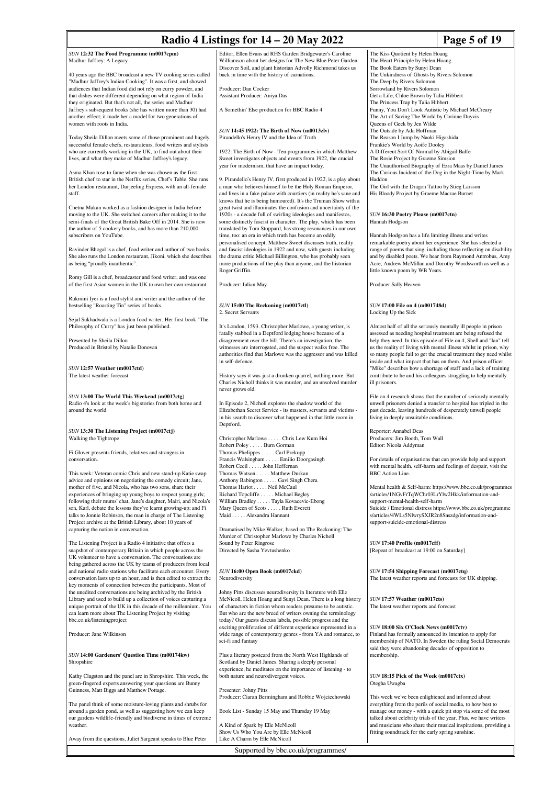| Radio 4 Listings for $14 - 20$ May 2022<br>Page 5 of 19                                                                             |                                                                                                                                      |                                                                                                                                |                                                                                                                                         |
|-------------------------------------------------------------------------------------------------------------------------------------|--------------------------------------------------------------------------------------------------------------------------------------|--------------------------------------------------------------------------------------------------------------------------------|-----------------------------------------------------------------------------------------------------------------------------------------|
| SUN 12:32 The Food Programme (m0017cpm)                                                                                             | Editor, Ellen Evans ad RHS Garden Bridgewater's Caroline                                                                             | The Kiss Quotient by Helen Hoang                                                                                               |                                                                                                                                         |
| Madhur Jaffrey: A Legacy                                                                                                            | Williamson about her designs for The New Blue Peter Garden:<br>Discover Soil, and plant historian Advolly Richmond takes us          | The Heart Principle by Helen Hoang<br>The Book Eaters by Sunyi Dean                                                            |                                                                                                                                         |
| 40 years ago the BBC broadcast a new TV cooking series called                                                                       | back in time with the history of carnations.                                                                                         | The Unkindness of Ghosts by Rivers Solomon                                                                                     |                                                                                                                                         |
| "Madhur Jaffrey's Indian Cooking". It was a first, and showed<br>audiences that Indian food did not rely on curry powder, and       | Producer: Dan Cocker                                                                                                                 | The Deep by Rivers Solomon<br>Sorrowland by Rivers Solomon                                                                     |                                                                                                                                         |
| that dishes were different depending on what region of India<br>they originated. But that's not all, the series and Madhur          | Assistant Producer: Aniya Das                                                                                                        | Get a Life, Chloe Brown by Talia Hibbert<br>The Princess Trap by Talia Hibbert                                                 |                                                                                                                                         |
| Jaffrey's subsequent books (she has written more than 30) had                                                                       | A Somethin' Else production for BBC Radio 4                                                                                          | Funny, You Don't Look Autistic by Michael McCreary                                                                             |                                                                                                                                         |
| another effect; it made her a model for two generations of<br>women with roots in India.                                            |                                                                                                                                      | The Art of Saving The World by Corinne Duyvis<br>Queens of Geek by Jen Wilde                                                   |                                                                                                                                         |
|                                                                                                                                     | SUN 14:45 1922: The Birth of Now (m0013zlv)                                                                                          | The Outside by Ada Hoffman                                                                                                     |                                                                                                                                         |
| Today Sheila Dillon meets some of those prominent and hugely<br>successful female chefs, restaurateurs, food writers and stylists   | Pirandello's Henry IV and the Idea of Truth                                                                                          | The Reason I Jump by Naoki Higashida<br>Frankie's World by Aoife Dooley                                                        |                                                                                                                                         |
| who are currently working in the UK, to find out about their                                                                        | 1922: The Birth of Now - Ten programmes in which Matthew                                                                             | A Different Sort Of Normal by Abigail Balfe                                                                                    |                                                                                                                                         |
| lives, and what they make of Madhur Jaffrey's legacy.                                                                               | Sweet investigates objects and events from 1922, the crucial<br>year for modernism, that have an impact today.                       | The Rosie Project by Graeme Simsion<br>The Unauthorised Biography of Ezra Maas by Daniel James                                 |                                                                                                                                         |
| Asma Khan rose to fame when she was chosen as the first<br>British chef to star in the Netflix series, Chef's Table. She runs       | 9. Pirandello's Henry IV, first produced in 1922, is a play about                                                                    | Haddon                                                                                                                         | The Curious Incident of the Dog in the Night-Time by Mark                                                                               |
| her London restaurant, Darjeeling Express, with an all-female                                                                       | a man who believes himself to be the Holy Roman Emperor,                                                                             | The Girl with the Dragon Tattoo by Stieg Larsson                                                                               |                                                                                                                                         |
| staff.                                                                                                                              | and lives in a fake palace with courtiers (in reality he's sane and<br>knows that he is being humoured). It's the Truman Show with a | His Bloody Project by Graeme Macrae Burnet                                                                                     |                                                                                                                                         |
| Chetna Makan worked as a fashion designer in India before                                                                           | great twist and illuminates the confusion and uncertainty of the                                                                     |                                                                                                                                |                                                                                                                                         |
| moving to the UK. She switched careers after making it to the<br>semi-finals of the Great British Bake Off in 2014. She is now      | 1920s - a decade full of swirling ideologies and manifestos,<br>some distinctly fascist in character. The play, which has been       | SUN 16:30 Poetry Please (m0017ctn)<br>Hannah Hodgson                                                                           |                                                                                                                                         |
| the author of 5 cookery books, and has more than 210,000                                                                            | translated by Tom Stoppard, has strong resonances in our own                                                                         |                                                                                                                                |                                                                                                                                         |
| subscribers on YouTube.                                                                                                             | time, too: an era in which truth has become an oddly<br>personalised concept. Matthew Sweet discusses truth, reality                 | Hannah Hodgson has a life limiting illness and writes<br>remarkable poetry about her experience. She has selected a            |                                                                                                                                         |
| Ravinder Bhogal is a chef, food writer and author of two books.<br>She also runs the London restaurant, Jikoni, which she describes | and fascist ideologies in 1922 and now, with guests including<br>the drama critic Michael Billington, who has probably seen          |                                                                                                                                | range of poems that sing, including those reflecting on disability<br>and by disabled poets. We hear from Raymond Antrobus, Amy         |
| as being "proudly inauthentic".                                                                                                     | more productions of the play than anyone, and the historian                                                                          |                                                                                                                                | Acre, Andrew McMillan and Dorothy Wordsworth as well as a                                                                               |
| Romy Gill is a chef, broadcaster and food writer, and was one                                                                       | Roger Griffin.                                                                                                                       | little known poem by WB Yeats.                                                                                                 |                                                                                                                                         |
| of the first Asian women in the UK to own her own restaurant.                                                                       | Producer: Julian May                                                                                                                 | Producer Sally Heaven                                                                                                          |                                                                                                                                         |
| Rukmini Iyer is a food stylist and writer and the author of the                                                                     |                                                                                                                                      |                                                                                                                                |                                                                                                                                         |
| bestselling "Roasting Tin" series of books.                                                                                         | SUN 15:00 The Reckoning (m0017ctl)<br>2. Secret Servants                                                                             | SUN 17:00 File on 4 (m001748d)<br>Locking Up the Sick                                                                          |                                                                                                                                         |
| Sejal Sukhadwala is a London food writer. Her first book "The                                                                       |                                                                                                                                      |                                                                                                                                |                                                                                                                                         |
| Philosophy of Curry" has just been published.                                                                                       | It's London, 1593. Christopher Marlowe, a young writer, is<br>fatally stabbed in a Deptford lodging house because of a               | Almost half of all the seriously mentally ill people in prison<br>assessed as needing hospital treatment are being refused the |                                                                                                                                         |
| Presented by Sheila Dillon                                                                                                          | disagreement over the bill. There's an investigation, the                                                                            |                                                                                                                                | help they need. In this episode of File on 4, Shell and "Ian" tell                                                                      |
| Produced in Bristol by Natalie Donovan                                                                                              | witnesses are interrogated, and the suspect walks free. The<br>authorities find that Marlowe was the aggressor and was killed        |                                                                                                                                | us the reality of living with mental illness whilst in prison, why<br>so many people fail to get the crucial treatment they need whilst |
| SUN 12:57 Weather (m0017ctd)                                                                                                        | in self-defence.                                                                                                                     |                                                                                                                                | inside and what impact that has on them. And prison officer<br>"Mike" describes how a shortage of staff and a lack of training          |
| The latest weather forecast                                                                                                         | History says it was just a drunken quarrel, nothing more. But                                                                        |                                                                                                                                | contribute to he and his colleagues struggling to help mentally                                                                         |
|                                                                                                                                     | Charles Nicholl thinks it was murder, and an unsolved murder<br>never grows old.                                                     | ill prisoners.                                                                                                                 |                                                                                                                                         |
| SUN 13:00 The World This Weekend (m0017ctg)<br>Radio 4's look at the week's big stories from both home and                          | In Episode 2, Nicholl explores the shadow world of the                                                                               |                                                                                                                                | File on 4 research shows that the number of seriously mentally<br>unwell prisoners denied a transfer to hospital has tripled in the     |
| around the world                                                                                                                    | Elizabethan Secret Service - its masters, servants and victims -                                                                     | past decade, leaving hundreds of desperately unwell people                                                                     |                                                                                                                                         |
|                                                                                                                                     | in his search to discover what happened in that little room in<br>Deptford.                                                          | living in deeply unsuitable conditions.                                                                                        |                                                                                                                                         |
| SUN 13:30 The Listening Project (m0017ctj)                                                                                          |                                                                                                                                      | Reporter: Annabel Deas                                                                                                         |                                                                                                                                         |
| Walking the Tightrope                                                                                                               | Christopher Marlowe Chris Lew Kum Hoi<br>Robert Poley Burn Gorman                                                                    | Producers: Jim Booth, Tom Wall<br>Editor: Nicola Addyman                                                                       |                                                                                                                                         |
| Fi Glover presents friends, relatives and strangers in<br>conversation.                                                             | Thomas Phelippes Carl Prekopp<br>Francis Walsingham Emilio Doorgasingh                                                               |                                                                                                                                | For details of organisations that can provide help and support                                                                          |
|                                                                                                                                     | Robert Cecil John Heffernan                                                                                                          |                                                                                                                                | with mental health, self-harm and feelings of despair, visit the                                                                        |
| This week: Veteran comic Chris and new stand-up Katie swap<br>advice and opinions on negotiating the comedy circuit; Jane,          | Thomas Watson Matthew Durkan<br>Anthony Babington Gavi Singh Chera                                                                   | <b>BBC</b> Action Line.                                                                                                        |                                                                                                                                         |
| mother of five, and Nicola, who has two sons, share their                                                                           | Thomas Hariot Neil McCaul                                                                                                            |                                                                                                                                | Mental health & Self-harm: https://www.bbc.co.uk/programmes                                                                             |
| experiences of bringing up young boys to respect young girls;<br>following their mums' chat, Jane's daughter, Mairi, and Nicola's   | Richard Topcliffe Michael Begley<br>William Bradley Tayla Kovacevic-Ebong                                                            | /articles/1NGvFrTqWChr03LrYlw2Hkk/information-and-<br>support-mental-health-self-harm                                          |                                                                                                                                         |
| son, Karl, debate the lessons they've learnt growing-up; and Fi<br>talks to Jonnie Robinson, the man in charge of The Listening     | Mary Queen of Scots Ruth Everett<br>Maid Alexandra Hannant                                                                           | s/articles/4WLs5NlwrySXJR2n8Snszdg/information-and-                                                                            | Suicide / Emotional distress https://www.bbc.co.uk/programme                                                                            |
| Project archive at the British Library, about 10 years of                                                                           |                                                                                                                                      | support-suicide-emotional-distress                                                                                             |                                                                                                                                         |
| capturing the nation in conversation.                                                                                               | Dramatised by Mike Walker, based on The Reckoning: The<br>Murder of Christopher Marlowe by Charles Nicholl                           |                                                                                                                                |                                                                                                                                         |
| The Listening Project is a Radio 4 initiative that offers a                                                                         | Sound by Peter Ringrose<br>Directed by Sasha Yevtushenko                                                                             | SUN 17:40 Profile (m0017cff)<br>[Repeat of broadcast at 19:00 on Saturday]                                                     |                                                                                                                                         |
| snapshot of contemporary Britain in which people across the<br>UK volunteer to have a conversation. The conversations are           |                                                                                                                                      |                                                                                                                                |                                                                                                                                         |
| being gathered across the UK by teams of producers from local<br>and national radio stations who facilitate each encounter. Every   | SUN 16:00 Open Book (m0017ckd)                                                                                                       | SUN 17:54 Shipping Forecast (m0017ctq)                                                                                         |                                                                                                                                         |
| conversation lasts up to an hour, and is then edited to extract the                                                                 | Neurodiversity                                                                                                                       | The latest weather reports and forecasts for UK shipping.                                                                      |                                                                                                                                         |
| key moments of connection between the participants. Most of<br>the unedited conversations are being archived by the British         | Johny Pitts discusses neurodiversity in literature with Elle                                                                         |                                                                                                                                |                                                                                                                                         |
| Library and used to build up a collection of voices capturing a<br>unique portrait of the UK in this decade of the millennium. You  | McNicoll, Helen Hoang and Sunyi Dean. There is a long history<br>of characters in fiction whom readers presume to be autistic.       | SUN 17:57 Weather (m0017cts)<br>The latest weather reports and forecast                                                        |                                                                                                                                         |
| can learn more about The Listening Project by visiting                                                                              | But who are the new breed of writers owning the terminology                                                                          |                                                                                                                                |                                                                                                                                         |
| bbc.co.uk/listeningproject                                                                                                          | today? Our guests discuss labels, possible progress and the<br>exciting proliferation of different experience represented in a       | SUN 18:00 Six O'Clock News (m0017ctv)                                                                                          |                                                                                                                                         |
| Producer: Jane Wilkinson                                                                                                            | wide range of contemporary genres - from YA and romance, to                                                                          | Finland has formally announced its intention to apply for                                                                      |                                                                                                                                         |
|                                                                                                                                     | sci-fi and fantasy                                                                                                                   | said they were abandoning decades of opposition to                                                                             | membership of NATO. In Sweden the ruling Social Democrats                                                                               |
| SUN 14:00 Gardeners' Question Time (m00174kw)                                                                                       | Plus a literary postcard from the North West Highlands of<br>Scotland by Daniel James. Sharing a deeply personal                     | membership.                                                                                                                    |                                                                                                                                         |
| Shropshire                                                                                                                          | experience, he meditates on the importance of listening - to                                                                         |                                                                                                                                |                                                                                                                                         |
| Kathy Clugston and the panel are in Shropshire. This week, the<br>green-fingered experts answering your questions are Bunny         | both nature and neurodivergent voices.                                                                                               | SUN 18:15 Pick of the Week (m0017ctx)<br>Otegha Uwagba                                                                         |                                                                                                                                         |
| Guinness, Matt Biggs and Matthew Pottage.                                                                                           | Presenter: Johny Pitts                                                                                                               |                                                                                                                                |                                                                                                                                         |
| The panel think of some moisture-loving plants and shrubs for                                                                       | Producer: Ciaran Bermingham and Robbie Wojciechowski                                                                                 | This week we've been enlightened and informed about<br>everything from the perils of social media, to how best to              |                                                                                                                                         |
| around a garden pond, as well as suggesting how we can keep                                                                         | Book List - Sunday 15 May and Thursday 19 May                                                                                        |                                                                                                                                | manage our money - with a quick pit stop via some of the most                                                                           |
| our gardens wildlife-friendly and biodiverse in times of extreme<br>weather.                                                        | A Kind of Spark by Elle McNicoll                                                                                                     |                                                                                                                                | talked about celebrity trials of the year. Plus, we have writers<br>and musicians who share their musical inspirations, providing a     |
| Away from the questions, Juliet Sargeant speaks to Blue Peter                                                                       | Show Us Who You Are by Elle McNicoll<br>Like A Charm by Elle McNicoll                                                                | fitting soundtrack for the early spring sunshine.                                                                              |                                                                                                                                         |

F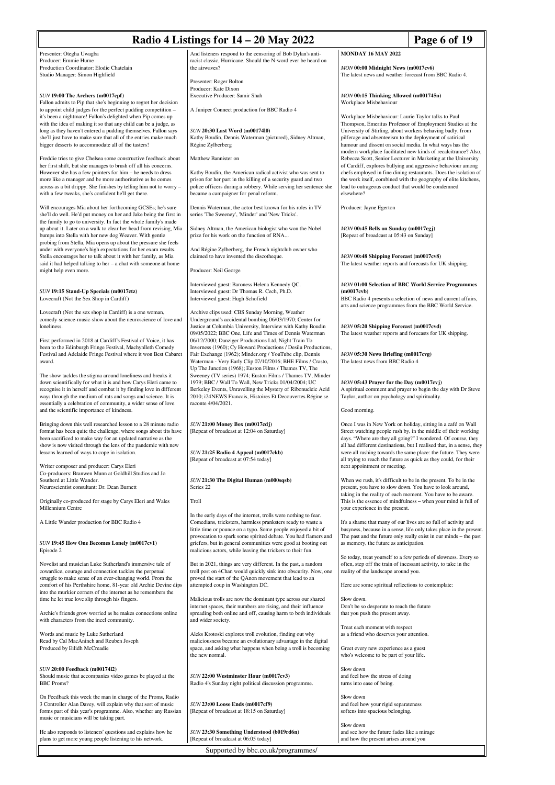| Radio 4 Listings for $14 - 20$ May 2022                                                                                              | Page 6 of 19                                                                                                                      |                                                                                                                                         |
|--------------------------------------------------------------------------------------------------------------------------------------|-----------------------------------------------------------------------------------------------------------------------------------|-----------------------------------------------------------------------------------------------------------------------------------------|
| Presenter: Otegha Uwagba                                                                                                             | And listeners respond to the censoring of Bob Dylan's anti-                                                                       | <b>MONDAY 16 MAY 2022</b>                                                                                                               |
| Producer: Emmie Hume                                                                                                                 | racist classic, Hurricane. Should the N-word ever be heard on                                                                     |                                                                                                                                         |
| Production Coordinator: Elodie Chatelain                                                                                             | the airwaves?                                                                                                                     | MON 00:00 Midnight News (m0017cv6)                                                                                                      |
| Studio Manager: Simon Highfield                                                                                                      |                                                                                                                                   | The latest news and weather forecast from BBC Radio 4.                                                                                  |
|                                                                                                                                      | Presenter: Roger Bolton<br>Producer: Kate Dixon                                                                                   |                                                                                                                                         |
| SUN 19:00 The Archers (m0017cpf)                                                                                                     | Executive Producer: Samir Shah                                                                                                    | MON 00:15 Thinking Allowed (m001745n)                                                                                                   |
| Fallon admits to Pip that she's beginning to regret her decision                                                                     |                                                                                                                                   | Workplace Misbehaviour                                                                                                                  |
| to appoint child judges for the perfect pudding competition -<br>it's been a nightmare! Fallon's delighted when Pip comes up         | A Juniper Connect production for BBC Radio 4                                                                                      | Workplace Misbehaviour: Laurie Taylor talks to Paul                                                                                     |
| with the idea of making it so that any child can be a judge, as                                                                      |                                                                                                                                   | Thompson, Emeritus Professor of Employment Studies at the                                                                               |
| long as they haven't entered a pudding themselves. Fallon says                                                                       | SUN 20:30 Last Word (m0017410)                                                                                                    | University of Stirling, about workers behaving badly, from                                                                              |
| she'll just have to make sure that all of the entries make much<br>bigger desserts to accommodate all of the tasters!                | Kathy Boudin, Dennis Waterman (pictured), Sidney Altman,<br>Régine Zylberberg                                                     | pilferage and absenteeism to the deployment of satirical<br>humour and dissent on social media. In what ways has the                    |
|                                                                                                                                      |                                                                                                                                   | modern workplace facilitated new kinds of recalcitrance? Also,                                                                          |
| Freddie tries to give Chelsea some constructive feedback about                                                                       | Matthew Bannister on                                                                                                              | Rebecca Scott, Senior Lecturer in Marketing at the University                                                                           |
| her first shift, but she manages to brush off all his concerns.                                                                      |                                                                                                                                   | of Cardiff, explores bullying and aggressive behaviour among                                                                            |
| However she has a few pointers for him – he needs to dress<br>more like a manager and be more authoritative as he comes              | Kathy Boudin, the American radical activist who was sent to<br>prison for her part in the killing of a security guard and two     | chefs employed in fine dining restaurants. Does the isolation of<br>the work itself, combined with the geography of elite kitchens,     |
| across as a bit drippy. She finishes by telling him not to worry -                                                                   | police officers during a robbery. While serving her sentence she                                                                  | lead to outrageous conduct that would be condemned                                                                                      |
| with a few tweaks, she's confident he'll get there.                                                                                  | became a campaigner for penal reform.                                                                                             | elsewhere?                                                                                                                              |
| Will encourages Mia about her forthcoming GCSEs; he's sure                                                                           | Dennis Waterman, the actor best known for his roles in TV                                                                         | Producer: Jayne Egerton                                                                                                                 |
| she'll do well. He'd put money on her and Jake being the first in                                                                    | series 'The Sweeney', 'Minder' and 'New Tricks'.                                                                                  |                                                                                                                                         |
| the family to go to university. In fact the whole family's made<br>up about it. Later on a walk to clear her head from revising, Mia | Sidney Altman, the American biologist who won the Nobel                                                                           | MON 00:45 Bells on Sunday (m0017cgj)                                                                                                    |
| bumps into Stella with her new dog Weaver. With gentle                                                                               | prize for his work on the function of RNA                                                                                         | [Repeat of broadcast at 05:43 on Sunday]                                                                                                |
| probing from Stella, Mia opens up about the pressure she feels                                                                       |                                                                                                                                   |                                                                                                                                         |
| under with everyone's high expectations for her exam results.<br>Stella encourages her to talk about it with her family, as Mia      | And Régine Zylberberg, the French nightclub owner who<br>claimed to have invented the discotheque.                                | MON 00:48 Shipping Forecast (m0017cv8)                                                                                                  |
| said it had helped talking to her - a chat with someone at home                                                                      |                                                                                                                                   | The latest weather reports and forecasts for UK shipping.                                                                               |
| might help even more.                                                                                                                | Producer: Neil George                                                                                                             |                                                                                                                                         |
|                                                                                                                                      | Interviewed guest: Baroness Helena Kennedy QC.                                                                                    | MON 01:00 Selection of BBC World Service Programmes                                                                                     |
| SUN 19:15 Stand-Up Specials (m0017ctz)                                                                                               | Interviewed guest: Dr Thomas R. Cech, Ph.D.                                                                                       | (m0017cv <sub>b</sub> )                                                                                                                 |
| Lovecraft (Not the Sex Shop in Cardiff)                                                                                              | Interviewed guest: Hugh Schofield                                                                                                 | BBC Radio 4 presents a selection of news and current affairs,                                                                           |
| Lovecraft (Not the sex shop in Cardiff) is a one woman,                                                                              | Archive clips used: CBS Sunday Morning, Weather                                                                                   | arts and science programmes from the BBC World Service.                                                                                 |
| comedy-science-music-show about the neuroscience of love and                                                                         | Underground's accidental bombing 06/03/1970; Center for                                                                           |                                                                                                                                         |
| loneliness.                                                                                                                          | Justice at Columbia University, Interview with Kathy Boudin                                                                       | MON 05:20 Shipping Forecast (m0017cvd)<br>The latest weather reports and forecasts for UK shipping.                                     |
| First performed in 2018 at Cardiff's Festival of Voice, it has                                                                       | 09/05/2022; BBC One, Life and Times of Dennis Waterman<br>06/12/2000; Danziger Productions Ltd, Night Train To                    |                                                                                                                                         |
| been to the Edinburgh Fringe Festival, Machynlleth Comedy                                                                            | Inverness (1960); Cy Howard Productions / Desilu Productions,                                                                     |                                                                                                                                         |
| Festival and Adelaide Fringe Festival where it won Best Cabaret<br>award.                                                            | Fair Exchange (1962); Minder.org / YouTube clip, Dennis<br>Waterman - Very Early Clip 07/10/2016; BHE Films / Crasto,             | MON 05:30 News Briefing (m0017cvg)<br>The latest news from BBC Radio 4                                                                  |
|                                                                                                                                      | Up The Junction (1968); Euston Films / Thames TV, The                                                                             |                                                                                                                                         |
| The show tackles the stigma around loneliness and breaks it                                                                          | Sweeney (TV series) 1974; Euston Films / Thames TV, Minder                                                                        |                                                                                                                                         |
| down scientifically for what it is and how Carys Eleri came to<br>recognise it in herself and combat it by finding love in different | 1979; BBC / Wall To Wall, New Tricks 01/04/2004; UC<br>Berkeley Events, Unravelling the Mystery of Ribonucleic Acid               | MON 05:43 Prayer for the Day (m0017cvj)<br>A spiritual comment and prayer to begin the day with Dr Steve                                |
| ways through the medium of rats and songs and science. It is                                                                         | 2010; i24NEWS Francais, Histoires Et Decouvertes Régine se                                                                        | Taylor, author on psychology and spirituality.                                                                                          |
| essentially a celebration of community, a wider sense of love<br>and the scientific importance of kindness.                          | raconte 4/04/2021.                                                                                                                | Good morning.                                                                                                                           |
|                                                                                                                                      |                                                                                                                                   |                                                                                                                                         |
| Bringing down this well researched lesson to a 28 minute radio                                                                       | SUN 21:00 Money Box (m0017cdj)                                                                                                    | Once I was in New York on holiday, sitting in a café on Wall                                                                            |
| format has been quite the challenge, where songs about tits have<br>been sacrificed to make way for an updated narrative as the      | [Repeat of broadcast at 12:04 on Saturday]                                                                                        | Street watching people rush by, in the middle of their working<br>days. "Where are they all going?" I wondered. Of course, they         |
| show is now visited through the lens of the pandemic with new                                                                        |                                                                                                                                   | all had different destinations, but I realised that, in a sense, they                                                                   |
| lessons learned of ways to cope in isolation.                                                                                        | SUN 21:25 Radio 4 Appeal (m0017ckb)<br>[Repeat of broadcast at 07:54 today]                                                       | were all rushing towards the same place: the future. They were<br>all trying to reach the future as quick as they could, for their      |
| Writer composer and producer: Carys Eleri                                                                                            |                                                                                                                                   | next appointment or meeting.                                                                                                            |
| Co-producers: Branwen Munn at Goldhill Studios and Jo                                                                                |                                                                                                                                   |                                                                                                                                         |
| Southerd at Little Wander.<br>Neuroscientist consultant: Dr. Dean Burnett                                                            | SUN 21:30 The Digital Human (m000sqsb)<br>Series <sub>22</sub>                                                                    | When we rush, it's difficult to be in the present. To be in the<br>present, you have to slow down. You have to look around,             |
|                                                                                                                                      |                                                                                                                                   | taking in the reality of each moment. You have to be aware.                                                                             |
| Originally co-produced for stage by Carys Eleri and Wales<br>Millennium Centre                                                       | Troll                                                                                                                             | This is the essence of mindfulness - when your mind is full of                                                                          |
|                                                                                                                                      | In the early days of the internet, trolls were nothing to fear.                                                                   | your experience in the present.                                                                                                         |
| A Little Wander production for BBC Radio 4                                                                                           | Comedians, tricksters, harmless pranksters ready to waste a                                                                       | It's a shame that many of our lives are so full of activity and                                                                         |
|                                                                                                                                      | little time or pounce on a typo. Some people enjoyed a bit of<br>provocation to spark some spirited debate. You had flamers and   | busyness, because in a sense, life only takes place in the present<br>The past and the future only really exist in our minds - the past |
| SUN 19:45 How One Becomes Lonely (m0017cv1)                                                                                          | griefers, but in general communities were good at booting out                                                                     | as memory, the future as anticipation.                                                                                                  |
| Episode 2                                                                                                                            | malicious actors, while leaving the trickers to their fun.                                                                        |                                                                                                                                         |
| Novelist and musician Luke Sutherland's immersive tale of                                                                            | But in 2021, things are very different. In the past, a random                                                                     | So today, treat yourself to a few periods of slowness. Every so<br>often, step off the train of incessant activity, to take in the      |
| cowardice, courage and connection tackles the perpetual                                                                              | troll post on 4Chan would quickly sink into obscurity. Now, one                                                                   | reality of the landscape around you.                                                                                                    |
| struggle to make sense of an ever-changing world. From the<br>comfort of his Perthshire home, 81-year old Archie Devine dips         | proved the start of the QAnon movement that lead to an<br>attempted coup in Washington DC.                                        | Here are some spiritual reflections to contemplate:                                                                                     |
| into the murkier corners of the internet as he remembers the                                                                         |                                                                                                                                   |                                                                                                                                         |
| time he let true love slip through his fingers.                                                                                      | Malicious trolls are now the dominant type across our shared                                                                      | Slow down.                                                                                                                              |
| Archie's friends grow worried as he makes connections online                                                                         | internet spaces, their numbers are rising, and their influence<br>spreading both online and off, causing harm to both individuals | Don't be so desperate to reach the future<br>that you push the present away.                                                            |
| with characters from the incel community.                                                                                            | and wider society.                                                                                                                |                                                                                                                                         |
| Words and music by Luke Sutherland                                                                                                   | Aleks Krotoski explores troll evolution, finding out why                                                                          | Treat each moment with respect<br>as a friend who deserves your attention.                                                              |
| Read by Cal MacAninch and Reuben Joseph                                                                                              | maliciousness became an evolutionary advantage in the digital                                                                     |                                                                                                                                         |
| Produced by Eilidh McCreadie                                                                                                         | space, and asking what happens when being a troll is becoming<br>the new normal.                                                  | Greet every new experience as a guest                                                                                                   |
|                                                                                                                                      |                                                                                                                                   | who's welcome to be part of your life.                                                                                                  |
| SUN 20:00 Feedback (m0017412)                                                                                                        |                                                                                                                                   | Slow down                                                                                                                               |
| Should music that accompanies video games be played at the<br><b>BBC</b> Proms?                                                      | SUN 22:00 Westminster Hour (m0017cv3)<br>Radio 4's Sunday night political discussion programme.                                   | and feel how the stress of doing<br>turns into ease of being.                                                                           |
|                                                                                                                                      |                                                                                                                                   |                                                                                                                                         |
| On Feedback this week the man in charge of the Proms, Radio                                                                          |                                                                                                                                   | Slow down                                                                                                                               |
| 3 Controller Alan Davey, will explain why that sort of music<br>forms part of this year's programme. Also, whether any Russian       | SUN 23:00 Loose Ends (m0017cf9)<br>[Repeat of broadcast at 18:15 on Saturday]                                                     | and feel how your rigid separateness<br>softens into spacious belonging.                                                                |
| music or musicians will be taking part.                                                                                              |                                                                                                                                   |                                                                                                                                         |
| He also responds to listeners' questions and explains how he                                                                         | SUN 23:30 Something Understood (b019rd6n)                                                                                         | Slow down<br>and see how the future fades like a mirage                                                                                 |
| plans to get more young people listening to his network.                                                                             | [Repeat of broadcast at 06:05 today]                                                                                              | and how the present arises around you                                                                                                   |

Supported by bbc.co.uk/programmes/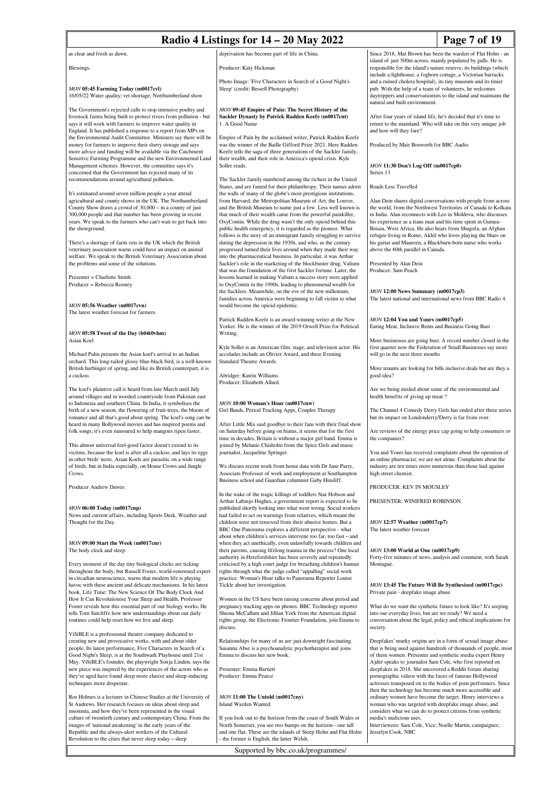# **Radio 4 Listings for 14 – 20 May 2022** Page 7 of 19

as clear and fresh as dawn.

Blessings.

### *MON* **05:45 Farming Today (m0017cvl)** 16/05/22 Water quality; vet shortage; Northumberland show

The Government's rejected calls to stop intensive poultry and livestock farms being built to protect rivers from pollution - but says it will work with farmers to improve water quality in England. It has published a response to a report from MPs on the Environmental Audit Committee. Ministers say there will be money for farmers to improve their slurry storage and says more advice and funding will be available via the Catchment Sensitive Farming Programme and the new Environmental Land Management schemes. However, the committee says it's concerned that the Government has rejected many of its recommendations around agricultural pollution.

It's estimated around seven million people a year attend agricultural and county shows in the UK. The Northumberland County Show draws a crowd of 30,000 – in a county of just 300,000 people and that number has been growing in recent years. We speak to the farmers who can't wait to get back into the showground.

There's a shortage of farm vets in the UK which the British veterinary association warns could have an impact on animal welfare. We speak to the British Veterinary Association about the problems and some of the solutions.

Presenter = Charlotte Smith Producer = Rebecca Rooney

#### *MON* **05:56 Weather (m0017cvn)** The latest weather forecast for farmers.

#### *MON* **05:58 Tweet of the Day (b04t0vhm)** Asian Koel

Michael Palin presents the Asian koel's arrival to an Indian orchard. This long-tailed glossy blue-black bird, is a well-known British harbinger of spring, and like its British counterpart, it is a cuckoo.

The koel's plaintive call is heard from late March until July around villages and in wooded countryside from Pakistan east to Indonesia and southern China. In India, it symbolises the birth of a new season, the flowering of fruit-trees, the bloom of romance and all that's good about spring. The koel's song can be heard in many Bollywood movies and has inspired poems and folk songs; it's even rumoured to help mangoes ripen faster.

This almost universal feel-good factor doesn't extend to its victims, because the koel is after all a cuckoo, and lays its eggs in other birds' nests. Asian Koels are parasitic on a wide range of birds, but in India especially, on House Crows and Jungle Crows.

Producer Andrew Dawes.

### *MON* **06:00 Today (m0017cnp)**

News and current affairs, including Sports Desk, Weather and Thought for the Day.

*MON* **09:00 Start the Week (m0017cnr)** The body clock and sleep

Every moment of the day tiny biological clocks are ticking throughout the body, but Russell Foster, world-renowned expert in circadian neuroscience, warns that modern life is playing havoc with these ancient and delicate mechanisms. In his latest book, Life Time: The New Science Of The Body Clock And How It Can Revolutionise Your Sleep and Health, Professor Foster reveals how this essential part of our biology works. He tells Tom Sutcliffe how new understandings about our daily routines could help reset how we live and sleep.

ViSiBLE is a professional theatre company dedicated to creating new and provocative works, with and about older people. Its latest performance, Five Characters in Search of a Good Night's Sleep, is at the Southwark Playhouse until 21st May. ViSiBLE's founder, the playwright Sonja Linden, says the new piece was inspired by the experiences of the actors who as they've aged have found sleep more elusive and sleep-inducing techniques more desperate.

Ros Holmes is a lecturer in Chinese Studies at the University of St Andrews. Her research focuses on ideas about sleep and insomnia, and how they've been represented in the visual culture of twentieth century and contemporary China. From the images of 'national awakening' in the early years of the Republic and the always-alert workers of the Cultural Revolution to the cities that never sleep today – sleep

deprivation has become part of life in China.

er: Katy Hickm

Photo Image: 'Five Characters in Search of a Good Night's Sleep' (credit: Bessell Photography)

## *MON* **09:45 Empire of Pain: The Secret History of the Sackler Dynasty by Patrick Radden Keefe (m0017cnt)** 1. A Good Name

Empire of Pain by the acclaimed writer, Patrick Radden Keefe was the winner of the Baille Gifford Prize 2021. Here Radden Keefe tells the saga of three generations of the Sackler family, their wealth, and their role in America's opioid crisis. Kyle Soller reads.

The Sackler family numbered among the richest in the United States, and are famed for their philanthropy. Their names adorn the walls of many of the globe's most prestigious institutions, from Harvard; the Metropolitan Museum of Art, the Louvre, and the British Museum to name just a few. Less well known is that much of their wealth came from the powerful painkiller, OxyContin. While the drug wasn't the only opioid behind this public health emergency, it is regarded as the pioneer. What follows is the story of an immigrant family struggling to survive during the depression in the 1930s, and who, as the century progressed turned their lives around when they made their way into the pharmaceutical business. In particular, it was Arthur Sackler's role in the marketing of the blockbuster drug, Valium that was the foundation of the first Sackler fortune. Later, the lessons learned in making Valium a success story were applied to OxyContin in the 1990s, leading to phenomenal wealth for the Sacklers. Meanwhile, on the eve of the new millenium, families across America were beginning to fall victim to what would become the opioid epidemic.

Patrick Radden Keefe is an award-winning writer at the New Yorker. He is the winner of the 2019 Orwell Prize for Political Writing.

Kyle Soller is an American film, stage, and television actor. His accolades include an Olivier Award, and three Evening Standard Theatre Awards.

Abridger: Katrin Williams. Producer: Elizabeth Allard.

### *MON* **10:00 Woman's Hour (m0017cnw)** Girl Bands, Period Tracking Apps, Couples Therapy

After Little Mix said goodbye to their fans with their final show on Saturday before going on hiatus, it seems that for the first time in decades, Britain is without a major girl band. Emma is joined by Melanie Chisholm from the Spice Girls and music journalist, Jacqueline Springer.

We discuss recent work from home data with Dr Jane Parry, Associate Professor of work and employment at Southampton Business school and Guardian columnist Gaby Hinsliff.

In the wake of the tragic killings of toddlers Star Hobson and Arthur Labinjo Hughes, a government report is expected to be published shortly looking into what went wrong. Social workers had failed to act on warnings from relatives, which meant the children were not removed from their abusive homes. But a BBC One Panorama explores a different perspective - what about when children's services intervene too far, too fast – and when they act unethically, even unlawfully towards children and their parents, causing lifelong trauma in the process? One local authority in Herefordshire has been severely and repeatedly criticised by a high court judge for breaching children's human rights through what the judge called "appalling" social work practice. Woman's Hour talks to Panorama Reporter Louise Tickle about her investigation.

Women in the US have been raising concerns about period and pregnancy tracking apps on phones. BBC Technology reporter Shiona McCallum and Jillian York from the American digital rights group, the Electronic Frontier Foundation, join Emma to discusse

Relationships for many of us are just downright fascinating. Susanna Abse is a psychoanalytic psychotherapist and joins Emma to discuss her new book.

Presenter: Emma Barnett Producer: Emma Pearce

### *MON* **11:00 The Untold (m0017cny)** Island Warden Wanted

If you look out to the horizon from the coast of South Wales or North Somerset, you see two bumps on the horizon - one tall and one flat. These are the islands of Steep Holm and Flat Holm - the former is English, the latter Welsh.

island of just 500m across, mainly populated by gulls. He is responsible for the island's nature reserve, its buildings (which include a lighthouse, a foghorn cottage, a Victorian barracks and a ruined cholera hospital), its tiny museum and its tinier pub. With the help of a team of volunteers, he welcomes daytrippers and conservationists to the island and maintains the natural and built environment.

Since 2018, Mat Brown has been the warden of Flat Holm - an

After four years of island life, he's decided that it's time to return to the mainland. Who will take on this very unique job and how will they fare?

Produced by Mair Bosworth for BBC Audio

### *MON* **11:30 Don't Log Off (m0017cp0)** Series 13

Roads Less Travelled

Alan Dein shares digital conversations with people from across the world, from the Northwest Territories of Canada to Kolkata in India. Alan reconnects with Leo in Moldova, who discusse his experience as a trans man and his time spent in Guinea-Bissau, West Africa. He also hears from Shugofa, an Afghan refugee living in Rome, Akhil who loves playing the blues on his guitar and Maureen, a Blackburn-born nurse who works above the 60th parallel in Canada.

Presented by Alan Dein Producer: Sam Peach

*MON* **12:00 News Summary (m0017cp3)**

The latest national and international news from BBC Radio 4.

*MON* **12:04 You and Yours (m0017cp5)** Eating Meat, Inclusive Rents and Busi

More businesses are going bust. A record number closed in the first quarter now the Federation of Small Businesses say more will go in the next three months

More tenants are looking for bills inclusive deals but are they a good idea?

Are we being misled about some of the environmental and health benefits of giving up meat ?

The Channel 4 Comedy Derry Girls has ended after three series but its impact on Londonderry/Derry is far from over.

Are reviews of the energy price cap going to help consumers or the companies?

You and Yours has received complaints about the operation of an online pharmacist; we are not alone. Complaints about the industry are ten times more numerous than those laid against high street chemist.

PRODUCER: KEV IN MOUSLEY

PRESENTER: WINIFRED ROBINSON

*MON* **12:57 Weather (m0017cp7)** The latest weather forecast

*MON* **13:00 World at One (m0017cp9)**

Forty-five minutes of news, analysis and comment, with Sarah Montague.

*MON* **13:45 The Future Will Be Synthesised (m0017cpc)** Private pain - deepfake image abuse

What do we want the synthetic future to look like? It's seeping into our everyday lives, but are we ready? We need a conversation about the legal, policy and ethical implications for society.

Deepfakes' murky origins are in a form of sexual image abuse that is being used against hundreds of thousands of people, most of them women. Presenter and synthetic media expert Henry Ajder speaks to journalist Sam Cole, who first reported on deepfakes in 2018. She uncovered a Reddit forum sharing pornographic videos with the faces of famous Hollywood actresses transposed on to the bodies of porn performers. Since then the technology has become much more accessible and ordinary women have become the target. Henry interviews a woman who was targeted with deepfake image abuse, and considers what we can do to protect citizens from synthetic media's malicious uses. Interviewees: Sam Cole, Vice; Noelle Martin, campaigner;

Jesselyn Cook, NBC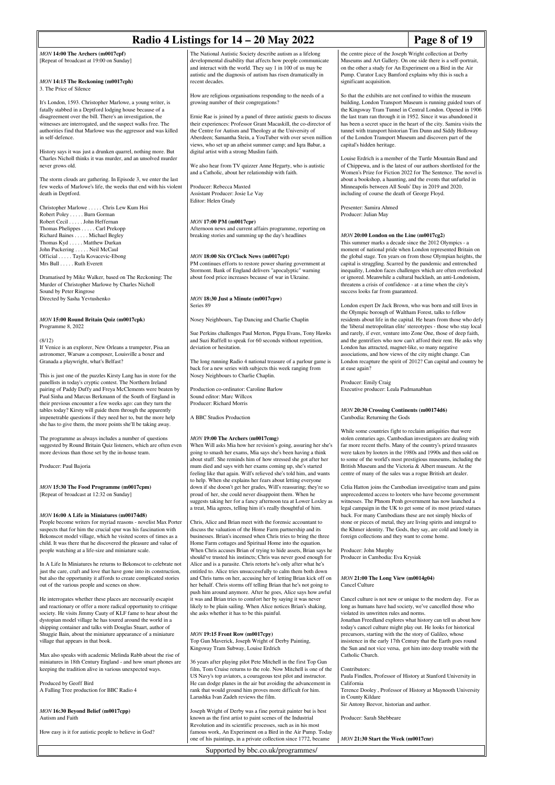| Radio 4 Listings for 14 - 20 May 2022<br>Page 8 of 19                                                                                                                                                                                                                                                                                                                                                                                                     |                                                                                                                                                                                                                                                                                                                                                                                                                                                                                          |                                                                                                                                                                                                                                      |                                                                                                                                                                                                                                                                                                                                     |
|-----------------------------------------------------------------------------------------------------------------------------------------------------------------------------------------------------------------------------------------------------------------------------------------------------------------------------------------------------------------------------------------------------------------------------------------------------------|------------------------------------------------------------------------------------------------------------------------------------------------------------------------------------------------------------------------------------------------------------------------------------------------------------------------------------------------------------------------------------------------------------------------------------------------------------------------------------------|--------------------------------------------------------------------------------------------------------------------------------------------------------------------------------------------------------------------------------------|-------------------------------------------------------------------------------------------------------------------------------------------------------------------------------------------------------------------------------------------------------------------------------------------------------------------------------------|
| MON 14:00 The Archers (m0017cpf)<br>[Repeat of broadcast at 19:00 on Sunday]                                                                                                                                                                                                                                                                                                                                                                              | The National Autistic Society describe autism as a lifelong<br>developmental disability that affects how people communicate<br>and interact with the world. They say 1 in 100 of us may be<br>autistic and the diagnosis of autism has risen dramatically in                                                                                                                                                                                                                             | the centre piece of the Joseph Wright collection at Derby<br>on the other a study for An Experiment on a Bird in the Air<br>Pump. Curator Lucy Bamford explains why this is such a                                                   | Museums and Art Gallery. On one side there is a self-portrait,                                                                                                                                                                                                                                                                      |
| MON 14:15 The Reckoning (m0017cph)<br>3. The Price of Silence                                                                                                                                                                                                                                                                                                                                                                                             | recent decades.                                                                                                                                                                                                                                                                                                                                                                                                                                                                          | significant acquisition.                                                                                                                                                                                                             |                                                                                                                                                                                                                                                                                                                                     |
| It's London, 1593. Christopher Marlowe, a young writer, is<br>fatally stabbed in a Deptford lodging house because of a<br>disagreement over the bill. There's an investigation, the<br>witnesses are interrogated, and the suspect walks free. The<br>authorities find that Marlowe was the aggressor and was killed<br>in self-defence.<br>History says it was just a drunken quarrel, nothing more. But                                                 | How are religious organisations responding to the needs of a<br>growing number of their congregations?<br>Ernie Rae is joined by a panel of three autistic guests to discuss<br>their experiences: Professor Grant Macaskill, the co-director of<br>the Centre for Autism and Theology at the University of<br>Aberdeen; Samantha Stein, a YouTuber with over seven million<br>views, who set up an atheist summer camp; and Iqra Babar, a<br>digital artist with a strong Muslim faith. | So that the exhibits are not confined to within the museum<br>of the London Transport Museum and discovers part of the<br>capital's hidden heritage.                                                                                 | building, London Transport Museum is running guided tours of<br>the Kingsway Tram Tunnel in Central London. Opened in 1906<br>the last tram ran through it in 1952. Since it was abandoned it<br>has been a secret space in the heart of the city. Samira visits the<br>tunnel with transport historian Tim Dunn and Siddy Holloway |
| Charles Nicholl thinks it was murder, and an unsolved murder<br>never grows old.                                                                                                                                                                                                                                                                                                                                                                          | We also hear from TV quizzer Anne Hegarty, who is autistic<br>and a Catholic, about her relationship with faith.                                                                                                                                                                                                                                                                                                                                                                         |                                                                                                                                                                                                                                      | Louise Erdrich is a member of the Turtle Mountain Band and<br>of Chippewa, and is the latest of our authors shortlisted for the<br>Women's Prize for Fiction 2022 for The Sentence. The novel is                                                                                                                                    |
| The storm clouds are gathering. In Episode 3, we enter the last<br>few weeks of Marlowe's life, the weeks that end with his violent<br>death in Deptford.                                                                                                                                                                                                                                                                                                 | Producer: Rebecca Maxted<br>Assistant Producer: Josie Le Vay<br>Editor: Helen Grady                                                                                                                                                                                                                                                                                                                                                                                                      | Minneapolis between All Souls' Day in 2019 and 2020,<br>including of course the death of George Floyd.                                                                                                                               | about a bookshop, a haunting, and the events that unfurled in                                                                                                                                                                                                                                                                       |
| Christopher Marlowe Chris Lew Kum Hoi<br>Robert Poley Burn Gorman<br>Robert Cecil John Heffernan<br>Thomas Phelippes Carl Prekopp<br>Richard Baines Michael Begley<br>Thomas Kyd Matthew Durkan<br>John Puckering Neil McCaul<br>Official Tayla Kovacevic-Ebong<br>Mrs Bull Ruth Everett                                                                                                                                                                  | MON 17:00 PM (m0017cpr)<br>Afternoon news and current affairs programme, reporting on<br>breaking stories and summing up the day's headlines<br>MON 18:00 Six O'Clock News (m0017cpt)<br>PM continues efforts to restore power sharing government at<br>Stormont. Bank of England delivers "apocalyptic" warning                                                                                                                                                                         | Presenter: Samira Ahmed<br>Producer: Julian May<br>MON 20:00 London on the Line (m0017cg2)<br>This summer marks a decade since the 2012 Olympics - a                                                                                 | moment of national pride when London represented Britain on<br>the global stage. Ten years on from those Olympian heights, the<br>capital is struggling. Scarred by the pandemic and entrenched<br>inequality, London faces challenges which are often overlooked                                                                   |
| Dramatised by Mike Walker, based on The Reckoning: The<br>Murder of Christopher Marlowe by Charles Nicholl<br>Sound by Peter Ringrose<br>Directed by Sasha Yevtushenko                                                                                                                                                                                                                                                                                    | about food price increases because of war in Ukraine.<br>MON 18:30 Just a Minute (m0017cpw)                                                                                                                                                                                                                                                                                                                                                                                              | threatens a crisis of confidence - at a time when the city's<br>success looks far from guaranteed.                                                                                                                                   | or ignored. Meanwhile a cultural backlash, an anti-Londonism,                                                                                                                                                                                                                                                                       |
| MON 15:00 Round Britain Quiz (m0017cpk)<br>Programme 8, 2022                                                                                                                                                                                                                                                                                                                                                                                              | Series 89<br>Nosey Neighbours, Tap Dancing and Charlie Chaplin<br>Sue Perkins challenges Paul Merton, Pippa Evans, Tony Hawks                                                                                                                                                                                                                                                                                                                                                            | the Olympic borough of Waltham Forest, talks to fellow                                                                                                                                                                               | London expert Dr Jack Brown, who was born and still lives in<br>residents about life in the capital. He hears from those who defy<br>the 'liberal metropolitan elite' stereotypes - those who stay local<br>and rarely, if ever, venture into Zone One, those of deep faith,                                                        |
| (8/12)<br>If Venice is an explorer, New Orleans a trumpeter, Pisa an<br>astronomer, Warsaw a composer, Louisville a boxer and<br>Granada a playwright, what's Belfast?                                                                                                                                                                                                                                                                                    | and Suzi Ruffell to speak for 60 seconds without repetition,<br>deviation or hesitation.<br>The long running Radio 4 national treasure of a parlour game is<br>back for a new series with subjects this week ranging from                                                                                                                                                                                                                                                                | London has attracted, magnet-like, so many negative<br>associations, and how views of the city might change. Can<br>at ease again?                                                                                                   | and the gentrifiers who now can't afford their rent. He asks why<br>London recapture the spirit of 2012? Can capital and country be                                                                                                                                                                                                 |
| This is just one of the puzzles Kirsty Lang has in store for the<br>panellists in today's cryptic contest. The Northern Ireland<br>pairing of Paddy Duffy and Freya McClements were beaten by<br>Paul Sinha and Marcus Berkmann of the South of England in<br>their previous encounter a few weeks ago: can they turn the<br>tables today? Kirsty will guide them through the apparently<br>impenetrable questions if they need her to, but the more help | Nosey Neighbours to Charlie Chaplin.<br>Production co-ordinator: Caroline Barlow<br>Sound editor: Marc Willcox<br>Producer: Richard Morris<br>A BBC Studios Production                                                                                                                                                                                                                                                                                                                   | Producer: Emily Craig<br>Executive producer: Leala Padmanabhan<br>MON 20:30 Crossing Continents (m00174d6)<br>Cambodia: Returning the Gods                                                                                           |                                                                                                                                                                                                                                                                                                                                     |
| she has to give them, the more points she'll be taking away.<br>The programme as always includes a number of questions<br>suggested by Round Britain Quiz listeners, which are often even<br>more devious than those set by the in-house team.                                                                                                                                                                                                            | MON 19:00 The Archers (m0017cmg)<br>When Will asks Mia how her revision's going, assuring her she's<br>going to smash her exams, Mia says she's been having a think                                                                                                                                                                                                                                                                                                                      | While some countries fight to reclaim antiquities that were                                                                                                                                                                          | stolen centuries ago, Cambodian investigators are dealing with<br>far more recent thefts. Many of the country's prized treasures<br>were taken by looters in the 1980s and 1990s and then sold on                                                                                                                                   |
| Producer: Paul Bajoria                                                                                                                                                                                                                                                                                                                                                                                                                                    | about stuff. She reminds him of how stressed she got after her<br>mum died and says with her exams coming up, she's started<br>feeling like that again. Will's relieved she's told him, and wants<br>to help. When she explains her fears about letting everyone                                                                                                                                                                                                                         | British Museum and the Victoria & Albert museum. At the<br>centre of many of the sales was a rogue British art dealer.                                                                                                               | to some of the world's most prestigious museums, including the                                                                                                                                                                                                                                                                      |
| MON 15:30 The Food Programme (m0017cpm)<br>[Repeat of broadcast at 12:32 on Sunday]                                                                                                                                                                                                                                                                                                                                                                       | down if she doesn't get her grades, Will's reassuring; they're so<br>proud of her, she could never disappoint them. When he<br>suggests taking her for a fancy afternoon tea at Lower Loxley as<br>a treat, Mia agrees, telling him it's really thoughtful of him.                                                                                                                                                                                                                       |                                                                                                                                                                                                                                      | Celia Hatton joins the Cambodian investigative team and gains<br>unprecedented access to looters who have become government<br>witnesses. The Phnom Penh government has now launched a<br>legal campaign in the UK to get some of its most prized statues                                                                           |
| MON 16:00 A Life in Miniatures (m00174d8)<br>People become writers for myriad reasons - novelist Max Porter<br>suspects that for him the crucial spur was his fascination with<br>Bekonscot model village, which he visited scores of times as a<br>child. It was there that he discovered the pleasure and value of<br>people watching at a life-size and miniature scale.                                                                               | Chris, Alice and Brian meet with the forensic accountant to<br>discuss the valuation of the Home Farm partnership and its<br>businesses. Brian's incensed when Chris tries to bring the three<br>Home Farm cottages and Spiritual Home into the equation.                                                                                                                                                                                                                                | back. For many Cambodians these are not simply blocks of<br>foreign collections and they want to come home.<br>Producer: John Murphy                                                                                                 | stone or pieces of metal, they are living spirits and integral to<br>the Khmer identity. The Gods, they say, are cold and lonely in                                                                                                                                                                                                 |
| In A Life In Miniatures he returns to Bekonscot to celebrate not<br>just the care, craft and love that have gone into its construction,<br>but also the opportunity it affords to create complicated stories<br>out of the various people and scenes on show.                                                                                                                                                                                             | When Chris accuses Brian of trying to hide assets, Brian says he<br>should've trusted his instincts; Chris was never good enough for<br>Alice and is a parasite. Chris retorts he's only after what he's<br>entitled to. Alice tries unsuccessfully to calm them both down<br>and Chris turns on her, accusing her of letting Brian kick off on<br>her behalf. Chris storms off telling Brian that he's not going to                                                                     | Producer in Cambodia: Eva Krysiak<br>MON 21:00 The Long View (m0014g04)<br>Cancel Culture                                                                                                                                            |                                                                                                                                                                                                                                                                                                                                     |
| He interrogates whether these places are necessarily escapist<br>and reactionary or offer a more radical opportunity to critique<br>society. He visits Jimmy Cauty of KLF fame to hear about the<br>dystopian model village he has toured around the world in a<br>shipping container and talks with Douglas Stuart, author of<br>Shuggie Bain, about the miniature appearance of a miniature<br>village that appears in that book.                       | push him around anymore. After he goes, Alice says how awful<br>it was and Brian tries to comfort her by saying it was never<br>likely to be plain sailing. When Alice notices Brian's shaking,<br>she asks whether it has to be this painful.<br>$MON$ 19:15 Front Row (m0017cpy)<br>Top Gun Maverick, Joseph Wright of Derby Painting,                                                                                                                                                 | long as humans have had society, we've cancelled those who<br>violated its unwritten rules and norms.<br>today's cancel culture might play out. He looks for historical<br>precursors, starting with the the story of Galileo, whose | Cancel culture is not new or unique to the modern day. For as<br>Jonathan Freedland explores what history can tell us about how<br>insistence in the early 17th Century that the Earth goes round                                                                                                                                   |
| Max also speaks with academic Melinda Rabb about the rise of<br>miniatures in 18th Century England - and how smart phones are<br>keeping the tradition alive in various unexpected ways.                                                                                                                                                                                                                                                                  | Kingsway Tram Subway, Louise Erdrich<br>36 years after playing pilot Pete Mitchell in the first Top Gun<br>film, Tom Cruise returns to the role. Now Mitchell is one of the                                                                                                                                                                                                                                                                                                              | Catholic Church.<br>Contributors:                                                                                                                                                                                                    | the Sun and not vice versa, got him into deep trouble with the                                                                                                                                                                                                                                                                      |
| Produced by Geoff Bird<br>A Falling Tree production for BBC Radio 4                                                                                                                                                                                                                                                                                                                                                                                       | US Navy's top aviators, a courageous test pilot and instructor.<br>He can dodge planes in the air but avoiding the advancement in<br>rank that would ground him proves more difficult for him.<br>Larushka Ivan Zadeh reviews the film.                                                                                                                                                                                                                                                  | California<br>in County Kildare                                                                                                                                                                                                      | Paula Findlen, Professor of History at Stanford University in<br>Terence Dooley, Professor of History at Maynooth University                                                                                                                                                                                                        |
| MON 16:30 Beyond Belief (m0017cpp)<br>Autism and Faith                                                                                                                                                                                                                                                                                                                                                                                                    | Joseph Wright of Derby was a fine portrait painter but is best<br>known as the first artist to paint scenes of the Industrial<br>Revolution and its scientific processes, such as in his most                                                                                                                                                                                                                                                                                            | Sir Antony Beevor, historian and author.<br>Producer: Sarah Shebbeare                                                                                                                                                                |                                                                                                                                                                                                                                                                                                                                     |
| How easy is it for autistic people to believe in God?                                                                                                                                                                                                                                                                                                                                                                                                     | famous work, An Experiment on a Bird in the Air Pump. Today<br>one of his paintings, in a private collection since 1772, became                                                                                                                                                                                                                                                                                                                                                          | MON 21:30 Start the Week (m0017cnr)                                                                                                                                                                                                  |                                                                                                                                                                                                                                                                                                                                     |
|                                                                                                                                                                                                                                                                                                                                                                                                                                                           | Supported by bbc.co.uk/programmes/                                                                                                                                                                                                                                                                                                                                                                                                                                                       |                                                                                                                                                                                                                                      |                                                                                                                                                                                                                                                                                                                                     |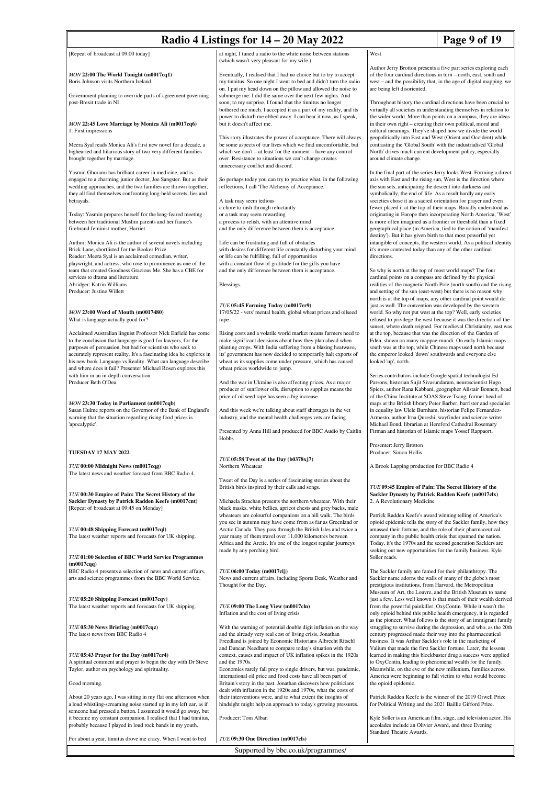# **Radio 4 Listings for 14 – 20 May 2022 Page 9 of 19**

but it doesn't affect me.

unnecessary conflict and discord.

A task may seem tedious a chore to rush through reluctantly or a task may seem rewarding a process to relish, with an attentive mind and the only difference between them is acceptance. Life can be frustrating and full of obstacles

**Blessings** 

rape

Hobbs

Northern Wheatear

made by any perching bird.

*TUE* **06:00 Today (m0017clj)**

*TUE* **09:00 The Long View (m0017cln)** Inflation and the cost of living crisis

Thought for the Day.

and the 1970s.

Producer: Tom Alban

*TUE* **09:30 One Direction (m0017cls)**

(which wasn't very pleasant for my wife.)

at night, I tuned a radio to the white noise between stations

Eventually, I realised that I had no choice but to try to accept my tinnitus. So one night I went to bed and didn't turn the radio on. I put my head down on the pillow and allowed the noise to submerge me. I did the same over the next few nights. And soon, to my surprise, I found that the tinnitus no longer bothered me much. I accepted it as a part of my reality, and its power to disturb me ebbed away. I can hear it now, as I speak,

This story illustrates the power of acceptance. There will always be some aspects of our lives which we find uncomfortable, but which we don't – at least for the moment – have any control over. Resistance to situations we can't change creates

So perhaps today you can try to practice what, in the following reflections, I call 'The Alchemy of Acceptance.'

with desires for different life constantly disturbing your mind

17/05/22 - vets' mental health, global wheat prices and oilseed

Rising costs and a volatile world market means farmers need to make significant decisions about how they plan ahead when planting crops. With India suffering from a blazing heatwave, its' government has now decided to temporarily halt exports of wheat as its supplies come under pressure, which has caused

And the war in Ukraine is also affecting prices. As a major producer of sunflower oils, disruption to supplies means the

And this week we're talking about staff shortages in the vet industry, and the mental health challenges vets are facing. Presented by Anna Hill and produced for BBC Audio by Caitlin

Tweet of the Day is a series of fascinating stories about the British birds inspired by their calls and songs.

Michaela Strachan presents the northern wheatear. With their black masks, white bellies, apricot chests and grey backs, male wheatears are colourful companions on a hill walk. The birds you see in autumn may have come from as far as Greenland or Arctic Canada. They pass through the British Isles and twice a year many of them travel over 11,000 kilometres between Africa and the Arctic. It's one of the longest regular journeys

News and current affairs, including Sports Desk, Weather and

With the warning of potential double digit inflation on the way and the already very real cost of living crisis, Jonathan Freedland is joined by Economic Historians Albrecht Ritschl and Duncan Needham to compare today's situation with the context, causes and impact of UK inflation spikes in the 1920s

Economies rarely fall prey to single drivers, but war, pandemic, international oil price and food costs have all been part of Britain's story in the past. Jonathan discovers how politicians dealt with inflation in the 1920s and 1970s, what the costs of their interventions were, and to what extent the insights of hindsight might help an approach to today's growing pressures.

or life can be fulfilling, full of opportunities with a constant flow of gratitude for the gifts you have and the only difference between them is acceptance.

*TUE* **05:45 Farming Today (m0017cr9)**

wheat prices worldwide to jump.

price of oil seed rape has seen a big increase.

*TUE* **05:58 Tweet of the Day (b0378xj7)**

[Repeat of broadcast at 09:00 today]

*MON* **22:00 The World Tonight (m0017cq1)** Boris Johnson visits Northern Ireland

Government planning to override parts of agreement governing post-Brexit trade in NI

*MON* **22:45 Love Marriage by Monica Ali (m0017cq6)** 1: First impressions

Meera Syal reads Monica Ali's first new novel for a decade, a bighearted and hilarious story of two very different families brought together by marriage.

Yasmin Ghorami has brilliant career in medicine, and is engaged to a charming junior doctor, Joe Sangster. But as their wedding approaches, and the two families are thrown together, they all find themselves confronting long-held secrets, lies and betrayals.

Today: Yasmin prepares herself for the long-feared meeting between her traditional Muslim parents and her fiance's firebrand feminist mother, Harriet.

Author: Monica Ali is the author of several novels including Brick Lane, shortlisted for the Booker Prize. Reader: Meera Syal is an acclaimed comedian, writer, playwright, and actress, who rose to prominence as one of the team that created Goodness Gracious Me. She has a CBE for services to drama and literature. Abridger: Katrin Williams

Producer: Justine Willett

*MON* **23:00 Word of Mouth (m0017480)** What is language actually good for?

Acclaimed Australian linguist Professor Nick Enfield has come to the conclusion that language is good for lawyers, for the purposes of persuasion, but bad for scientists who seek to accurately represent reality. It's a fascinating idea he explores in his new book Language vs Reality. What can language describe and where does it fail? Presenter Michael Rosen explores this with him in an in-depth conversation. Producer Beth O'Dea

*MON* **23:30 Today in Parliament (m0017cqb)** Susan Hulme reports on the Governor of the Bank of England's

warning that the situation regarding rising food prices is 'apocalyptic'.

# **TUESDAY 17 MAY 2022**

*TUE* **00:00 Midnight News (m0017cqg)** The latest news and weather forecast from BBC Radio 4.

*TUE* **00:30 Empire of Pain: The Secret History of the Sackler Dynasty by Patrick Radden Keefe (m0017cnt)** [Repeat of broadcast at 09:45 on Monday]

*TUE* **00:48 Shipping Forecast (m0017cql)** The latest weather reports and forecasts for UK shipping.

*TUE* **01:00 Selection of BBC World Service Programmes (m0017cqq)** BBC Radio 4 presents a selection of news and current affairs,

arts and science programmes from the BBC World Service.

*TUE* **05:20 Shipping Forecast (m0017cqv)** The latest weather reports and forecasts for UK shipping.

*TUE* **05:30 News Briefing (m0017cqz)** The latest news from BBC Radio 4

#### *TUE* **05:43 Prayer for the Day (m0017cr4)**

A spiritual comment and prayer to begin the day with Dr Steve Taylor, author on psychology and spirituality.

Good morning.

About 20 years ago, I was sitting in my flat one afternoon when a loud whistling-screaming noise started up in my left ear, as if someone had pressed a button. I assumed it would go away, but it became my constant companion. I realised that I had tinnitus, probably because I played in loud rock bands in my youth.

For about a year, tinnitus drove me crazy. When I went to bed

Supported by bbc.co.uk/programmes/

# West

thor Jerry Brotton presents a five part series exploring each of the four cardinal directions in turn – north, east, south and west – and the possibility that, in the age of digital mapping, we are being left disoriented.

Throughout history the cardinal directions have been crucial to virtually all societies in understanding themselves in relation to the wider world. More than points on a compass, they are ideas in their own right – creating their own political, moral and cultural meanings. They've shaped how we divide the world geopolitically into East and West (Orient and Occident) while contrasting the 'Global South' with the industrialised 'Global North' drives much current development policy, especially around climate change.

In the final part of the series Jerry looks West. Forming a direct axis with East and the rising sun, West is the direction where the sun sets, anticipating the descent into darkness and symbolically, the end of life. As a result hardly any early societies chose it as a sacred orientation for prayer and even fewer placed it at the top of their maps. Broadly understood as originating in Europe then incorporating North America, 'West' is more often imagined as a frontier or threshold than a fixed geographical place (in America, tied to the notion of 'manifest destiny'). But it has given birth to that most powerful yet intangible of concepts, the western world. As a political identity it's more contested today than any of the other cardinal directions.

So why is north at the top of most world maps? The four cardinal points on a compass are defined by the physical realities of the magnetic North Pole (north-south) and the rising and setting of the sun (east-west) but there is no reason why north is at the top of maps, any other cardinal point would do just as well. The convention was developed by the western world. So why not put west at the top? Well, early societies refused to privilege the west because it was the direction of the set, where death reigned. For medieval Christianity, east was at the top, because that was the direction of the Garden of Eden, shown on many mappae-mundi. On early Islamic maps south was at the top, while Chinese maps used north because the emperor looked 'down' southwards and everyone else looked 'up', north.

Series contributors include Google spatial technologist Ed Parsons, historian Sujit Sivasundaram, neuroscientist Hugo Spiers, author Rana Kabbani, geographer Alistair Bonnett, head of the China Institute at SOAS Steve Tsang, former head of maps at the British library Peter Barber, barrister and specialist in equality law Ulele Burnham, historian Felipe Fernandez-Armesto, author Irna Qureshi, wayfinder and science writer Michael Bond, librarian at Hereford Cathedral Rosemary Firman and historian of Islamic maps Yossef Rappaort.

Presenter: Jerry Brotton Producer: Simon Hollis

A Brook Lapping production for BBC Radio 4

#### *TUE* **09:45 Empire of Pain: The Secret History of the Sackler Dynasty by Patrick Radden Keefe (m0017clx)** 2. A Revolutionary Medicine

Patrick Radden Keefe's award winning telling of America's opioid epidemic tells the story of the Sackler family, how they amassed their fortune, and the role of their pharmaceutical company in the public health crisis that spanned the nation. Today, it's the 1970s and the second generation Sacklers are seeking out new opportunities for the family business. Kyle Soller reads.

The Sackler family are famed for their philanthropy. The Sackler name adorns the walls of many of the globe's most prestigious institutions, from Harvard, the Metropolitan Museum of Art, the Louvre, and the British Museum to name just a few. Less well known is that much of their wealth derived from the powerful painkiller, OxyContin. While it wasn't the only opioid behind this public health emergency, it is regarded as the pioneer. What follows is the story of an immigrant family struggling to survive during the depression, and who, as the 20th century progressed made their way into the pharmaceutical business. It was Arthur Sackler's role in the marketing of Valium that made the first Sackler fortune. Later, the lesson learned in making this blockbuster drug a success were applied to OxyContin, leading to phenomenal wealth for the family. Meanwhile, on the eve of the new millenium, families across America were beginning to fall victim to what would become the opioid epidemic.

Patrick Radden Keefe is the winner of the 2019 Orwell Prize for Political Writing and the 2021 Baillie Gifford Prize.

Kyle Soller is an American film, stage, and television actor. His accolades include an Olivier Award, and three Evening Standard Theatre Awards.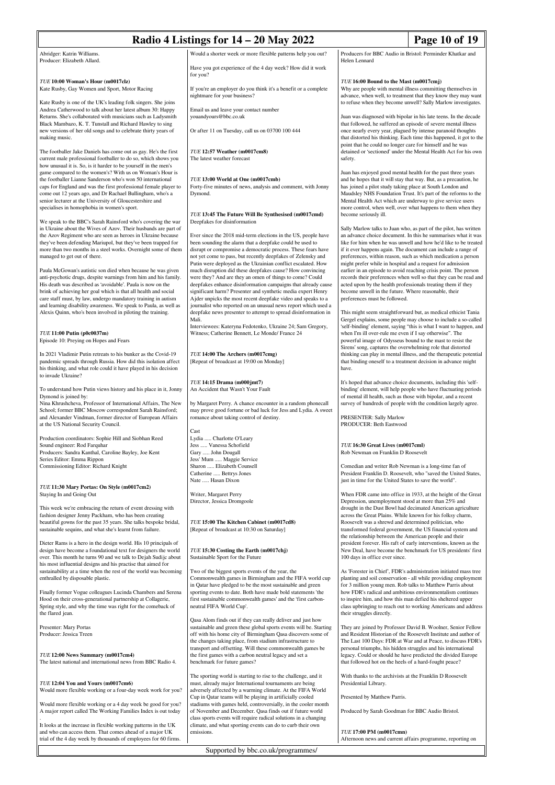| Radio 4 Listings for $14 - 20$ May 2022<br>Page 10 of 19                                                                                                                                             |                                                                                                                                                                                           |                                                                                                                                                                                                      |
|------------------------------------------------------------------------------------------------------------------------------------------------------------------------------------------------------|-------------------------------------------------------------------------------------------------------------------------------------------------------------------------------------------|------------------------------------------------------------------------------------------------------------------------------------------------------------------------------------------------------|
| Abridger: Katrin Williams.                                                                                                                                                                           | Would a shorter week or more flexible patterns help you out?                                                                                                                              | Producers for BBC Audio in Bristol: Perminder Khatkar and                                                                                                                                            |
| Producer: Elizabeth Allard.                                                                                                                                                                          | Have you got experience of the 4 day week? How did it work                                                                                                                                | Helen Lennard                                                                                                                                                                                        |
|                                                                                                                                                                                                      | for you?                                                                                                                                                                                  |                                                                                                                                                                                                      |
| TUE 10:00 Woman's Hour (m0017clz)<br>Kate Rusby, Gay Women and Sport, Motor Racing                                                                                                                   | If you're an employer do you think it's a benefit or a complete<br>nightmare for your business?                                                                                           | TUE 16:00 Bound to the Mast (m0017cmj)<br>Why are people with mental illness committing themselves in<br>advance, when well, to treatment that they know they may want                               |
| Kate Rusby is one of the UK's leading folk singers. She joins<br>Andrea Catherwood to talk about her latest album 30: Happy<br>Returns. She's collaborated with musicians such as Ladysmith          | Email us and leave your contact number<br>youandyours@bbc.co.uk                                                                                                                           | to refuse when they become unwell? Sally Marlow investigates.<br>Juan was diagnosed with bipolar in his late teens. In the decade                                                                    |
| Black Mambazo, K. T. Tunstall and Richard Hawley to sing<br>new versions of her old songs and to celebrate thirty years of                                                                           | Or after 11 on Tuesday, call us on 03700 100 444                                                                                                                                          | that followed, he suffered an episode of severe mental illness<br>once nearly every year, plagued by intense paranoid thoughts                                                                       |
| making music.                                                                                                                                                                                        |                                                                                                                                                                                           | that distorted his thinking. Each time this happened, it got to the<br>point that he could no longer care for himself and he was                                                                     |
| The footballer Jake Daniels has come out as gay. He's the first<br>current male professional footballer to do so, which shows you<br>how unusual it is. So, is it harder to be yourself in the men's | TUE 12:57 Weather (m0017cm8)<br>The latest weather forecast                                                                                                                               | detained or 'sectioned' under the Mental Health Act for his own<br>safety.                                                                                                                           |
| game compared to the women's? With us on Woman's Hour is<br>the footballer Lianne Sanderson who's won 50 international                                                                               | TUE 13:00 World at One (m0017cmb)                                                                                                                                                         | Juan has enjoyed good mental health for the past three years<br>and he hopes that it will stay that way. But, as a precaution, he                                                                    |
| caps for England and was the first professional female player to<br>come out 12 years ago, and Dr Rachael Bullingham, who's a<br>senior lecturer at the University of Gloucestershire and            | Forty-five minutes of news, analysis and comment, with Jonny<br>Dymond.                                                                                                                   | has joined a pilot study taking place at South London and<br>Maudsley NHS Foundation Trust. It's part of the reforms to the<br>Mental Health Act which are underway to give service users            |
| specialises in homophobia in women's sport.                                                                                                                                                          | TUE 13:45 The Future Will Be Synthesised (m0017cmd)                                                                                                                                       | more control, when well, over what happens to them when they<br>become seriously ill.                                                                                                                |
| We speak to the BBC's Sarah Rainsford who's covering the war<br>in Ukraine about the Wives of Azov. Their husbands are part of                                                                       | Deepfakes for disinformation                                                                                                                                                              | Sally Marlow talks to Juan who, as part of the pilot, has written                                                                                                                                    |
| the Azov Regiment who are seen as heroes in Ukraine because<br>they've been defending Mariupol, but they've been trapped for                                                                         | Ever since the 2018 mid-term elections in the US, people have<br>been sounding the alarm that a deepfake could be used to                                                                 | an advance choice document. In this he summarises what it was<br>like for him when he was unwell and how he'd like to be treated                                                                     |
| more than two months in a steel works. Overnight some of them<br>managed to get out of there.                                                                                                        | disrupt or compromise a democratic process. These fears have<br>not yet come to pass, but recently deepfakes of Zelensky and                                                              | if it ever happens again. The document can include a range of<br>preferences, within reason, such as which medication a person                                                                       |
| Paula McGowan's autistic son died when because he was given                                                                                                                                          | Putin were deployed as the Ukrainian conflict escalated. How<br>much disruption did these deepfakes cause? How convincing                                                                 | might prefer while in hospital and a request for admission<br>earlier in an episode to avoid reaching crisis point. The person                                                                       |
| anti-psychotic drugs, despite warnings from him and his family.<br>His death was described as 'avoidable'. Paula is now on the<br>brink of achieving her goal which is that all health and social    | were they? And are they an omen of things to come? Could<br>deepfakes enhance disinformation campaigns that already cause<br>significant harm? Presenter and synthetic media expert Henry | records their preferences when well so that they can be read and<br>acted upon by the health professionals treating them if they<br>become unwell in the future. Where reasonable, their             |
| care staff must, by law, undergo mandatory training in autism<br>and learning disability awareness. We speak to Paula, as well as                                                                    | Ajder unpicks the most recent deepfake video and speaks to a<br>journalist who reported on an unusual news report which used a                                                            | preferences must be followed.                                                                                                                                                                        |
| Alexis Quinn, who's been involved in piloting the training.                                                                                                                                          | deepfake news presenter to attempt to spread disinformation in<br>Mali.                                                                                                                   | This might seem straightforward but, as medical ethicist Tania<br>Gergel explains, some people may choose to include a so-called                                                                     |
| TUE 11:00 Putin (p0c0037m)<br>Episode 10: Preying on Hopes and Fears                                                                                                                                 | Interviewees: Kateryna Fedotenko, Ukraine 24; Sam Gregory,<br>Witness; Catherine Bennett, Le Monde/ France 24                                                                             | 'self-binding' element, saying "this is what I want to happen, and<br>when I'm ill over-rule me even if I say otherwise". The<br>powerful image of Odysseus bound to the mast to resist the          |
| In 2021 Vladimir Putin retreats to his bunker as the Covid-19                                                                                                                                        | TUE 14:00 The Archers (m0017cmg)                                                                                                                                                          | Sirens' song, captures the overwhelming role that distorted<br>thinking can play in mental illness, and the therapeutic potential                                                                    |
| pandemic spreads through Russia. How did this isolation affect<br>his thinking, and what role could it have played in his decision<br>to invade Ukraine?                                             | [Repeat of broadcast at 19:00 on Monday]                                                                                                                                                  | that binding oneself to a treatment decision in advance might<br>have.                                                                                                                               |
| To understand how Putin views history and his place in it, Jonny<br>Dymond is joined by:                                                                                                             | TUE 14:15 Drama (m000jmt7)<br>An Accident that Wasn't Your Fault                                                                                                                          | It's hoped that advance choice documents, including this 'self-<br>binding' element, will help people who have fluctuating periods<br>of mental ill health, such as those with bipolar, and a recent |
| Nina Khrushcheva, Professor of International Affairs, The New<br>School; former BBC Moscow correspondent Sarah Rainsford;<br>and Alexander Vindman, former director of European Affairs              | by Margaret Perry. A chance encounter in a random phonecall<br>may prove good fortune or bad luck for Jess and Lydia. A sweet<br>romance about taking control of destiny.                 | survey of hundreds of people with the condition largely agree.<br>PRESENTER: Sally Marlow                                                                                                            |
| at the US National Security Council.<br>Production coordinators: Sophie Hill and Siobhan Reed                                                                                                        | Cast                                                                                                                                                                                      | PRODUCER: Beth Eastwood                                                                                                                                                                              |
| Sound engineer: Rod Farquhar<br>Producers: Sandra Kanthal, Caroline Bayley, Joe Kent                                                                                                                 | Lydia  Charlotte O'Leary<br>Jess  Vanessa Schofield<br>Gary  John Dougall                                                                                                                 | TUE 16:30 Great Lives (m0017cml)<br>Rob Newman on Franklin D Roosevelt                                                                                                                               |
| Series Editor: Emma Rippon<br>Commissioning Editor: Richard Knight                                                                                                                                   | Jess' Mum  Maggie Service<br>Sharon  Elizabeth Counsell                                                                                                                                   | Comedian and writer Rob Newman is a long-time fan of                                                                                                                                                 |
|                                                                                                                                                                                                      | Catherine  Bettrys Jones<br>Nate  Hasan Dixon                                                                                                                                             | President Franklin D. Roosevelt, who "saved the United States,<br>just in time for the United States to save the world".                                                                             |
| TUE 11:30 Mary Portas: On Style (m0017cm2)<br>Staying In and Going Out                                                                                                                               | Writer, Margaret Perry                                                                                                                                                                    | When FDR came into office in 1933, at the height of the Great                                                                                                                                        |
| This week we're embracing the return of event dressing with                                                                                                                                          | Director, Jessica Dromgoole                                                                                                                                                               | Depression, unemployment stood at more than 25% and<br>drought in the Dust Bowl had decimated American agriculture                                                                                   |
| fashion designer Jenny Packham, who has been creating<br>beautiful gowns for the past 35 years. She talks bespoke bridal,<br>sustainable sequins, and what she's learnt from failure.                | TUE 15:00 The Kitchen Cabinet (m0017cd8)<br>[Repeat of broadcast at 10:30 on Saturday]                                                                                                    | across the Great Plains. While known for his folksy charm,<br>Roosevelt was a shrewd and determined politician, who<br>transformed federal government, the US financial system and                   |
| Dieter Rams is a hero in the design world. His 10 principals of                                                                                                                                      |                                                                                                                                                                                           | the relationship between the American people and their<br>president forever. His raft of early interventions, known as the                                                                           |
| design have become a foundational text for designers the world<br>over. This month he turns 90 and we talk to Dejah Sudijc about                                                                     | TUE 15:30 Costing the Earth (m0017chj)<br>Sustainable Sport for the Future                                                                                                                | New Deal, have become the benchmark for US presidents' first<br>100 days in office ever since.                                                                                                       |
| his most influential designs and his practise that aimed for<br>sustainability at a time when the rest of the world was becoming<br>enthralled by disposable plastic.                                | Two of the biggest sports events of the year, the<br>Commonwealth games in Birmingham and the FIFA world cup                                                                              | As 'Forester in Chief', FDR's administration initiated mass tree<br>planting and soil conservation - all while providing employment                                                                  |
| Finally former Vogue colleagues Lucinda Chambers and Serena                                                                                                                                          | in Qatar have pledged to be the most sustainable and green<br>sporting events to date. Both have made bold statements 'the                                                                | for 3 million young men. Rob talks to Matthew Parris about<br>how FDR's radical and ambitious environmentalism continues                                                                             |
| Hood on their cross-generational partnership at Collagerie,<br>Spring style, and why the time was right for the comeback of<br>the flared jean.                                                      | first sustainable commonwealth games' and the 'first carbon-<br>neutral FIFA World Cup'.                                                                                                  | to inspire him, and how this man defied his sheltered upper<br>class upbringing to reach out to working Americans and address<br>their struggles directly.                                           |
| Presenter: Mary Portas                                                                                                                                                                               | Qasa Alom finds out if they can really deliver and just how<br>sustainable and green these global sports events will be. Starting                                                         | They are joined by Professor David B. Woolner, Senior Fellow                                                                                                                                         |
| Producer: Jessica Treen                                                                                                                                                                              | off with his home city of Birmingham Qasa discovers some of<br>the changes taking place, from stadium infrastructure to<br>transport and offsetting. Will these commonwealth games be     | and Resident Historian of the Roosevelt Institute and author of<br>The Last 100 Days: FDR at War and at Peace, to discuss FDR's<br>personal triumphs, his hidden struggles and his international     |
| TUE 12:00 News Summary (m0017cm4)<br>The latest national and international news from BBC Radio 4.                                                                                                    | the first games with a carbon neutral legacy and set a<br>benchmark for future games?                                                                                                     | legacy. Could or should he have predicted the divided Europe<br>that followed hot on the heels of a hard-fought peace?                                                                               |
|                                                                                                                                                                                                      | The sporting world is starting to rise to the challenge, and it                                                                                                                           | With thanks to the archivists at the Franklin D Roosevelt                                                                                                                                            |
| TUE 12:04 You and Yours (m0017cm6)<br>Would more flexible working or a four-day week work for you?                                                                                                   | must, already major International tournaments are being<br>adversely affected by a warming climate. At the FIFA World<br>Cup in Qatar teams will be playing in artificially cooled        | Presidential Library.<br>Presented by Matthew Parris.                                                                                                                                                |
| Would more flexible working or a 4 day week be good for you?<br>A major report called The Working Families Index is out today                                                                        | stadiums with games held, controversially, in the cooler month<br>of November and December. Qasa finds out if future world                                                                | Produced by Sarah Goodman for BBC Audio Bristol.                                                                                                                                                     |
| It looks at the increase in flexible working patterns in the UK                                                                                                                                      | class sports events will require radical solutions in a changing<br>climate, and what sporting events can do to curb their own                                                            |                                                                                                                                                                                                      |
| and who can access them. That comes ahead of a major UK<br>trial of the 4 day week by thousands of employees for 60 firms.                                                                           | emissions.                                                                                                                                                                                | TUE 17:00 PM (m0017cmn)<br>Afternoon news and current affairs programme, reporting on                                                                                                                |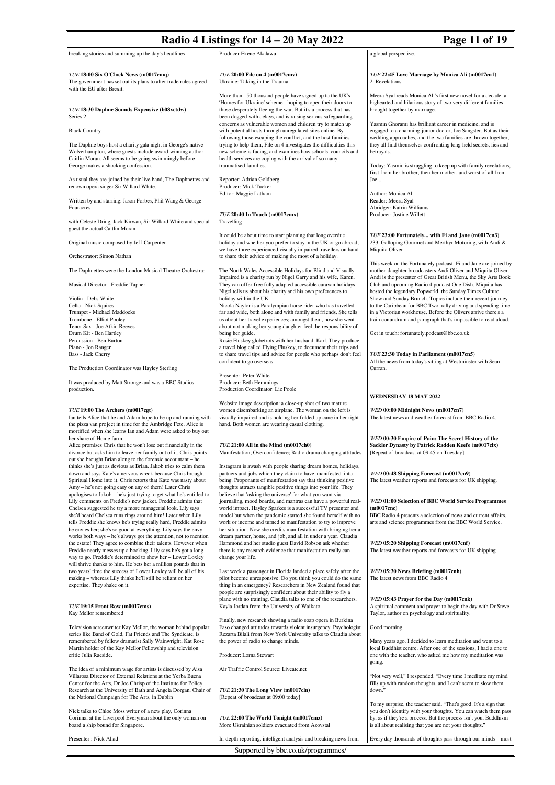| Radio 4 Listings for 14 - 20 May 2022<br>Page 11 of 19                                                                                                                                                                                                                                                                            |                                                                                                                                                                                                                                                                                                                               |                                                                                                                                                        |                                                                                                                                                                                                      |
|-----------------------------------------------------------------------------------------------------------------------------------------------------------------------------------------------------------------------------------------------------------------------------------------------------------------------------------|-------------------------------------------------------------------------------------------------------------------------------------------------------------------------------------------------------------------------------------------------------------------------------------------------------------------------------|--------------------------------------------------------------------------------------------------------------------------------------------------------|------------------------------------------------------------------------------------------------------------------------------------------------------------------------------------------------------|
| breaking stories and summing up the day's headlines                                                                                                                                                                                                                                                                               | Producer Ekene Akalawu                                                                                                                                                                                                                                                                                                        | a global perspective.                                                                                                                                  |                                                                                                                                                                                                      |
| TUE 18:00 Six O'Clock News (m0017cmq)<br>The government has set out its plans to alter trade rules agreed<br>with the EU after Brexit.                                                                                                                                                                                            | TUE 20:00 File on 4 (m0017cmv)<br>Ukraine: Taking in the Trauma                                                                                                                                                                                                                                                               | TUE 22:45 Love Marriage by Monica Ali (m0017cn1)<br>2: Revelations                                                                                     |                                                                                                                                                                                                      |
| TUE 18:30 Daphne Sounds Expensive (b08xctdw)<br>Series <sub>2</sub>                                                                                                                                                                                                                                                               | More than 150 thousand people have signed up to the UK's<br>'Homes for Ukraine' scheme - hoping to open their doors to<br>those desperately fleeing the war. But it's a process that has<br>been dogged with delays, and is raising serious safeguarding                                                                      | bighearted and hilarious story of two very different families<br>brought together by marriage.                                                         | Meera Syal reads Monica Ali's first new novel for a decade, a                                                                                                                                        |
| <b>Black Country</b>                                                                                                                                                                                                                                                                                                              | concerns as vulnerable women and children try to match up<br>with potential hosts through unregulated sites online. By                                                                                                                                                                                                        | Yasmin Ghorami has brilliant career in medicine, and is                                                                                                | engaged to a charming junior doctor, Joe Sangster. But as their                                                                                                                                      |
| The Daphne boys host a charity gala night in George's native<br>Wolverhampton, where guests include award-winning author<br>Caitlin Moran. All seems to be going swimmingly before<br>George makes a shocking confession.                                                                                                         | following those escaping the conflict, and the host families<br>trying to help them, File on 4 investigates the difficulties this<br>new scheme is facing, and examines how schools, councils and<br>health services are coping with the arrival of so many<br>traumatised families.                                          | betrayals.                                                                                                                                             | wedding approaches, and the two families are thrown together,<br>they all find themselves confronting long-held secrets, lies and<br>Today: Yasmin is struggling to keep up with family revelations, |
| As usual they are joined by their live band, The Daphnettes and<br>renown opera singer Sir Willard White.                                                                                                                                                                                                                         | Reporter: Adrian Goldberg<br>Producer: Mick Tucker                                                                                                                                                                                                                                                                            | Joe                                                                                                                                                    | first from her brother, then her mother, and worst of all from                                                                                                                                       |
| Written by and starring: Jason Forbes, Phil Wang & George<br>Fouracres                                                                                                                                                                                                                                                            | Editor: Maggie Latham                                                                                                                                                                                                                                                                                                         | Author: Monica Ali<br>Reader: Meera Syal<br>Abridger: Katrin Williams                                                                                  |                                                                                                                                                                                                      |
| with Celeste Dring, Jack Kirwan, Sir Willard White and special<br>guest the actual Caitlin Moran                                                                                                                                                                                                                                  | TUE 20:40 In Touch (m0017cmx)<br>Travelling                                                                                                                                                                                                                                                                                   | Producer: Justine Willett                                                                                                                              |                                                                                                                                                                                                      |
| Original music composed by Jeff Carpenter                                                                                                                                                                                                                                                                                         | It could be about time to start planning that long overdue<br>holiday and whether you prefer to stay in the UK or go abroad,<br>we have three experienced visually impaired travellers on hand                                                                                                                                | TUE 23:00 Fortunately with Fi and Jane (m0017cn3)<br>Miquita Oliver                                                                                    | 233. Galloping Gourmet and Merthyr Motoring, with Andi &                                                                                                                                             |
| Orchestrator: Simon Nathan                                                                                                                                                                                                                                                                                                        | to share their advice of making the most of a holiday.                                                                                                                                                                                                                                                                        |                                                                                                                                                        | This week on the Fortunately podcast, Fi and Jane are joined by                                                                                                                                      |
| The Daphnettes were the London Musical Theatre Orchestra:<br>Musical Director - Freddie Tapner                                                                                                                                                                                                                                    | The North Wales Accessible Holidays for Blind and Visually<br>Impaired is a charity run by Nigel Garry and his wife, Karen.<br>They can offer free fully adapted accessible caravan holidays.                                                                                                                                 | Club and upcoming Radio 4 podcast One Dish. Miquita has                                                                                                | mother-daughter broadcasters Andi Oliver and Miquita Oliver.<br>Andi is the presenter of Great British Menu, the Sky Arts Book                                                                       |
| Violin - Debs White                                                                                                                                                                                                                                                                                                               | Nigel tells us about his charity and his own preferences to<br>holiday within the UK.                                                                                                                                                                                                                                         | hosted the legendary Popworld, the Sunday Times Culture                                                                                                | Show and Sunday Brunch. Topics include their recent journey                                                                                                                                          |
| Cello - Nick Squires<br>Trumpet - Michael Maddocks<br>Trombone - Elliot Pooley<br>Tenor Sax - Joe Atkin Reeves                                                                                                                                                                                                                    | Nicola Naylor is a Paralympian horse rider who has travelled<br>far and wide, both alone and with family and friends. She tells<br>us about her travel experiences; amongst them, how she went<br>about not making her young daughter feel the responsibility of                                                              | in a Victorian workhouse. Before the Olivers arrive there's a                                                                                          | to the Caribbean for BBC Two, rally driving and spending time<br>train conundrum and paragraph that's impossible to read aloud.                                                                      |
| Drum Kit - Ben Hartley<br>Percussion - Ben Burton                                                                                                                                                                                                                                                                                 | being her guide.<br>Rosie Fluskey globetrots with her husband, Karl. They produce                                                                                                                                                                                                                                             | Get in touch: fortunately.podcast@bbc.co.uk                                                                                                            |                                                                                                                                                                                                      |
| Piano - Jon Ranger<br>Bass - Jack Cherry                                                                                                                                                                                                                                                                                          | a travel blog called Flying Fluskey, to document their trips and<br>to share travel tips and advice for people who perhaps don't feel<br>confident to go overseas.                                                                                                                                                            | TUE 23:30 Today in Parliament (m0017cn5)<br>All the news from today's sitting at Westminster with Sean                                                 |                                                                                                                                                                                                      |
| The Production Coordinator was Hayley Sterling                                                                                                                                                                                                                                                                                    | Presenter: Peter White                                                                                                                                                                                                                                                                                                        | Curran.                                                                                                                                                |                                                                                                                                                                                                      |
| It was produced by Matt Stronge and was a BBC Studios<br>production.                                                                                                                                                                                                                                                              | Producer: Beth Hemmings<br>Production Coordinator: Liz Poole                                                                                                                                                                                                                                                                  | <b>WEDNESDAY 18 MAY 2022</b>                                                                                                                           |                                                                                                                                                                                                      |
|                                                                                                                                                                                                                                                                                                                                   | Website image description: a close-up shot of two mature                                                                                                                                                                                                                                                                      |                                                                                                                                                        |                                                                                                                                                                                                      |
| TUE 19:00 The Archers (m0017cgt)<br>Ian tells Alice that he and Adam hope to be up and running with<br>the pizza van project in time for the Ambridge Fete. Alice is<br>mortified when she learns Ian and Adam were asked to buy out                                                                                              | women disembarking an airplane. The woman on the left is<br>visually impaired and is holding her folded up cane in her right<br>hand. Both women are wearing casual clothing.                                                                                                                                                 | WED 00:00 Midnight News (m0017cn7)<br>The latest news and weather forecast from BBC Radio 4.                                                           |                                                                                                                                                                                                      |
| her share of Home farm.<br>Alice promises Chris that he won't lose out financially in the<br>divorce but asks him to leave her family out of it. Chris points<br>out she brought Brian along to the forensic accountant - he                                                                                                      | TUE 21:00 All in the Mind (m0017ch0)<br>Manifestation; Overconfidence; Radio drama changing attitudes                                                                                                                                                                                                                         | WED 00:30 Empire of Pain: The Secret History of the<br>Sackler Dynasty by Patrick Radden Keefe (m0017clx)<br>[Repeat of broadcast at 09:45 on Tuesday] |                                                                                                                                                                                                      |
| thinks she's just as devious as Brian. Jakob tries to calm them<br>down and says Kate's a nervous wreck because Chris brought<br>Spiritual Home into it. Chris retorts that Kate was nasty about<br>Amy – he's not going easy on any of them! Later Chris<br>apologises to Jakob - he's just trying to get what he's entitled to. | Instagram is awash with people sharing dream homes, holidays,<br>partners and jobs which they claim to have 'manifested' into<br>being. Proponants of manifestation say that thinking positive<br>thoughts attracts tangible positive things into your life. They<br>believe that 'asking the universe' for what you want via | WED 00:48 Shipping Forecast (m0017cn9)<br>The latest weather reports and forecasts for UK shipping.                                                    |                                                                                                                                                                                                      |
| Lily comments on Freddie's new jacket. Freddie admits that<br>Chelsea suggested he try a more managerial look. Lily says<br>she'd heard Chelsea runs rings around him! Later when Lily                                                                                                                                            | journaling, mood boards, and mantras can have a powerful real-<br>world impact. Hayley Sparkes is a successful TV presenter and<br>model but when the pandemic started she found herself with no                                                                                                                              | $(m0017$ cnc $)$                                                                                                                                       | <b>WED 01:00 Selection of BBC World Service Programmes</b><br>BBC Radio 4 presents a selection of news and current affairs,                                                                          |
| tells Freddie she knows he's trying really hard, Freddie admits<br>he envies her; she's so good at everything. Lily says the envy<br>works both ways - he's always got the attention, not to mention                                                                                                                              | work or income and turned to manifestation to try to improve<br>her situation. Now she credits manifestation with bringing her a<br>dream partner, home, and job, and all in under a year. Claudia                                                                                                                            | arts and science programmes from the BBC World Service.                                                                                                |                                                                                                                                                                                                      |
| the estate! They agree to combine their talents. However when<br>Freddie nearly messes up a booking, Lily says he's got a long<br>way to go. Freddie's determined to show her - Lower Loxley<br>will thrive thanks to him. He bets her a million pounds that in                                                                   | Hammond and her studio guest David Robson ask whether<br>there is any research evidence that manifestation really can<br>change your life.                                                                                                                                                                                    | WED 05:20 Shipping Forecast (m0017cnf)<br>The latest weather reports and forecasts for UK shipping.                                                    |                                                                                                                                                                                                      |
| two years' time the success of Lower Loxley will be all of his<br>making - whereas Lily thinks he'll still be reliant on her<br>expertise. They shake on it.                                                                                                                                                                      | Last week a passenger in Florida landed a place safely after the<br>pilot become unresponsive. Do you think you could do the same<br>thing in an emergency? Researchers in New Zealand found that<br>people are surprisingly confident about their ability to fly a                                                           | WED 05:30 News Briefing (m0017cnh)<br>The latest news from BBC Radio 4                                                                                 |                                                                                                                                                                                                      |
| TUE 19:15 Front Row (m0017cms)<br>Kay Mellor remembered                                                                                                                                                                                                                                                                           | plane with no training. Claudia talks to one of the researchers,<br>Kayla Jordan from the University of Waikato.                                                                                                                                                                                                              | WED 05:43 Prayer for the Day (m0017cnk)<br>Taylor, author on psychology and spirituality.                                                              | A spiritual comment and prayer to begin the day with Dr Steve                                                                                                                                        |
| Television screenwriter Kay Mellor, the woman behind popular<br>series like Band of Gold, Fat Friends and The Syndicate, is                                                                                                                                                                                                       | Finally, new research showing a radio soap opera in Burkina<br>Faso changed attitudes towards violent insurgency. Psychologist<br>Rezarta Bilali from New York University talks to Claudia about                                                                                                                              | Good morning.                                                                                                                                          |                                                                                                                                                                                                      |
| remembered by fellow dramatist Sally Wainwright, Kat Rose<br>Martin holder of the Kay Mellor Fellowship and television<br>critic Julia Raeside.                                                                                                                                                                                   | the power of radio to change minds.<br>Producer: Lorna Stewart                                                                                                                                                                                                                                                                | Many years ago, I decided to learn meditation and went to a<br>one with the teacher, who asked me how my meditation was                                | local Buddhist centre. After one of the sessions, I had a one to                                                                                                                                     |
| The idea of a minimum wage for artists is discussed by Aisa<br>Villarosa Director of External Relations at the Yerba Buena                                                                                                                                                                                                        | Air Traffic Control Source: Liveatc.net                                                                                                                                                                                                                                                                                       | going.                                                                                                                                                 | "Not very well," I responded. "Every time I meditate my mind                                                                                                                                         |
| Center for the Arts, Dr Joe Chrisp of the Institute for Policy<br>Research at the University of Bath and Angela Dorgan, Chair of                                                                                                                                                                                                  | TUE 21:30 The Long View (m0017cln)                                                                                                                                                                                                                                                                                            | fills up with random thoughts, and I can't seem to slow them<br>down."                                                                                 |                                                                                                                                                                                                      |
| the National Campaign for The Arts, in Dublin                                                                                                                                                                                                                                                                                     | [Repeat of broadcast at 09:00 today]                                                                                                                                                                                                                                                                                          |                                                                                                                                                        | To my surprise, the teacher said, "That's good. It's a sign that                                                                                                                                     |
| Nick talks to Chloe Moss writer of a new play, Corinna<br>Corinna, at the Liverpool Everyman about the only woman on<br>board a ship bound for Singapore.                                                                                                                                                                         | TUE 22:00 The World Tonight (m0017cmz)<br>More Ukrainian soldiers evacuated from Azovstal                                                                                                                                                                                                                                     | is all about realising that you are not your thoughts."                                                                                                | you don't identify with your thoughts. You can watch them pass<br>by, as if they're a process. But the process isn't you. Buddhism                                                                   |
| Presenter: Nick Ahad                                                                                                                                                                                                                                                                                                              | In-depth reporting, intelligent analysis and breaking news from                                                                                                                                                                                                                                                               |                                                                                                                                                        | Every day thousands of thoughts pass through our minds - most                                                                                                                                        |
|                                                                                                                                                                                                                                                                                                                                   | Supported by bbc.co.uk/programmes/                                                                                                                                                                                                                                                                                            |                                                                                                                                                        |                                                                                                                                                                                                      |
|                                                                                                                                                                                                                                                                                                                                   |                                                                                                                                                                                                                                                                                                                               |                                                                                                                                                        |                                                                                                                                                                                                      |

 $\overline{\phantom{a}}$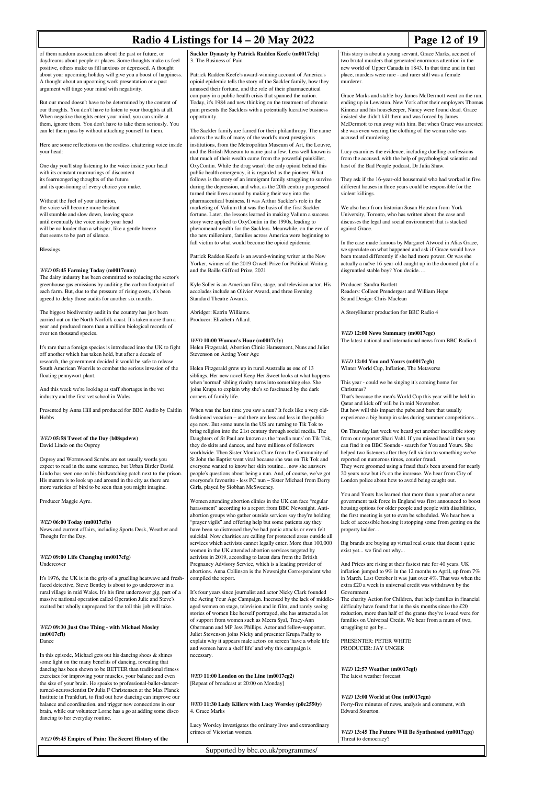# **Radio 4 Listings for 14 – 20 May 2022 Page 12 of 19**

of them random associations about the past or future, or daydreams about people or places. Some thoughts make us feel positive, others make us fill anxious or depressed. A thought about your upcoming holiday will give you a boost of happiness. A thought about an upcoming work presentation or a past argument will tinge your mind with negativity.

But our mood doesn't have to be determined by the content of our thoughts. You don't have to listen to your thoughts at all. When negative thoughts enter your mind, you can smile at them, ignore them. You don't have to take them seriously. You can let them pass by without attaching yourself to them.

Here are some reflections on the restless, chattering voice inside your head:

One day you'll stop listening to the voice inside your head with its constant murmurings of discontent its fearmongering thoughts of the future and its questioning of every choice you make.

Without the fuel of your attention, the voice will become more hesitant will stumble and slow down, leaving space until eventually the voice inside your head will be no louder than a whisper, like a gentle breeze that seems to be part of silence.

**Blessings** 

# *WED* **05:45 Farming Today (m0017cnm)**

The dairy industry has been committed to reducing the sector's greenhouse gas emissions by auditing the carbon footprint of each farm. But, due to the pressure of rising costs, it's been agreed to delay those audits for another six mont

The biggest biodiversity audit in the country has just been carried out on the North Norfolk coast. It's taken more than a year and produced more than a million biological records of over ten thousand species.

It's rare that a foreign species is introduced into the UK to fight off another which has taken hold, but after a decade of research, the government decided it would be safe to release South American Weevils to combat the serious invasion of the floating pennywort plant.

And this week we're looking at staff shortages in the vet industry and the first vet school in Wales.

Presented by Anna Hill and produced for BBC Audio by Caitlin Hobbs

*WED* **05:58 Tweet of the Day (b08spdww)** David Lindo on the Osprey

Osprey and Wormwood Scrubs are not usually words you expect to read in the same sentence, but Urban Birder David Lindo has seen one on his birdwatching patch next to the prison. His mantra is to look up and around in the city as there are more varieties of bird to be seen than you might imagine.

Producer Maggie Ayre.

*WED* **06:00 Today (m0017cfb)** News and current affairs, including Sports Desk, Weather and Thought for the Day.

*WED* **09:00 Life Changing (m0017cfg)** Undercover

It's 1976, the UK is in the grip of a gruelling heatwave and freshfaced detective, Steve Bentley is about to go undercover in a rural village in mid Wales. It's his first undercover gig, part of a massive national operation called Operation Julie and Steve's excited but wholly unprepared for the toll this job will take.

*WED* **09:30 Just One Thing - with Michael Mosley (m0017cfl)** Dance

In this episode, Michael gets out his dancing shoes  $\&$  shines some light on the many benefits of dancing, revealing that dancing has been shown to be BETTER than traditional fitness exercises for improving your muscles, your balance and even the size of your brain. He speaks to professional-ballet-dancerturned-neuroscientist Dr Julia F Christensen at the Max Planck Institute in Frankfurt, to find out how dancing can improve our balance and coordination, and trigger new connections in our brain, while our volunteer Lorne has a go at adding some disco dancing to her everyday routine.

*WED* **09:45 Empire of Pain: The Secret History of the**

**Sackler Dynasty by Patrick Radden Keefe (m0017cfq)** 3. The Business of Pain

Patrick Radden Keefe's award-winning account of America's opioid epidemic tells the story of the Sackler family, how they amassed their fortune, and the role of their pharmaceutical company in a public health crisis that spanned the nation. Today, it's 1984 and new thinking on the treatment of chronic pain presents the Sacklers with a potentially lucrative business opportunity.

The Sackler family are famed for their philanthropy. The name adorns the walls of many of the world's most prestigious institutions, from the Metropolitan Museum of Art, the Louvre, and the British Museum to name just a few. Less well known that much of their wealth came from the powerful painkiller, OxyContin. While the drug wasn't the only opioid behind this public health emergency, it is regarded as the pioneer. What follows is the story of an immigrant family struggling to survive during the depression, and who, as the 20th century progressed turned their lives around by making their way into the pharmaceutical business. It was Arthur Sackler's role in the marketing of Valium that was the basis of the first Sackler fortune. Later, the lessons learned in making Valium a succ story were applied to OxyContin in the 1990s, leading to phenomenal wealth for the Sacklers. Meanwhile, on the eve of the new millenium, families across America were beginning to fall victim to what would become the opioid epidemic.

Patrick Radden Keefe is an award-winning writer at the New Yorker, winner of the 2019 Orwell Prize for Political Writing and the Baille Gifford Prize, 2021

Kyle Soller is an American film, stage, and television actor. His accolades include an Olivier Award, and three Evening Standard Theatre Awards.

Abridger: Katrin Williams. Producer: Elizabeth Allard.

# *WED* **10:00 Woman's Hour (m0017cfy)**

Helen Fitzgerald, Abortion Clinic Harassment, Nuns and Juliet Stevenson on Acting Your Age

Helen Fitzgerald grew up in rural Australia as one of 13 siblings. Her new novel Keep Her Sweet looks at what happens when 'normal' sibling rivalry turns into something else. She joins Krupa to explain why she's so fascinated by the dark corners of family life.

When was the last time you saw a nun? It feels like a very oldfashioned vocation – and there are less and less in the public eye now. But some nuns in the US are turning to Tik Tok to bring religion into the 21st century through social media. The Daughters of St Paul are known as the 'media nuns' on Tik Tok, they do skits and dances, and have millions of followers worldwide. Then Sister Monica Clare from the Community of St John the Baptist went viral because she was on Tik Tok and everyone wanted to know her skin routine…now she answers people's questions about being a nun. And, of course, we've got everyone's favourite - less PC nun – Sister Michael from Derry Girls, played by Siobhan McSweeney.

Women attending abortion clinics in the UK can face "regular harassment" according to a report from BBC Newsnight. Antiabortion groups who gather outside services say they're holding "prayer vigils" and offering help but some patients say they have been so distressed they've had panic attacks or even felt suicidal. Now charities are calling for protected areas outside all services which activists cannot legally enter. More than  $100,000$ women in the UK attended abortion services targeted by activists in 2019, according to latest data from the British Pregnancy Advisory Service, which is a leading provider of abortions. Anna Collinson is the Newsnight Correspondent who compiled the report.

It's four years since journalist and actor Nicky Clark founded the Acting Your Age Campaign. Incensed by the lack of middleaged women on stage, television and in film, and rarely seeing stories of women like herself portrayed, she has attracted a lot of support from women such as Meera Syal, Tracy-Ann Obermann and MP Jess Phillips. Actor and fellow-supporter, Juliet Stevenson joins Nicky and presenter Krupa Padhy to explain why it appears male actors on screen 'have a whole life and women have a shelf life' and why this campaign is necessary.

*WED* **11:00 London on the Line (m0017cg2)** [Repeat of broadcast at 20:00 on Monday]

*WED* **11:30 Lady Killers with Lucy Worsley (p0c2550y)** 4. Grace Marks

Lucy Worsley investigates the ordinary lives and extraordinary es of Victorian women.

This story is about a young servant, Grace Marks, accused of two brutal murders that generated enormous attention in the new world of Upper Canada in 1843. In that time and in that place, murders were rare - and rarer still was a female murderer.

Grace Marks and stable boy James McDermott went on the run, ending up in Lewiston, New York after their employers Thomas Kinnear and his housekeeper, Nancy were found dead. Grace insisted she didn't kill them and was forced by James McDermott to run away with him. But when Grace was arrested she was even wearing the clothing of the woman she was accused of murdering.

Lucy examines the evidence, including duelling confessions from the accused, with the help of psychological scientist and host of the Bad People podcast, Dr Julia Shaw.

They ask if the 16-year-old housemaid who had worked in five different houses in three years could be responsible for the violent killings.

We also hear from historian Susan Houston from York University, Toronto, who has written about the case and discusses the legal and social environment that is stacked against Grace.

In the case made famous by Margaret Atwood in Alias Grace, we speculate on what happened and ask if Grace would have been treated differently if she had more power. Or was she actually a naïve 16-year-old caught up in the doomed plot of a disgruntled stable boy? You decide.

Producer: Sandra Bartlett Readers: Colleen Prendergast and William Hope Sound Design: Chris Maclean

A StoryHunter production for BBC Radio 4

*WED* **12:00 News Summary (m0017cgc)** The latest national and international news from BBC Radio 4.

*WED* **12:04 You and Yours (m0017cgh)** Winter World Cup, Inflation, The Metaverse

This year - could we be singing it's coming home for Christmas?

That's because the men's World Cup this year will be held in Qatar and kick off will be in mid November. But how will this impact the pubs and bars that usually experience a big bump in sales during summer competition

On Thursday last week we heard yet another incredible story from our reporter Shari Vahl. If you missed head it then you can find it on BBC Sounds - search for You and Yours. She helped two listeners after they fell victim to something we've reported on numerous times, courier fraud. They were groomed using a fraud that's been around for nearly 20 years now but it's on the increase. We hear from City of London police about how to avoid being caught out.

You and Yours has learned that more than a year after a new government task force in England was first announced to boost housing options for older people and people with disabilities, the first meeting is yet to even be scheduled. We hear how a lack of accessible housing it stopping some from getting on the property ladder...

Big brands are buying up virtual real estate that doesn't quite exist yet... we find out why...

And Prices are rising at their fastest rate for 40 years. UK inflation jumped to 9% in the 12 months to April, up from 7 in March. Last October it was just over 4%. That was when the extra £20 a week in universal credit was withdrawn by the Government.

The charity Action for Children, that help families in financial difficulty have found that in the six months since the £20 reduction, more than half of the grants they've issued were for families on Universal Credit. We hear from a mum of two, struggling to get by.

PRESENTER: PETER WHITE PRODUCER: JAY UNGER

*WED* **12:57 Weather (m0017cgl)** The latest weather forecast

*WED* **13:00 World at One (m0017cgn)** Forty-five minutes of news, analysis and comment, with Edward Stourton.

*WED* **13:45 The Future Will Be Synthesised (m0017cgq)** Threat to democracy?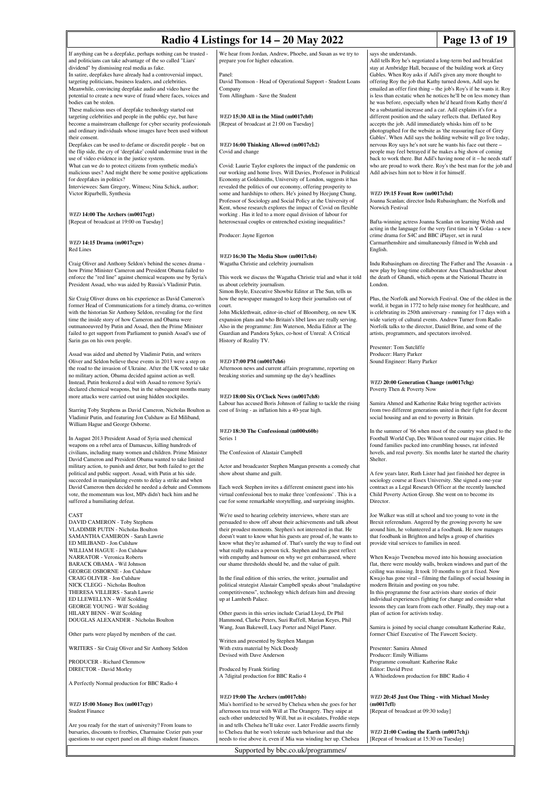| If anything can be a deepfake, perhaps nothing can be trusted -<br>We hear from Jordan, Andrew, Phoebe, and Susan as we try to<br>says she understands.<br>Adil tells Roy he's negotiated a long-term bed and breakfast<br>and politicians can take advantage of the so called "Liars'<br>prepare you for higher education.<br>dividend" by dismissing real media as fake.<br>stay at Ambridge Hall, because of the building work at Grey<br>Panel:<br>In satire, deepfakes have already had a controversial impact,<br>Gables. When Roy asks if Adil's given any more thought to<br>targeting politicians, business leaders, and celebrities.<br>David Thomson - Head of Operational Support - Student Loans<br>offering Roy the job that Kathy turned down, Adil says he<br>Meanwhile, convincing deepfake audio and video have the<br>Company<br>emailed an offer first thing – the job's Roy's if he wants it. Roy<br>potential to create a new wave of fraud where faces, voices and<br>Tom Allingham - Save the Student<br>is less than ecstatic when he notices he'll be on less money than<br>bodies can be stolen.<br>he was before, especially when he'd heard from Kathy there'd<br>These malicious uses of deepfake technology started out<br>be a substantial increase and a car. Adil explains it's for a<br>WED 15:30 All in the Mind (m0017ch0)<br>targeting celebrities and people in the public eye, but have<br>different position and the salary reflects that. Deflated Roy<br>become a mainstream challenge for cyber security professionals<br>[Repeat of broadcast at 21:00 on Tuesday]<br>accepts the job. Adil immediately whisks him off to be<br>and ordinary individuals whose images have been used without<br>photographed for the website as 'the reassuring face of Grey<br>Gables'. When Adil says the holding website will go live today,<br>their consent.<br>Deepfakes can be used to defame or discredit people - but on<br>WED 16:00 Thinking Allowed (m0017ch2)<br>nervous Roy says he's not sure he wants his face out there –<br>the flip side, the cry of 'deepfake' could undermine trust in the<br>Covid and change<br>people may feel betrayed if he makes a big show of coming<br>use of video evidence in the justice system.<br>back to work there. But Adil's having none of it – he needs staff<br>What can we do to protect citizens from synthetic media's<br>who are proud to work there. Roy's the best man for the job and<br>Covid: Laurie Taylor explores the impact of the pandemic on<br>malicious uses? And might there be some positive applications<br>our working and home lives. Will Davies, Professor in Political<br>Adil advises him not to blow it for himself.<br>for deepfakes in politics?<br>Economy at Goldsmiths, University of London, suggests it has<br>Interviewees: Sam Gregory, Witness; Nina Schick, author;<br>revealed the politics of our economy, offering prosperity to<br>Victor Riparbelli, Synthesia<br>some and hardships to others. He's joined by Heejung Chung,<br>WED 19:15 Front Row (m0017chd)<br>Professor of Sociology and Social Policy at the University of<br>Joanna Scanlan; director Indu Rubasingham; the Norfolk and<br>Kent, whose research explores the impact of Covid on flexible<br>Norwich Festival<br>WED 14:00 The Archers (m0017cgt)<br>working. Has it led to a more equal division of labour for<br>[Repeat of broadcast at 19:00 on Tuesday]<br>heterosexual couples or entrenched existing inequalities?<br>Bafta-winning actress Joanna Scanlan on learning Welsh and<br>acting in the language for the very first time in Y Golau - a new<br>crime drama for S4C and BBC iPlayer, set in rural<br>Producer: Jayne Egerton<br>WED 14:15 Drama (m0017cgw)<br>Carmarthenshire and simultaneously filmed in Welsh and<br>Red Lines<br>English.<br>WED 16:30 The Media Show (m0017ch4)<br>Craig Oliver and Anthony Seldon's behind the scenes drama -<br>Wagatha Christie and celebrity journalism<br>Indu Rubasingham on directing The Father and The Assassin - a<br>how Prime Minister Cameron and President Obama failed to<br>new play by long-time collaborator Anu Chandrasekhar about<br>enforce the "red line" against chemical weapons use by Syria's<br>This week we discuss the Wagatha Christie trial and what it told<br>the death of Ghandi, which opens at the National Theatre in<br>President Assad, who was aided by Russia's Vladimir Putin.<br>us about celebrity journalism.<br>London.<br>Simon Boyle, Executive Showbiz Editor at The Sun, tells us<br>Sir Craig Oliver draws on his experience as David Cameron's<br>how the newspaper managed to keep their journalists out of<br>Plus, the Norfolk and Norwich Festival. One of the oldest in the<br>former Head of Communications for a timely drama, co-written<br>court.<br>world, it began in 1772 to help raise money for healthcare, and<br>with the historian Sir Anthony Seldon, revealing for the first<br>John Micklethwait, editor-in-chief of Bloomberg, on new UK<br>is celebrating its 250th anniversary - running for 17 days with a<br>time the inside story of how Cameron and Obama were<br>expansion plans and who Britain's libel laws are really serving.<br>wide variety of cultural events. Andrew Turner from Radio<br>outmanoeuvred by Putin and Assad, then the Prime Minister<br>Also in the programme: Jim Waterson, Media Editor at The<br>Norfolk talks to the director, Daniel Brine, and some of the<br>failed to get support from Parliament to punish Assad's use of<br>Guardian and Pandora Sykes, co-host of Unreal: A Critical<br>artists, programmers, and spectators involved.<br>Sarin gas on his own people.<br>History of Reality TV.<br>Presenter: Tom Sutcliffe<br>Assad was aided and abetted by Vladimir Putin, and writers<br>Producer: Harry Parker<br>WED 17:00 PM (m0017ch6)<br>Oliver and Seldon believe these events in 2013 were a step on<br>Sound Engineer: Harry Parker<br>the road to the invasion of Ukraine. After the UK voted to take<br>Afternoon news and current affairs programme, reporting on<br>no military action, Obama decided against action as well.<br>breaking stories and summing up the day's headlines<br>Instead, Putin brokered a deal with Assad to remove Syria's<br>WED 20:00 Generation Change (m0017chg)<br>declared chemical weapons, but in the subsequent months many<br>Poverty Then & Poverty Now<br>more attacks were carried out using hidden stockpiles.<br>WED 18:00 Six O'Clock News (m0017ch8)<br>Labour has accused Boris Johnson of failing to tackle the rising<br>Samira Ahmed and Katherine Rake bring together activists<br>Starring Toby Stephens as David Cameron, Nicholas Boulton as<br>cost of living - as inflation hits a 40-year high.<br>from two different generations united in their fight for decent<br>Vladimir Putin, and featuring Jon Culshaw as Ed Miliband,<br>social housing and an end to poverty in Britain.<br>William Hague and George Osborne.<br>WED 18:30 The Confessional (m000x60b)<br>In the summer of '66 when most of the country was glued to the<br>In August 2013 President Assad of Syria used chemical<br>Series 1<br>Football World Cup, Des Wilson toured our major cities. He<br>found families packed into crumbling houses, rat infested<br>weapons on a rebel area of Damascus, killing hundreds of<br>civilians, including many women and children. Prime Minister<br>The Confession of Alastair Campbell<br>hovels, and real poverty. Six months later he started the charity<br>David Cameron and President Obama wanted to take limited<br>Shelter.<br>military action, to punish and deter, but both failed to get the<br>Actor and broadcaster Stephen Mangan presents a comedy chat<br>political and public support. Assad, with Putin at his side.<br>show about shame and guilt.<br>A few years later, Ruth Lister had just finished her degree in<br>succeeded in manipulating events to delay a strike and when<br>sociology course at Essex University. She signed a one-year<br>David Cameron then decided he needed a debate and Commons<br>Each week Stephen invites a different eminent guest into his<br>contract as a Legal Research Officer at the recently launched<br>virtual confessional box to make three 'confessions'. This is a<br>vote, the momentum was lost, MPs didn't back him and he<br>Child Poverty Action Group. She went on to become its<br>suffered a humiliating defeat.<br>cue for some remarkable storytelling, and surprising insights.<br>Director.<br>CAST<br>We're used to hearing celebrity interviews, where stars are<br>Joe Walker was still at school and too young to vote in the<br>DAVID CAMERON - Toby Stephens<br>persuaded to show off about their achievements and talk about<br>Brexit referendum. Angered by the growing poverty he saw<br><b>VLADIMIR PUTIN - Nicholas Boulton</b><br>their proudest moments. Stephen's not interested in that. He<br>around him, he volunteered at a foodbank. He now manages<br>SAMANTHA CAMERON - Sarah Lawrie<br>doesn't want to know what his guests are proud of, he wants to<br>that foodbank in Brighton and helps a group of charities<br>know what they're ashamed of. That's surely the way to find out<br>provide vital services to families in need.<br>ED MILIBAND - Jon Culshaw<br>WILLIAM HAGUE - Jon Culshaw<br>what really makes a person tick. Stephen and his guest reflect<br>with empathy and humour on why we get embarrassed, where<br><b>NARRATOR - Veronica Roberts</b><br>When Kwajo Tweneboa moved into his housing association<br><b>BARACK OBAMA - Wil Johnson</b><br>our shame thresholds should be, and the value of guilt.<br>flat, there were mouldy walls, broken windows and part of the<br>ceiling was missing. It took 10 months to get it fixed. Now<br><b>GEORGE OSBORNE - Jon Culshaw</b><br>Kwajo has gone viral - filming the failings of social housing in<br><b>CRAIG OLIVER - Jon Culshaw</b><br>In the final edition of this series, the writer, journalist and<br>political strategist Alastair Campbell speaks about "maladaptive<br>NICK CLEGG - Nicholas Boulton<br>modern Britain and posting on you tube.<br>competitiveness", technology which defeats him and dressing<br>In this programme the four activists share stories of their<br>THERESA VILLIERS - Sarah Lawrie<br>individual experiences fighting for change and consider what<br>ED LLEWELLYN - Wilf Scolding<br>up at Lambeth Palace.<br>lessons they can learn from each other. Finally, they map out a<br><b>GEORGE YOUNG - Wilf Scolding</b><br>plan of action for activists today.<br>HILARY BENN - Wilf Scolding<br>Other guests in this series include Cariad Lloyd, Dr Phil<br>Hammond, Clarke Peters, Suzi Ruffell, Marian Keyes, Phil<br>DOUGLAS ALEXANDER - Nicholas Boulton<br>Samira is joined by social change consultant Katherine Rake,<br>Wang, Joan Bakewell, Lucy Porter and Nigel Planer.<br>Other parts were played by members of the cast.<br>former Chief Executive of The Fawcett Society.<br>Written and presented by Stephen Mangan<br>WRITERS - Sir Craig Oliver and Sir Anthony Seldon<br>With extra material by Nick Doody<br>Presenter: Samira Ahmed<br>Devised with Dave Anderson<br>Producer: Emily Williams<br>PRODUCER - Richard Clemmow<br>Programme consultant: Katherine Rake<br>Produced by Frank Stirling<br>Editor: David Prest<br><b>DIRECTOR - David Morley</b><br>A 7digital production for BBC Radio 4<br>A Whistledown production for BBC Radio 4<br>A Perfectly Normal production for BBC Radio 4<br>WED 19:00 The Archers (m0017chb)<br>WED 20:45 Just One Thing - with Michael Mosley<br>WED 15:00 Money Box (m0017cgy)<br>Mia's horrified to be served by Chelsea when she goes for her<br>(m0017cf1)<br><b>Student Finance</b><br>afternoon tea treat with Will at The Orangery. They snipe at<br>[Repeat of broadcast at 09:30 today]<br>each other undetected by Will, but as it escalates, Freddie steps<br>Are you ready for the start of university? From loans to<br>in and tells Chelsea he'll take over. Later Freddie asserts firmly<br>bursaries, discounts to freebies, Charmaine Cozier puts your<br>to Chelsea that he won't tolerate such behaviour and that she<br>WED 21:00 Costing the Earth (m0017chj)<br>needs to rise above it, even if Mia was winding her up. Chelsea<br>[Repeat of broadcast at 15:30 on Tuesday]<br>questions to our expert panel on all things student finances. | Radio 4 Listings for 14 - 20 May 2022 | Page 13 of 19 |
|-----------------------------------------------------------------------------------------------------------------------------------------------------------------------------------------------------------------------------------------------------------------------------------------------------------------------------------------------------------------------------------------------------------------------------------------------------------------------------------------------------------------------------------------------------------------------------------------------------------------------------------------------------------------------------------------------------------------------------------------------------------------------------------------------------------------------------------------------------------------------------------------------------------------------------------------------------------------------------------------------------------------------------------------------------------------------------------------------------------------------------------------------------------------------------------------------------------------------------------------------------------------------------------------------------------------------------------------------------------------------------------------------------------------------------------------------------------------------------------------------------------------------------------------------------------------------------------------------------------------------------------------------------------------------------------------------------------------------------------------------------------------------------------------------------------------------------------------------------------------------------------------------------------------------------------------------------------------------------------------------------------------------------------------------------------------------------------------------------------------------------------------------------------------------------------------------------------------------------------------------------------------------------------------------------------------------------------------------------------------------------------------------------------------------------------------------------------------------------------------------------------------------------------------------------------------------------------------------------------------------------------------------------------------------------------------------------------------------------------------------------------------------------------------------------------------------------------------------------------------------------------------------------------------------------------------------------------------------------------------------------------------------------------------------------------------------------------------------------------------------------------------------------------------------------------------------------------------------------------------------------------------------------------------------------------------------------------------------------------------------------------------------------------------------------------------------------------------------------------------------------------------------------------------------------------------------------------------------------------------------------------------------------------------------------------------------------------------------------------------------------------------------------------------------------------------------------------------------------------------------------------------------------------------------------------------------------------------------------------------------------------------------------------------------------------------------------------------------------------------------------------------------------------------------------------------------------------------------------------------------------------------------------------------------------------------------------------------------------------------------------------------------------------------------------------------------------------------------------------------------------------------------------------------------------------------------------------------------------------------------------------------------------------------------------------------------------------------------------------------------------------------------------------------------------------------------------------------------------------------------------------------------------------------------------------------------------------------------------------------------------------------------------------------------------------------------------------------------------------------------------------------------------------------------------------------------------------------------------------------------------------------------------------------------------------------------------------------------------------------------------------------------------------------------------------------------------------------------------------------------------------------------------------------------------------------------------------------------------------------------------------------------------------------------------------------------------------------------------------------------------------------------------------------------------------------------------------------------------------------------------------------------------------------------------------------------------------------------------------------------------------------------------------------------------------------------------------------------------------------------------------------------------------------------------------------------------------------------------------------------------------------------------------------------------------------------------------------------------------------------------------------------------------------------------------------------------------------------------------------------------------------------------------------------------------------------------------------------------------------------------------------------------------------------------------------------------------------------------------------------------------------------------------------------------------------------------------------------------------------------------------------------------------------------------------------------------------------------------------------------------------------------------------------------------------------------------------------------------------------------------------------------------------------------------------------------------------------------------------------------------------------------------------------------------------------------------------------------------------------------------------------------------------------------------------------------------------------------------------------------------------------------------------------------------------------------------------------------------------------------------------------------------------------------------------------------------------------------------------------------------------------------------------------------------------------------------------------------------------------------------------------------------------------------------------------------------------------------------------------------------------------------------------------------------------------------------------------------------------------------------------------------------------------------------------------------------------------------------------------------------------------------------------------------------------------------------------------------------------------------------------------------------------------------------------------------------------------------------------------------------------------------------------------------------------------------------------------------------------------------------------------------------------------------------------------------------------------------------------------------------------------------------------------------------------------------------------------------------------------------------------------------------------------------------------------------------------------------------------------------------------------------------------------------------------------------------------------------------------------------------------------------------------------------------------------------------------------------------------------------------------------------------------------------------------------------------------------------------------------------------------------------------------------------------------------------------------------------------------------------------------------------------------------------------------------------------------------------------------------------------------------------------------------------------------------------------------------------------------------------------------------------------------------------------------------------------------------------------------------------------------------------------------------------------------------------------------------------------------------------------------------------------------------------------------------------------------------------------------------------------------------------------------------------------------------------------------------------------------------------------------------------------------------------------------------------------------------------------------------------------------------------------------------------------------------------------------------------------------------------------------------------------------------------------------------------------------------------------------------------------------------------------------------------------------------------------------------------------------------------------------------------------------------------------------------------------------------------------------------------------------------------------------------------------------------------------------------------------------------------------------------------------------------------------------------------------------------------------------------------------------------------------------------------------------------------------------------------------------------------------------------------------------------------------------------------------------------------------------------------------------------------------------------------------------------------------------------------------------------------------------------------------------------------------------------------------------------------------------------------------------------------------------------------------------------------------------------------------------------------------------------------------------------------------------------------------------------------------------------------------------------------------------------------------------------------------------------------------------------------------------------------------------------------------------------------------------------------------------------------------------------------------------------------------------------------------------------------------------------------------------------------------------------------------------------------------------------------------------------------------------------------------------------------------------------------------------------------------------------------------------------------------------------------------------------------------------------------------------------------------|---------------------------------------|---------------|
|                                                                                                                                                                                                                                                                                                                                                                                                                                                                                                                                                                                                                                                                                                                                                                                                                                                                                                                                                                                                                                                                                                                                                                                                                                                                                                                                                                                                                                                                                                                                                                                                                                                                                                                                                                                                                                                                                                                                                                                                                                                                                                                                                                                                                                                                                                                                                                                                                                                                                                                                                                                                                                                                                                                                                                                                                                                                                                                                                                                                                                                                                                                                                                                                                                                                                                                                                                                                                                                                                                                                                                                                                                                                                                                                                                                                                                                                                                                                                                                                                                                                                                                                                                                                                                                                                                                                                                                                                                                                                                                                                                                                                                                                                                                                                                                                                                                                                                                                                                                                                                                                                                                                                                                                                                                                                                                                                                                                                                                                                                                                                                                                                                                                                                                                                                                                                                                                                                                                                                                                                                                                                                                                                                                                                                                                                                                                                                                                                                                                                                                                                                                                                                                                                                                                                                                                                                                                                                                                                                                                                                                                                                                                                                                                                                                                                                                                                                                                                                                                                                                                                                                                                                                                                                                                                                                                                                                                                                                                                                                                                                                                                                                                                                                                                                                                                                                                                                                                                                                                                                                                                                                                                                                                                                                                                                                                                                                                                                                                                                                                                                                                                                                                                                                                                                                                                                                                                                                                                                                                                                                                                                                                                                                                                                                                                                                                                                                                                                                                                                                                                                                                                                                                                                                                                                                                                                                                                                                                                                                                                                                                                                                                                                                                                                                                                                                                                                                                                                                                                                                                                                                                                                                                                                                                                                                                                                                                                                                                                                                                                                                                                                                                                                                                                                                                                                                                                                                                                                                                                                                                                                                                                                                                                                                                                                                                                                                                                                                                                                                                                                                                                                                                                             |                                       |               |
|                                                                                                                                                                                                                                                                                                                                                                                                                                                                                                                                                                                                                                                                                                                                                                                                                                                                                                                                                                                                                                                                                                                                                                                                                                                                                                                                                                                                                                                                                                                                                                                                                                                                                                                                                                                                                                                                                                                                                                                                                                                                                                                                                                                                                                                                                                                                                                                                                                                                                                                                                                                                                                                                                                                                                                                                                                                                                                                                                                                                                                                                                                                                                                                                                                                                                                                                                                                                                                                                                                                                                                                                                                                                                                                                                                                                                                                                                                                                                                                                                                                                                                                                                                                                                                                                                                                                                                                                                                                                                                                                                                                                                                                                                                                                                                                                                                                                                                                                                                                                                                                                                                                                                                                                                                                                                                                                                                                                                                                                                                                                                                                                                                                                                                                                                                                                                                                                                                                                                                                                                                                                                                                                                                                                                                                                                                                                                                                                                                                                                                                                                                                                                                                                                                                                                                                                                                                                                                                                                                                                                                                                                                                                                                                                                                                                                                                                                                                                                                                                                                                                                                                                                                                                                                                                                                                                                                                                                                                                                                                                                                                                                                                                                                                                                                                                                                                                                                                                                                                                                                                                                                                                                                                                                                                                                                                                                                                                                                                                                                                                                                                                                                                                                                                                                                                                                                                                                                                                                                                                                                                                                                                                                                                                                                                                                                                                                                                                                                                                                                                                                                                                                                                                                                                                                                                                                                                                                                                                                                                                                                                                                                                                                                                                                                                                                                                                                                                                                                                                                                                                                                                                                                                                                                                                                                                                                                                                                                                                                                                                                                                                                                                                                                                                                                                                                                                                                                                                                                                                                                                                                                                                                                                                                                                                                                                                                                                                                                                                                                                                                                                                                                                                                             |                                       |               |
|                                                                                                                                                                                                                                                                                                                                                                                                                                                                                                                                                                                                                                                                                                                                                                                                                                                                                                                                                                                                                                                                                                                                                                                                                                                                                                                                                                                                                                                                                                                                                                                                                                                                                                                                                                                                                                                                                                                                                                                                                                                                                                                                                                                                                                                                                                                                                                                                                                                                                                                                                                                                                                                                                                                                                                                                                                                                                                                                                                                                                                                                                                                                                                                                                                                                                                                                                                                                                                                                                                                                                                                                                                                                                                                                                                                                                                                                                                                                                                                                                                                                                                                                                                                                                                                                                                                                                                                                                                                                                                                                                                                                                                                                                                                                                                                                                                                                                                                                                                                                                                                                                                                                                                                                                                                                                                                                                                                                                                                                                                                                                                                                                                                                                                                                                                                                                                                                                                                                                                                                                                                                                                                                                                                                                                                                                                                                                                                                                                                                                                                                                                                                                                                                                                                                                                                                                                                                                                                                                                                                                                                                                                                                                                                                                                                                                                                                                                                                                                                                                                                                                                                                                                                                                                                                                                                                                                                                                                                                                                                                                                                                                                                                                                                                                                                                                                                                                                                                                                                                                                                                                                                                                                                                                                                                                                                                                                                                                                                                                                                                                                                                                                                                                                                                                                                                                                                                                                                                                                                                                                                                                                                                                                                                                                                                                                                                                                                                                                                                                                                                                                                                                                                                                                                                                                                                                                                                                                                                                                                                                                                                                                                                                                                                                                                                                                                                                                                                                                                                                                                                                                                                                                                                                                                                                                                                                                                                                                                                                                                                                                                                                                                                                                                                                                                                                                                                                                                                                                                                                                                                                                                                                                                                                                                                                                                                                                                                                                                                                                                                                                                                                                                                                             |                                       |               |
|                                                                                                                                                                                                                                                                                                                                                                                                                                                                                                                                                                                                                                                                                                                                                                                                                                                                                                                                                                                                                                                                                                                                                                                                                                                                                                                                                                                                                                                                                                                                                                                                                                                                                                                                                                                                                                                                                                                                                                                                                                                                                                                                                                                                                                                                                                                                                                                                                                                                                                                                                                                                                                                                                                                                                                                                                                                                                                                                                                                                                                                                                                                                                                                                                                                                                                                                                                                                                                                                                                                                                                                                                                                                                                                                                                                                                                                                                                                                                                                                                                                                                                                                                                                                                                                                                                                                                                                                                                                                                                                                                                                                                                                                                                                                                                                                                                                                                                                                                                                                                                                                                                                                                                                                                                                                                                                                                                                                                                                                                                                                                                                                                                                                                                                                                                                                                                                                                                                                                                                                                                                                                                                                                                                                                                                                                                                                                                                                                                                                                                                                                                                                                                                                                                                                                                                                                                                                                                                                                                                                                                                                                                                                                                                                                                                                                                                                                                                                                                                                                                                                                                                                                                                                                                                                                                                                                                                                                                                                                                                                                                                                                                                                                                                                                                                                                                                                                                                                                                                                                                                                                                                                                                                                                                                                                                                                                                                                                                                                                                                                                                                                                                                                                                                                                                                                                                                                                                                                                                                                                                                                                                                                                                                                                                                                                                                                                                                                                                                                                                                                                                                                                                                                                                                                                                                                                                                                                                                                                                                                                                                                                                                                                                                                                                                                                                                                                                                                                                                                                                                                                                                                                                                                                                                                                                                                                                                                                                                                                                                                                                                                                                                                                                                                                                                                                                                                                                                                                                                                                                                                                                                                                                                                                                                                                                                                                                                                                                                                                                                                                                                                                                                                                             |                                       |               |
|                                                                                                                                                                                                                                                                                                                                                                                                                                                                                                                                                                                                                                                                                                                                                                                                                                                                                                                                                                                                                                                                                                                                                                                                                                                                                                                                                                                                                                                                                                                                                                                                                                                                                                                                                                                                                                                                                                                                                                                                                                                                                                                                                                                                                                                                                                                                                                                                                                                                                                                                                                                                                                                                                                                                                                                                                                                                                                                                                                                                                                                                                                                                                                                                                                                                                                                                                                                                                                                                                                                                                                                                                                                                                                                                                                                                                                                                                                                                                                                                                                                                                                                                                                                                                                                                                                                                                                                                                                                                                                                                                                                                                                                                                                                                                                                                                                                                                                                                                                                                                                                                                                                                                                                                                                                                                                                                                                                                                                                                                                                                                                                                                                                                                                                                                                                                                                                                                                                                                                                                                                                                                                                                                                                                                                                                                                                                                                                                                                                                                                                                                                                                                                                                                                                                                                                                                                                                                                                                                                                                                                                                                                                                                                                                                                                                                                                                                                                                                                                                                                                                                                                                                                                                                                                                                                                                                                                                                                                                                                                                                                                                                                                                                                                                                                                                                                                                                                                                                                                                                                                                                                                                                                                                                                                                                                                                                                                                                                                                                                                                                                                                                                                                                                                                                                                                                                                                                                                                                                                                                                                                                                                                                                                                                                                                                                                                                                                                                                                                                                                                                                                                                                                                                                                                                                                                                                                                                                                                                                                                                                                                                                                                                                                                                                                                                                                                                                                                                                                                                                                                                                                                                                                                                                                                                                                                                                                                                                                                                                                                                                                                                                                                                                                                                                                                                                                                                                                                                                                                                                                                                                                                                                                                                                                                                                                                                                                                                                                                                                                                                                                                                                                                                             |                                       |               |
|                                                                                                                                                                                                                                                                                                                                                                                                                                                                                                                                                                                                                                                                                                                                                                                                                                                                                                                                                                                                                                                                                                                                                                                                                                                                                                                                                                                                                                                                                                                                                                                                                                                                                                                                                                                                                                                                                                                                                                                                                                                                                                                                                                                                                                                                                                                                                                                                                                                                                                                                                                                                                                                                                                                                                                                                                                                                                                                                                                                                                                                                                                                                                                                                                                                                                                                                                                                                                                                                                                                                                                                                                                                                                                                                                                                                                                                                                                                                                                                                                                                                                                                                                                                                                                                                                                                                                                                                                                                                                                                                                                                                                                                                                                                                                                                                                                                                                                                                                                                                                                                                                                                                                                                                                                                                                                                                                                                                                                                                                                                                                                                                                                                                                                                                                                                                                                                                                                                                                                                                                                                                                                                                                                                                                                                                                                                                                                                                                                                                                                                                                                                                                                                                                                                                                                                                                                                                                                                                                                                                                                                                                                                                                                                                                                                                                                                                                                                                                                                                                                                                                                                                                                                                                                                                                                                                                                                                                                                                                                                                                                                                                                                                                                                                                                                                                                                                                                                                                                                                                                                                                                                                                                                                                                                                                                                                                                                                                                                                                                                                                                                                                                                                                                                                                                                                                                                                                                                                                                                                                                                                                                                                                                                                                                                                                                                                                                                                                                                                                                                                                                                                                                                                                                                                                                                                                                                                                                                                                                                                                                                                                                                                                                                                                                                                                                                                                                                                                                                                                                                                                                                                                                                                                                                                                                                                                                                                                                                                                                                                                                                                                                                                                                                                                                                                                                                                                                                                                                                                                                                                                                                                                                                                                                                                                                                                                                                                                                                                                                                                                                                                                                                                                             |                                       |               |
|                                                                                                                                                                                                                                                                                                                                                                                                                                                                                                                                                                                                                                                                                                                                                                                                                                                                                                                                                                                                                                                                                                                                                                                                                                                                                                                                                                                                                                                                                                                                                                                                                                                                                                                                                                                                                                                                                                                                                                                                                                                                                                                                                                                                                                                                                                                                                                                                                                                                                                                                                                                                                                                                                                                                                                                                                                                                                                                                                                                                                                                                                                                                                                                                                                                                                                                                                                                                                                                                                                                                                                                                                                                                                                                                                                                                                                                                                                                                                                                                                                                                                                                                                                                                                                                                                                                                                                                                                                                                                                                                                                                                                                                                                                                                                                                                                                                                                                                                                                                                                                                                                                                                                                                                                                                                                                                                                                                                                                                                                                                                                                                                                                                                                                                                                                                                                                                                                                                                                                                                                                                                                                                                                                                                                                                                                                                                                                                                                                                                                                                                                                                                                                                                                                                                                                                                                                                                                                                                                                                                                                                                                                                                                                                                                                                                                                                                                                                                                                                                                                                                                                                                                                                                                                                                                                                                                                                                                                                                                                                                                                                                                                                                                                                                                                                                                                                                                                                                                                                                                                                                                                                                                                                                                                                                                                                                                                                                                                                                                                                                                                                                                                                                                                                                                                                                                                                                                                                                                                                                                                                                                                                                                                                                                                                                                                                                                                                                                                                                                                                                                                                                                                                                                                                                                                                                                                                                                                                                                                                                                                                                                                                                                                                                                                                                                                                                                                                                                                                                                                                                                                                                                                                                                                                                                                                                                                                                                                                                                                                                                                                                                                                                                                                                                                                                                                                                                                                                                                                                                                                                                                                                                                                                                                                                                                                                                                                                                                                                                                                                                                                                                                                                                             |                                       |               |
|                                                                                                                                                                                                                                                                                                                                                                                                                                                                                                                                                                                                                                                                                                                                                                                                                                                                                                                                                                                                                                                                                                                                                                                                                                                                                                                                                                                                                                                                                                                                                                                                                                                                                                                                                                                                                                                                                                                                                                                                                                                                                                                                                                                                                                                                                                                                                                                                                                                                                                                                                                                                                                                                                                                                                                                                                                                                                                                                                                                                                                                                                                                                                                                                                                                                                                                                                                                                                                                                                                                                                                                                                                                                                                                                                                                                                                                                                                                                                                                                                                                                                                                                                                                                                                                                                                                                                                                                                                                                                                                                                                                                                                                                                                                                                                                                                                                                                                                                                                                                                                                                                                                                                                                                                                                                                                                                                                                                                                                                                                                                                                                                                                                                                                                                                                                                                                                                                                                                                                                                                                                                                                                                                                                                                                                                                                                                                                                                                                                                                                                                                                                                                                                                                                                                                                                                                                                                                                                                                                                                                                                                                                                                                                                                                                                                                                                                                                                                                                                                                                                                                                                                                                                                                                                                                                                                                                                                                                                                                                                                                                                                                                                                                                                                                                                                                                                                                                                                                                                                                                                                                                                                                                                                                                                                                                                                                                                                                                                                                                                                                                                                                                                                                                                                                                                                                                                                                                                                                                                                                                                                                                                                                                                                                                                                                                                                                                                                                                                                                                                                                                                                                                                                                                                                                                                                                                                                                                                                                                                                                                                                                                                                                                                                                                                                                                                                                                                                                                                                                                                                                                                                                                                                                                                                                                                                                                                                                                                                                                                                                                                                                                                                                                                                                                                                                                                                                                                                                                                                                                                                                                                                                                                                                                                                                                                                                                                                                                                                                                                                                                                                                                                                                             |                                       |               |
|                                                                                                                                                                                                                                                                                                                                                                                                                                                                                                                                                                                                                                                                                                                                                                                                                                                                                                                                                                                                                                                                                                                                                                                                                                                                                                                                                                                                                                                                                                                                                                                                                                                                                                                                                                                                                                                                                                                                                                                                                                                                                                                                                                                                                                                                                                                                                                                                                                                                                                                                                                                                                                                                                                                                                                                                                                                                                                                                                                                                                                                                                                                                                                                                                                                                                                                                                                                                                                                                                                                                                                                                                                                                                                                                                                                                                                                                                                                                                                                                                                                                                                                                                                                                                                                                                                                                                                                                                                                                                                                                                                                                                                                                                                                                                                                                                                                                                                                                                                                                                                                                                                                                                                                                                                                                                                                                                                                                                                                                                                                                                                                                                                                                                                                                                                                                                                                                                                                                                                                                                                                                                                                                                                                                                                                                                                                                                                                                                                                                                                                                                                                                                                                                                                                                                                                                                                                                                                                                                                                                                                                                                                                                                                                                                                                                                                                                                                                                                                                                                                                                                                                                                                                                                                                                                                                                                                                                                                                                                                                                                                                                                                                                                                                                                                                                                                                                                                                                                                                                                                                                                                                                                                                                                                                                                                                                                                                                                                                                                                                                                                                                                                                                                                                                                                                                                                                                                                                                                                                                                                                                                                                                                                                                                                                                                                                                                                                                                                                                                                                                                                                                                                                                                                                                                                                                                                                                                                                                                                                                                                                                                                                                                                                                                                                                                                                                                                                                                                                                                                                                                                                                                                                                                                                                                                                                                                                                                                                                                                                                                                                                                                                                                                                                                                                                                                                                                                                                                                                                                                                                                                                                                                                                                                                                                                                                                                                                                                                                                                                                                                                                                                                                                             |                                       |               |
|                                                                                                                                                                                                                                                                                                                                                                                                                                                                                                                                                                                                                                                                                                                                                                                                                                                                                                                                                                                                                                                                                                                                                                                                                                                                                                                                                                                                                                                                                                                                                                                                                                                                                                                                                                                                                                                                                                                                                                                                                                                                                                                                                                                                                                                                                                                                                                                                                                                                                                                                                                                                                                                                                                                                                                                                                                                                                                                                                                                                                                                                                                                                                                                                                                                                                                                                                                                                                                                                                                                                                                                                                                                                                                                                                                                                                                                                                                                                                                                                                                                                                                                                                                                                                                                                                                                                                                                                                                                                                                                                                                                                                                                                                                                                                                                                                                                                                                                                                                                                                                                                                                                                                                                                                                                                                                                                                                                                                                                                                                                                                                                                                                                                                                                                                                                                                                                                                                                                                                                                                                                                                                                                                                                                                                                                                                                                                                                                                                                                                                                                                                                                                                                                                                                                                                                                                                                                                                                                                                                                                                                                                                                                                                                                                                                                                                                                                                                                                                                                                                                                                                                                                                                                                                                                                                                                                                                                                                                                                                                                                                                                                                                                                                                                                                                                                                                                                                                                                                                                                                                                                                                                                                                                                                                                                                                                                                                                                                                                                                                                                                                                                                                                                                                                                                                                                                                                                                                                                                                                                                                                                                                                                                                                                                                                                                                                                                                                                                                                                                                                                                                                                                                                                                                                                                                                                                                                                                                                                                                                                                                                                                                                                                                                                                                                                                                                                                                                                                                                                                                                                                                                                                                                                                                                                                                                                                                                                                                                                                                                                                                                                                                                                                                                                                                                                                                                                                                                                                                                                                                                                                                                                                                                                                                                                                                                                                                                                                                                                                                                                                                                                                                                                             |                                       |               |
|                                                                                                                                                                                                                                                                                                                                                                                                                                                                                                                                                                                                                                                                                                                                                                                                                                                                                                                                                                                                                                                                                                                                                                                                                                                                                                                                                                                                                                                                                                                                                                                                                                                                                                                                                                                                                                                                                                                                                                                                                                                                                                                                                                                                                                                                                                                                                                                                                                                                                                                                                                                                                                                                                                                                                                                                                                                                                                                                                                                                                                                                                                                                                                                                                                                                                                                                                                                                                                                                                                                                                                                                                                                                                                                                                                                                                                                                                                                                                                                                                                                                                                                                                                                                                                                                                                                                                                                                                                                                                                                                                                                                                                                                                                                                                                                                                                                                                                                                                                                                                                                                                                                                                                                                                                                                                                                                                                                                                                                                                                                                                                                                                                                                                                                                                                                                                                                                                                                                                                                                                                                                                                                                                                                                                                                                                                                                                                                                                                                                                                                                                                                                                                                                                                                                                                                                                                                                                                                                                                                                                                                                                                                                                                                                                                                                                                                                                                                                                                                                                                                                                                                                                                                                                                                                                                                                                                                                                                                                                                                                                                                                                                                                                                                                                                                                                                                                                                                                                                                                                                                                                                                                                                                                                                                                                                                                                                                                                                                                                                                                                                                                                                                                                                                                                                                                                                                                                                                                                                                                                                                                                                                                                                                                                                                                                                                                                                                                                                                                                                                                                                                                                                                                                                                                                                                                                                                                                                                                                                                                                                                                                                                                                                                                                                                                                                                                                                                                                                                                                                                                                                                                                                                                                                                                                                                                                                                                                                                                                                                                                                                                                                                                                                                                                                                                                                                                                                                                                                                                                                                                                                                                                                                                                                                                                                                                                                                                                                                                                                                                                                                                                                                                                             |                                       |               |
|                                                                                                                                                                                                                                                                                                                                                                                                                                                                                                                                                                                                                                                                                                                                                                                                                                                                                                                                                                                                                                                                                                                                                                                                                                                                                                                                                                                                                                                                                                                                                                                                                                                                                                                                                                                                                                                                                                                                                                                                                                                                                                                                                                                                                                                                                                                                                                                                                                                                                                                                                                                                                                                                                                                                                                                                                                                                                                                                                                                                                                                                                                                                                                                                                                                                                                                                                                                                                                                                                                                                                                                                                                                                                                                                                                                                                                                                                                                                                                                                                                                                                                                                                                                                                                                                                                                                                                                                                                                                                                                                                                                                                                                                                                                                                                                                                                                                                                                                                                                                                                                                                                                                                                                                                                                                                                                                                                                                                                                                                                                                                                                                                                                                                                                                                                                                                                                                                                                                                                                                                                                                                                                                                                                                                                                                                                                                                                                                                                                                                                                                                                                                                                                                                                                                                                                                                                                                                                                                                                                                                                                                                                                                                                                                                                                                                                                                                                                                                                                                                                                                                                                                                                                                                                                                                                                                                                                                                                                                                                                                                                                                                                                                                                                                                                                                                                                                                                                                                                                                                                                                                                                                                                                                                                                                                                                                                                                                                                                                                                                                                                                                                                                                                                                                                                                                                                                                                                                                                                                                                                                                                                                                                                                                                                                                                                                                                                                                                                                                                                                                                                                                                                                                                                                                                                                                                                                                                                                                                                                                                                                                                                                                                                                                                                                                                                                                                                                                                                                                                                                                                                                                                                                                                                                                                                                                                                                                                                                                                                                                                                                                                                                                                                                                                                                                                                                                                                                                                                                                                                                                                                                                                                                                                                                                                                                                                                                                                                                                                                                                                                                                                                                                                             |                                       |               |
|                                                                                                                                                                                                                                                                                                                                                                                                                                                                                                                                                                                                                                                                                                                                                                                                                                                                                                                                                                                                                                                                                                                                                                                                                                                                                                                                                                                                                                                                                                                                                                                                                                                                                                                                                                                                                                                                                                                                                                                                                                                                                                                                                                                                                                                                                                                                                                                                                                                                                                                                                                                                                                                                                                                                                                                                                                                                                                                                                                                                                                                                                                                                                                                                                                                                                                                                                                                                                                                                                                                                                                                                                                                                                                                                                                                                                                                                                                                                                                                                                                                                                                                                                                                                                                                                                                                                                                                                                                                                                                                                                                                                                                                                                                                                                                                                                                                                                                                                                                                                                                                                                                                                                                                                                                                                                                                                                                                                                                                                                                                                                                                                                                                                                                                                                                                                                                                                                                                                                                                                                                                                                                                                                                                                                                                                                                                                                                                                                                                                                                                                                                                                                                                                                                                                                                                                                                                                                                                                                                                                                                                                                                                                                                                                                                                                                                                                                                                                                                                                                                                                                                                                                                                                                                                                                                                                                                                                                                                                                                                                                                                                                                                                                                                                                                                                                                                                                                                                                                                                                                                                                                                                                                                                                                                                                                                                                                                                                                                                                                                                                                                                                                                                                                                                                                                                                                                                                                                                                                                                                                                                                                                                                                                                                                                                                                                                                                                                                                                                                                                                                                                                                                                                                                                                                                                                                                                                                                                                                                                                                                                                                                                                                                                                                                                                                                                                                                                                                                                                                                                                                                                                                                                                                                                                                                                                                                                                                                                                                                                                                                                                                                                                                                                                                                                                                                                                                                                                                                                                                                                                                                                                                                                                                                                                                                                                                                                                                                                                                                                                                                                                                                                                                             |                                       |               |
|                                                                                                                                                                                                                                                                                                                                                                                                                                                                                                                                                                                                                                                                                                                                                                                                                                                                                                                                                                                                                                                                                                                                                                                                                                                                                                                                                                                                                                                                                                                                                                                                                                                                                                                                                                                                                                                                                                                                                                                                                                                                                                                                                                                                                                                                                                                                                                                                                                                                                                                                                                                                                                                                                                                                                                                                                                                                                                                                                                                                                                                                                                                                                                                                                                                                                                                                                                                                                                                                                                                                                                                                                                                                                                                                                                                                                                                                                                                                                                                                                                                                                                                                                                                                                                                                                                                                                                                                                                                                                                                                                                                                                                                                                                                                                                                                                                                                                                                                                                                                                                                                                                                                                                                                                                                                                                                                                                                                                                                                                                                                                                                                                                                                                                                                                                                                                                                                                                                                                                                                                                                                                                                                                                                                                                                                                                                                                                                                                                                                                                                                                                                                                                                                                                                                                                                                                                                                                                                                                                                                                                                                                                                                                                                                                                                                                                                                                                                                                                                                                                                                                                                                                                                                                                                                                                                                                                                                                                                                                                                                                                                                                                                                                                                                                                                                                                                                                                                                                                                                                                                                                                                                                                                                                                                                                                                                                                                                                                                                                                                                                                                                                                                                                                                                                                                                                                                                                                                                                                                                                                                                                                                                                                                                                                                                                                                                                                                                                                                                                                                                                                                                                                                                                                                                                                                                                                                                                                                                                                                                                                                                                                                                                                                                                                                                                                                                                                                                                                                                                                                                                                                                                                                                                                                                                                                                                                                                                                                                                                                                                                                                                                                                                                                                                                                                                                                                                                                                                                                                                                                                                                                                                                                                                                                                                                                                                                                                                                                                                                                                                                                                                                                                                             |                                       |               |
|                                                                                                                                                                                                                                                                                                                                                                                                                                                                                                                                                                                                                                                                                                                                                                                                                                                                                                                                                                                                                                                                                                                                                                                                                                                                                                                                                                                                                                                                                                                                                                                                                                                                                                                                                                                                                                                                                                                                                                                                                                                                                                                                                                                                                                                                                                                                                                                                                                                                                                                                                                                                                                                                                                                                                                                                                                                                                                                                                                                                                                                                                                                                                                                                                                                                                                                                                                                                                                                                                                                                                                                                                                                                                                                                                                                                                                                                                                                                                                                                                                                                                                                                                                                                                                                                                                                                                                                                                                                                                                                                                                                                                                                                                                                                                                                                                                                                                                                                                                                                                                                                                                                                                                                                                                                                                                                                                                                                                                                                                                                                                                                                                                                                                                                                                                                                                                                                                                                                                                                                                                                                                                                                                                                                                                                                                                                                                                                                                                                                                                                                                                                                                                                                                                                                                                                                                                                                                                                                                                                                                                                                                                                                                                                                                                                                                                                                                                                                                                                                                                                                                                                                                                                                                                                                                                                                                                                                                                                                                                                                                                                                                                                                                                                                                                                                                                                                                                                                                                                                                                                                                                                                                                                                                                                                                                                                                                                                                                                                                                                                                                                                                                                                                                                                                                                                                                                                                                                                                                                                                                                                                                                                                                                                                                                                                                                                                                                                                                                                                                                                                                                                                                                                                                                                                                                                                                                                                                                                                                                                                                                                                                                                                                                                                                                                                                                                                                                                                                                                                                                                                                                                                                                                                                                                                                                                                                                                                                                                                                                                                                                                                                                                                                                                                                                                                                                                                                                                                                                                                                                                                                                                                                                                                                                                                                                                                                                                                                                                                                                                                                                                                                                                                             |                                       |               |
|                                                                                                                                                                                                                                                                                                                                                                                                                                                                                                                                                                                                                                                                                                                                                                                                                                                                                                                                                                                                                                                                                                                                                                                                                                                                                                                                                                                                                                                                                                                                                                                                                                                                                                                                                                                                                                                                                                                                                                                                                                                                                                                                                                                                                                                                                                                                                                                                                                                                                                                                                                                                                                                                                                                                                                                                                                                                                                                                                                                                                                                                                                                                                                                                                                                                                                                                                                                                                                                                                                                                                                                                                                                                                                                                                                                                                                                                                                                                                                                                                                                                                                                                                                                                                                                                                                                                                                                                                                                                                                                                                                                                                                                                                                                                                                                                                                                                                                                                                                                                                                                                                                                                                                                                                                                                                                                                                                                                                                                                                                                                                                                                                                                                                                                                                                                                                                                                                                                                                                                                                                                                                                                                                                                                                                                                                                                                                                                                                                                                                                                                                                                                                                                                                                                                                                                                                                                                                                                                                                                                                                                                                                                                                                                                                                                                                                                                                                                                                                                                                                                                                                                                                                                                                                                                                                                                                                                                                                                                                                                                                                                                                                                                                                                                                                                                                                                                                                                                                                                                                                                                                                                                                                                                                                                                                                                                                                                                                                                                                                                                                                                                                                                                                                                                                                                                                                                                                                                                                                                                                                                                                                                                                                                                                                                                                                                                                                                                                                                                                                                                                                                                                                                                                                                                                                                                                                                                                                                                                                                                                                                                                                                                                                                                                                                                                                                                                                                                                                                                                                                                                                                                                                                                                                                                                                                                                                                                                                                                                                                                                                                                                                                                                                                                                                                                                                                                                                                                                                                                                                                                                                                                                                                                                                                                                                                                                                                                                                                                                                                                                                                                                                                                                             |                                       |               |
|                                                                                                                                                                                                                                                                                                                                                                                                                                                                                                                                                                                                                                                                                                                                                                                                                                                                                                                                                                                                                                                                                                                                                                                                                                                                                                                                                                                                                                                                                                                                                                                                                                                                                                                                                                                                                                                                                                                                                                                                                                                                                                                                                                                                                                                                                                                                                                                                                                                                                                                                                                                                                                                                                                                                                                                                                                                                                                                                                                                                                                                                                                                                                                                                                                                                                                                                                                                                                                                                                                                                                                                                                                                                                                                                                                                                                                                                                                                                                                                                                                                                                                                                                                                                                                                                                                                                                                                                                                                                                                                                                                                                                                                                                                                                                                                                                                                                                                                                                                                                                                                                                                                                                                                                                                                                                                                                                                                                                                                                                                                                                                                                                                                                                                                                                                                                                                                                                                                                                                                                                                                                                                                                                                                                                                                                                                                                                                                                                                                                                                                                                                                                                                                                                                                                                                                                                                                                                                                                                                                                                                                                                                                                                                                                                                                                                                                                                                                                                                                                                                                                                                                                                                                                                                                                                                                                                                                                                                                                                                                                                                                                                                                                                                                                                                                                                                                                                                                                                                                                                                                                                                                                                                                                                                                                                                                                                                                                                                                                                                                                                                                                                                                                                                                                                                                                                                                                                                                                                                                                                                                                                                                                                                                                                                                                                                                                                                                                                                                                                                                                                                                                                                                                                                                                                                                                                                                                                                                                                                                                                                                                                                                                                                                                                                                                                                                                                                                                                                                                                                                                                                                                                                                                                                                                                                                                                                                                                                                                                                                                                                                                                                                                                                                                                                                                                                                                                                                                                                                                                                                                                                                                                                                                                                                                                                                                                                                                                                                                                                                                                                                                                                                                                             |                                       |               |
|                                                                                                                                                                                                                                                                                                                                                                                                                                                                                                                                                                                                                                                                                                                                                                                                                                                                                                                                                                                                                                                                                                                                                                                                                                                                                                                                                                                                                                                                                                                                                                                                                                                                                                                                                                                                                                                                                                                                                                                                                                                                                                                                                                                                                                                                                                                                                                                                                                                                                                                                                                                                                                                                                                                                                                                                                                                                                                                                                                                                                                                                                                                                                                                                                                                                                                                                                                                                                                                                                                                                                                                                                                                                                                                                                                                                                                                                                                                                                                                                                                                                                                                                                                                                                                                                                                                                                                                                                                                                                                                                                                                                                                                                                                                                                                                                                                                                                                                                                                                                                                                                                                                                                                                                                                                                                                                                                                                                                                                                                                                                                                                                                                                                                                                                                                                                                                                                                                                                                                                                                                                                                                                                                                                                                                                                                                                                                                                                                                                                                                                                                                                                                                                                                                                                                                                                                                                                                                                                                                                                                                                                                                                                                                                                                                                                                                                                                                                                                                                                                                                                                                                                                                                                                                                                                                                                                                                                                                                                                                                                                                                                                                                                                                                                                                                                                                                                                                                                                                                                                                                                                                                                                                                                                                                                                                                                                                                                                                                                                                                                                                                                                                                                                                                                                                                                                                                                                                                                                                                                                                                                                                                                                                                                                                                                                                                                                                                                                                                                                                                                                                                                                                                                                                                                                                                                                                                                                                                                                                                                                                                                                                                                                                                                                                                                                                                                                                                                                                                                                                                                                                                                                                                                                                                                                                                                                                                                                                                                                                                                                                                                                                                                                                                                                                                                                                                                                                                                                                                                                                                                                                                                                                                                                                                                                                                                                                                                                                                                                                                                                                                                                                                                                             |                                       |               |
|                                                                                                                                                                                                                                                                                                                                                                                                                                                                                                                                                                                                                                                                                                                                                                                                                                                                                                                                                                                                                                                                                                                                                                                                                                                                                                                                                                                                                                                                                                                                                                                                                                                                                                                                                                                                                                                                                                                                                                                                                                                                                                                                                                                                                                                                                                                                                                                                                                                                                                                                                                                                                                                                                                                                                                                                                                                                                                                                                                                                                                                                                                                                                                                                                                                                                                                                                                                                                                                                                                                                                                                                                                                                                                                                                                                                                                                                                                                                                                                                                                                                                                                                                                                                                                                                                                                                                                                                                                                                                                                                                                                                                                                                                                                                                                                                                                                                                                                                                                                                                                                                                                                                                                                                                                                                                                                                                                                                                                                                                                                                                                                                                                                                                                                                                                                                                                                                                                                                                                                                                                                                                                                                                                                                                                                                                                                                                                                                                                                                                                                                                                                                                                                                                                                                                                                                                                                                                                                                                                                                                                                                                                                                                                                                                                                                                                                                                                                                                                                                                                                                                                                                                                                                                                                                                                                                                                                                                                                                                                                                                                                                                                                                                                                                                                                                                                                                                                                                                                                                                                                                                                                                                                                                                                                                                                                                                                                                                                                                                                                                                                                                                                                                                                                                                                                                                                                                                                                                                                                                                                                                                                                                                                                                                                                                                                                                                                                                                                                                                                                                                                                                                                                                                                                                                                                                                                                                                                                                                                                                                                                                                                                                                                                                                                                                                                                                                                                                                                                                                                                                                                                                                                                                                                                                                                                                                                                                                                                                                                                                                                                                                                                                                                                                                                                                                                                                                                                                                                                                                                                                                                                                                                                                                                                                                                                                                                                                                                                                                                                                                                                                                                                                                             |                                       |               |
|                                                                                                                                                                                                                                                                                                                                                                                                                                                                                                                                                                                                                                                                                                                                                                                                                                                                                                                                                                                                                                                                                                                                                                                                                                                                                                                                                                                                                                                                                                                                                                                                                                                                                                                                                                                                                                                                                                                                                                                                                                                                                                                                                                                                                                                                                                                                                                                                                                                                                                                                                                                                                                                                                                                                                                                                                                                                                                                                                                                                                                                                                                                                                                                                                                                                                                                                                                                                                                                                                                                                                                                                                                                                                                                                                                                                                                                                                                                                                                                                                                                                                                                                                                                                                                                                                                                                                                                                                                                                                                                                                                                                                                                                                                                                                                                                                                                                                                                                                                                                                                                                                                                                                                                                                                                                                                                                                                                                                                                                                                                                                                                                                                                                                                                                                                                                                                                                                                                                                                                                                                                                                                                                                                                                                                                                                                                                                                                                                                                                                                                                                                                                                                                                                                                                                                                                                                                                                                                                                                                                                                                                                                                                                                                                                                                                                                                                                                                                                                                                                                                                                                                                                                                                                                                                                                                                                                                                                                                                                                                                                                                                                                                                                                                                                                                                                                                                                                                                                                                                                                                                                                                                                                                                                                                                                                                                                                                                                                                                                                                                                                                                                                                                                                                                                                                                                                                                                                                                                                                                                                                                                                                                                                                                                                                                                                                                                                                                                                                                                                                                                                                                                                                                                                                                                                                                                                                                                                                                                                                                                                                                                                                                                                                                                                                                                                                                                                                                                                                                                                                                                                                                                                                                                                                                                                                                                                                                                                                                                                                                                                                                                                                                                                                                                                                                                                                                                                                                                                                                                                                                                                                                                                                                                                                                                                                                                                                                                                                                                                                                                                                                                                                                                             |                                       |               |
| Supported by bbc.co.uk/programmes/                                                                                                                                                                                                                                                                                                                                                                                                                                                                                                                                                                                                                                                                                                                                                                                                                                                                                                                                                                                                                                                                                                                                                                                                                                                                                                                                                                                                                                                                                                                                                                                                                                                                                                                                                                                                                                                                                                                                                                                                                                                                                                                                                                                                                                                                                                                                                                                                                                                                                                                                                                                                                                                                                                                                                                                                                                                                                                                                                                                                                                                                                                                                                                                                                                                                                                                                                                                                                                                                                                                                                                                                                                                                                                                                                                                                                                                                                                                                                                                                                                                                                                                                                                                                                                                                                                                                                                                                                                                                                                                                                                                                                                                                                                                                                                                                                                                                                                                                                                                                                                                                                                                                                                                                                                                                                                                                                                                                                                                                                                                                                                                                                                                                                                                                                                                                                                                                                                                                                                                                                                                                                                                                                                                                                                                                                                                                                                                                                                                                                                                                                                                                                                                                                                                                                                                                                                                                                                                                                                                                                                                                                                                                                                                                                                                                                                                                                                                                                                                                                                                                                                                                                                                                                                                                                                                                                                                                                                                                                                                                                                                                                                                                                                                                                                                                                                                                                                                                                                                                                                                                                                                                                                                                                                                                                                                                                                                                                                                                                                                                                                                                                                                                                                                                                                                                                                                                                                                                                                                                                                                                                                                                                                                                                                                                                                                                                                                                                                                                                                                                                                                                                                                                                                                                                                                                                                                                                                                                                                                                                                                                                                                                                                                                                                                                                                                                                                                                                                                                                                                                                                                                                                                                                                                                                                                                                                                                                                                                                                                                                                                                                                                                                                                                                                                                                                                                                                                                                                                                                                                                                                                                                                                                                                                                                                                                                                                                                                                                                                                                                                                                                                                          |                                       |               |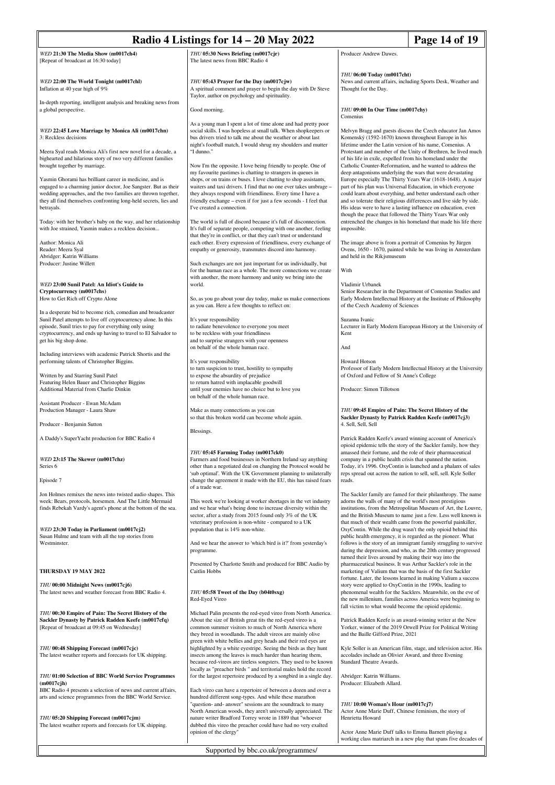| Radio 4 Listings for $14 - 20$ May 2022                                                                                                                                                                                                                                            |                                                                                                                                                                                                                                                                                                                        |                                                                                                                                                                                                           | Page 14 of 19                                                                                                                                                                                       |
|------------------------------------------------------------------------------------------------------------------------------------------------------------------------------------------------------------------------------------------------------------------------------------|------------------------------------------------------------------------------------------------------------------------------------------------------------------------------------------------------------------------------------------------------------------------------------------------------------------------|-----------------------------------------------------------------------------------------------------------------------------------------------------------------------------------------------------------|-----------------------------------------------------------------------------------------------------------------------------------------------------------------------------------------------------|
| WED 21:30 The Media Show (m0017ch4)<br>[Repeat of broadcast at 16:30 today]                                                                                                                                                                                                        | THU 05:30 News Briefing (m0017cjr)<br>The latest news from BBC Radio 4                                                                                                                                                                                                                                                 | Producer Andrew Dawes.                                                                                                                                                                                    |                                                                                                                                                                                                     |
| WED 22:00 The World Tonight (m0017chl)<br>Inflation at 40 year high of 9%                                                                                                                                                                                                          | THU 05:43 Prayer for the Day (m0017cjw)<br>A spiritual comment and prayer to begin the day with Dr Steve<br>Taylor, author on psychology and spirituality.                                                                                                                                                             | THU 06:00 Today (m0017cht)<br>News and current affairs, including Sports Desk, Weather and<br>Thought for the Day.                                                                                        |                                                                                                                                                                                                     |
| In-depth reporting, intelligent analysis and breaking news from<br>a global perspective.                                                                                                                                                                                           | Good morning.                                                                                                                                                                                                                                                                                                          | THU 09:00 In Our Time (m0017chy)<br>Comenius                                                                                                                                                              |                                                                                                                                                                                                     |
| WED 22:45 Love Marriage by Monica Ali (m0017chn)<br>3: Reckless decisions                                                                                                                                                                                                          | As a young man I spent a lot of time alone and had pretty poor<br>social skills. I was hopeless at small talk. When shopkeepers or<br>bus drivers tried to talk me about the weather or about last<br>night's football match, I would shrug my shoulders and mutter                                                    | Melvyn Bragg and guests discuss the Czech educator Jan Amos<br>Komenský (1592-1670) known throughout Europe in his<br>lifetime under the Latin version of his name, Comenius. A                           |                                                                                                                                                                                                     |
| Meera Syal reads Monica Ali's first new novel for a decade, a<br>bighearted and hilarious story of two very different families<br>brought together by marriage.                                                                                                                    | "I dunno."<br>Now I'm the opposite. I love being friendly to people. One of<br>my favourite pastimes is chatting to strangers in queues in                                                                                                                                                                             | of his life in exile, expelled from his homeland under the<br>Catholic Counter-Reformation, and he wanted to address the<br>deep antagonisms underlying the wars that were devastating                    | Protestant and member of the Unity of Brethren, he lived much                                                                                                                                       |
| Yasmin Ghorami has brilliant career in medicine, and is<br>engaged to a charming junior doctor, Joe Sangster. But as their<br>wedding approaches, and the two families are thrown together,<br>they all find themselves confronting long-held secrets, lies and<br>betrayals.      | shops, or on trains or buses. I love chatting to shop assistants,<br>waiters and taxi drivers. I find that no one ever takes umbrage -<br>they always respond with friendliness. Every time I have a<br>friendly exchange – even if for just a few seconds - I feel that<br>I've created a connection.                 | part of his plan was Universal Education, in which everyone<br>His ideas were to have a lasting influence on education, even<br>though the peace that followed the Thirty Years War only                  | Europe especially The Thirty Years War (1618-1648). A major<br>could learn about everything, and better understand each other<br>and so tolerate their religious differences and live side by side. |
| Today: with her brother's baby on the way, and her relationship<br>with Joe strained. Yasmin makes a reckless decision                                                                                                                                                             | The world is full of discord because it's full of disconnection.<br>It's full of separate people, competing with one another, feeling<br>that they're in conflict, or that they can't trust or understand                                                                                                              | impossible.                                                                                                                                                                                               | entrenched the changes in his homeland that made his life there                                                                                                                                     |
| Author: Monica Ali<br>Reader: Meera Syal<br>Abridger: Katrin Williams<br>Producer: Justine Willett                                                                                                                                                                                 | each other. Every expression of friendliness, every exchange of<br>empathy or generosity, transmutes discord into harmony.<br>Such exchanges are not just important for us individually, but                                                                                                                           | The image above is from a portrait of Comenius by Jürgen<br>and held in the Rikjsmuseum                                                                                                                   | Ovens, 1650 - 1670, painted while he was living in Amsterdam                                                                                                                                        |
| WED 23:00 Sunil Patel: An Idiot's Guide to                                                                                                                                                                                                                                         | for the human race as a whole. The more connections we create<br>with another, the more harmony and unity we bring into the<br>world.                                                                                                                                                                                  | With<br>Vladimir Urbanek                                                                                                                                                                                  |                                                                                                                                                                                                     |
| Cryptocurrency (m0017chs)<br>How to Get Rich off Crypto Alone                                                                                                                                                                                                                      | So, as you go about your day today, make us make connections<br>as you can. Here a few thoughts to reflect on:                                                                                                                                                                                                         | of the Czech Academy of Sciences                                                                                                                                                                          | Senior Researcher in the Department of Comenius Studies and<br>Early Modern Intellectual History at the Institute of Philosophy                                                                     |
| In a desperate bid to become rich, comedian and broadcaster<br>Sunil Patel attempts to live off cryptocurrency alone. In this<br>episode, Sunil tries to pay for everything only using<br>cryptocurrency, and ends up having to travel to El Salvador to<br>get his big shop done. | It's your responsibility<br>to radiate benevolence to everyone you meet<br>to be reckless with your friendliness<br>and to surprise strangers with your openness                                                                                                                                                       | Suzanna Ivanic<br>Lecturer in Early Modern European History at the University of<br>Kent                                                                                                                  |                                                                                                                                                                                                     |
| Including interviews with academic Patrick Shortis and the<br>performing talents of Christopher Biggins.                                                                                                                                                                           | on behalf of the whole human race.<br>It's your responsibility                                                                                                                                                                                                                                                         | And<br><b>Howard Hotson</b>                                                                                                                                                                               |                                                                                                                                                                                                     |
| Written by and Starring Sunil Patel<br>Featuring Helen Bauer and Christopher Biggins<br>Additional Material from Charlie Dinkin                                                                                                                                                    | to turn suspicion to trust, hostility to sympathy<br>to expose the absurdity of prejudice<br>to return hatred with implacable goodwill<br>until your enemies have no choice but to love you                                                                                                                            | of Oxford and Fellow of St Anne's College<br>Producer: Simon Tillotson                                                                                                                                    | Professor of Early Modern Intellectual History at the University                                                                                                                                    |
| Assistant Producer - Ewan McAdam<br>Production Manager - Laura Shaw                                                                                                                                                                                                                | on behalf of the whole human race.<br>Make as many connections as you can                                                                                                                                                                                                                                              | THU 09:45 Empire of Pain: The Secret History of the                                                                                                                                                       |                                                                                                                                                                                                     |
| Producer - Benjamin Sutton                                                                                                                                                                                                                                                         | so that this broken world can become whole again.                                                                                                                                                                                                                                                                      | Sackler Dynasty by Patrick Radden Keefe (m0017cj3)<br>4. Sell, Sell, Sell                                                                                                                                 |                                                                                                                                                                                                     |
| A Daddy's SuperYacht production for BBC Radio 4                                                                                                                                                                                                                                    | Blessings.                                                                                                                                                                                                                                                                                                             | Patrick Radden Keefe's award winning account of America's                                                                                                                                                 | opioid epidemic tells the story of the Sackler family, how they                                                                                                                                     |
| WED 23:15 The Skewer (m0017chz)<br>Series <sub>6</sub><br>Episode 7                                                                                                                                                                                                                | THU 05:45 Farming Today (m0017ck0)<br>Farmers and food businesses in Northern Ireland say anything<br>other than a negotiated deal on changing the Protocol would be<br>'sub optimal'. With the UK Government planning to unilaterally<br>change the agreement it made with the EU, this has raised fears              | amassed their fortune, and the role of their pharmaceutical<br>company in a public health crisis that spanned the nation.<br>reps spread out across the nation to sell, sell, sell. Kyle Soller<br>reads. | Today, it's 1996. OxyContin is launched and a phalanx of sales                                                                                                                                      |
| Jon Holmes remixes the news into twisted audio shapes. This<br>week: Bears, protocols, horsemen. And The Little Mermaid<br>finds Rebekah Vardy's agent's phone at the bottom of the sea.                                                                                           | of a trade war.<br>This week we're looking at worker shortages in the vet industry<br>and we hear what's being done to increase diversity within the<br>sector, after a study from 2015 found only 3% of the UK                                                                                                        | adorns the walls of many of the world's most prestigious                                                                                                                                                  | The Sackler family are famed for their philanthropy. The name<br>institutions, from the Metropolitan Museum of Art, the Louvre,<br>and the British Museum to name just a few. Less well known is    |
| WED 23:30 Today in Parliament (m0017cj2)<br>Susan Hulme and team with all the top stories from<br>Westminster.                                                                                                                                                                     | veterinary profession is non-white - compared to a UK<br>population that is 14% non-white.<br>And we hear the answer to 'which bird is it?' from yesterday's                                                                                                                                                           | that much of their wealth came from the powerful painkiller,<br>OxyContin. While the drug wasn't the only opioid behind this<br>public health emergency, it is regarded as the pioneer. What              | follows is the story of an immigrant family struggling to survive                                                                                                                                   |
|                                                                                                                                                                                                                                                                                    | programme.<br>Presented by Charlotte Smith and produced for BBC Audio by                                                                                                                                                                                                                                               | turned their lives around by making their way into the<br>pharmaceutical business. It was Arthur Sackler's role in the                                                                                    | during the depression, and who, as the 20th century progressed                                                                                                                                      |
| <b>THURSDAY 19 MAY 2022</b>                                                                                                                                                                                                                                                        | Caitlin Hobbs                                                                                                                                                                                                                                                                                                          | marketing of Valium that was the basis of the first Sackler                                                                                                                                               | fortune. Later, the lessons learned in making Valium a success                                                                                                                                      |
| THU 00:00 Midnight News (m0017cj6)<br>The latest news and weather forecast from BBC Radio 4.                                                                                                                                                                                       | THU 05:58 Tweet of the Day (b04t0sxg)<br>Red-Eyed Vireo                                                                                                                                                                                                                                                                | story were applied to OxyContin in the 1990s, leading to<br>fall victim to what would become the opioid epidemic.                                                                                         | phenomenal wealth for the Sacklers. Meanwhile, on the eve of<br>the new millenium, families across America were beginning to                                                                        |
| THU 00:30 Empire of Pain: The Secret History of the<br>Sackler Dynasty by Patrick Radden Keefe (m0017cfq)<br>[Repeat of broadcast at 09:45 on Wednesday]                                                                                                                           | Michael Palin presents the red-eyed vireo from North America.<br>About the size of British great tits the red-eyed vireo is a<br>common summer visitors to much of North America where<br>they breed in woodlands. The adult vireos are mainly olive<br>green with white bellies and grey heads and their red eyes are | Patrick Radden Keefe is an award-winning writer at the New<br>and the Baille Gifford Prize, 2021                                                                                                          | Yorker, winner of the 2019 Orwell Prize for Political Writing                                                                                                                                       |
| THU 00:48 Shipping Forecast (m0017cjc)<br>The latest weather reports and forecasts for UK shipping.                                                                                                                                                                                | highlighted by a white eyestripe. Seeing the birds as they hunt<br>insects among the leaves is much harder than hearing them,<br>because red-vireos are tireless songsters. They used to be known<br>locally as "preacher birds" and territorial males hold the record                                                 | accolades include an Olivier Award, and three Evening<br>Standard Theatre Awards.                                                                                                                         | Kyle Soller is an American film, stage, and television actor. His                                                                                                                                   |
| <b>THU 01:00 Selection of BBC World Service Programmes</b><br>$(m0017\text{c}jh)$                                                                                                                                                                                                  | for the largest repertoire produced by a songbird in a single day.                                                                                                                                                                                                                                                     | Abridger: Katrin Williams.<br>Producer: Elizabeth Allard.                                                                                                                                                 |                                                                                                                                                                                                     |
| BBC Radio 4 presents a selection of news and current affairs,<br>arts and science programmes from the BBC World Service.                                                                                                                                                           | Each vireo can have a repertoire of between a dozen and over a<br>hundred different song-types. And while these marathon<br>"question- and- answer" sessions are the soundtrack to many<br>North American woods, they aren't universally appreciated. The                                                              | THU 10:00 Woman's Hour (m0017cj7)<br>Actor Anne Marie Duff, Chinese feminism, the story of                                                                                                                |                                                                                                                                                                                                     |
| THU 05:20 Shipping Forecast (m0017cjm)<br>The latest weather reports and forecasts for UK shipping.                                                                                                                                                                                | nature writer Bradford Torrey wrote in 1889 that "whoever<br>dubbed this vireo the preacher could have had no very exalted<br>opinion of the clergy"                                                                                                                                                                   | Henrietta Howard<br>Actor Anne Marie Duff talks to Emma Barnett playing a                                                                                                                                 | working class matriarch in a new play that spans five decades of                                                                                                                                    |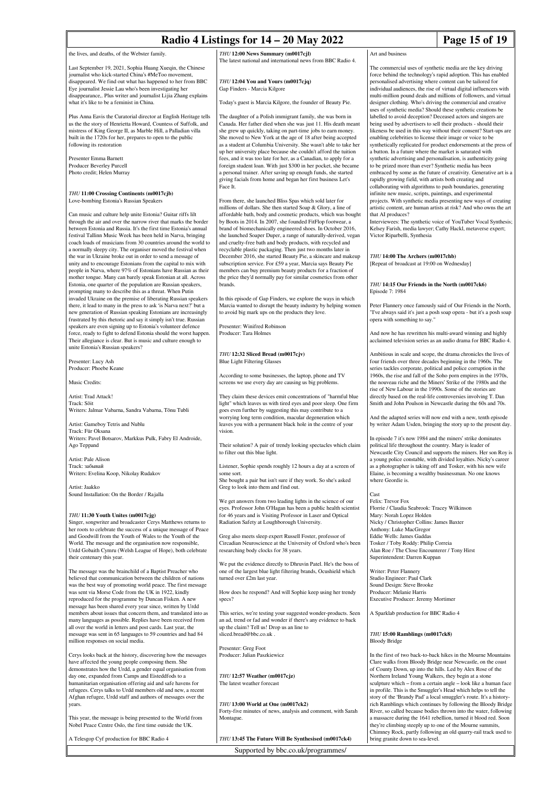# **Radio 4 Listings for 14 – 20 May 2022 Page 15 of 19**

the lives, and deaths, of the Webster family.

Last September 19, 2021, Sophia Huang Xueqin, the Chinese journalist who kick-started China's #MeToo movement, disappeared. We find out what has happened to her from BBC Eye journalist Jessie Lau who's been investigating her disappearance,. Plus writer and journalist Lijia Zhang explains what it's like to be a feminist in China.

Plus Anna Eavis the Curatorial director at English Heritage tells us the the story of Henrietta Howard, Countess of Suffolk, and mistress of King George II, as Marble Hill, a Palladian villa built in the 1720s for her, prepares to open to the public following its restoration

Presenter Emma Barnett Producer Beverley Purcell Photo credit; Helen Murray

*THU* **11:00 Crossing Continents (m0017cjb)** Love-bombing Estonia's Russian Speakers

Can music and culture help unite Estonia? Guitar riffs lilt through the air and over the narrow river that marks the border between Estonia and Russia. It's the first time Estonia's annual festival Tallinn Music Week has been held in Narva, bringing coach loads of musicians from 30 countries around the world to a normally sleepy city. The organiser moved the festival when the war in Ukraine broke out in order to send a message of unity and to encourage Estonians from the capital to mix with people in Narva, where 97% of Estonians have Russian as their mother tongue. Many can barely speak Estonian at all. Across Estonia, one quarter of the population are Russian speakers, prompting many to describe this as a threat. When Putin invaded Ukraine on the premise of liberating Russian speakers there, it lead to many in the press to ask 'is Narva next?' but a new generation of Russian speaking Estonians are increasingly frustrated by this rhetoric and say it simply isn't true. Russian speakers are even signing up to Estonia's volunteer defence force, ready to fight to defend Estonia should the worst happen. Their allegiance is clear. But is music and culture enough to unite Estonia's Russian speakers?

Presenter: Lucy Ash Producer: Phoebe Keane

Music Credits:

Artist: Trad Attack! Track: Sõit Writers: Jalmar Vabarna, Sandra Vabarna, Tõnu Tubli

Artist: Gameboy Tetris and Nublu Track: Für Oksana Writers: Pavel Botsarov, Markkus Pulk, Fabry El Androide, Ago Teppand

Artist: Pale Alison Track: забывай Writers: Evelina Koop, Nikolay Rudakov

Artist: Jaakko Sound Installation: On the Border / Rajalla

# *THU* **11:30 Youth Unites (m0017cjg)**

Singer, songwriter and broadcaster Cerys Matthews returns to her roots to celebrate the success of a unique message of Peace and Goodwill from the Youth of Wales to the Youth of the World. The message and the organisation now responsible, Urdd Gobaith Cymru (Welsh League of Hope), both celebrate their centenary this year.

The message was the brainchild of a Baptist Preacher who believed that communication between the children of nation was the best way of promoting world peace. The first message was sent via Morse Code from the UK in 1922, kindly reproduced for the programme by Duncan Fisken. A ne message has been shared every year since, written by Urdd members about issues that concern them, and translated into as many languages as possible. Replies have been received from all over the world in letters and post cards. Last year, the message was sent in 65 languages to 59 countries and had 84 million responses on social media.

Cerys looks back at the history, discovering how the messages have affected the young people composing them. She demonstrates how the Urdd, a gender equal organisation from day one, expanded from Camps and Eisteddfods to a humanitarian organisation offering aid and safe havens for refugees. Cerys talks to Urdd members old and new, a recent Afghan refugee, Urdd staff and authors of messages over the years.

This year, the message is being presented to the World from Nobel Peace Centre Oslo, the first time outside the UK.

A Telesgop Cyf production for BBC Radio 4

*THU* **12:00 News Summary (m0017cjl)** The latest national and international news from BBC Radio 4.

*THU* **12:04 You and Yours (m0017cjq)** Gap Finders - Marcia Kilgore

Today's guest is Marcia Kilgore, the founder of Beauty Pie.

The daughter of a Polish immigrant family, she was born in Canada. Her father died when she was just 11. His death meant she grew up quickly, taking on part-time jobs to earn money. She moved to New York at the age of 18 after being accepted as a student at Columbia University. She wasn't able to take her up her university place because she couldn't afford the tuition fees, and it was too late for her, as a Canadian, to apply for a foreign student loan. With just \$300 in her pocket, she became a personal trainer. After saving up enough funds, she started giving facials from home and began her first business Let's Face It.

From there, she launched Bliss Spas which sold later for millions of dollars. She then started Soap & Glory, a line of affordable bath, body and cosmetic products, which was bough by Boots in 2014. In 2007, she founded FitFlop footwear, a brand of biomechanically engineered shoes. In October 2016, she launched Soaper Duper, a range of naturally-derived, vegan and cruelty-free bath and body products, with recycled and recyclable plastic packaging. Then just two months later in December 2016, she started Beauty Pie, a skincare and makeup subscription service. For £59 a year, Marcia says Beauty Pie members can buy premium beauty products for a fraction of the price they'd normally pay for similar cosmetics from other brands.

In this episode of Gap Finders, we explore the ways in which Marcia wanted to disrupt the beauty industry by helping women to avoid big mark ups on the products they love.

Presenter: Winifred Robinson Producer: Tara Holme

#### *THU* **12:32 Sliced Bread (m0017cjv)** Blue Light Filtering Glasses

According to some businesses, the laptop, phone and TV screens we use every day are causing us big problems.

They claim these devices emit concentrations of "harmful blue light" which leaves us with tired eyes and poor sleep. One firm goes even further by suggesting this may contribute to a worrying long term condition, macular degeneration which leaves you with a permanent black hole in the centre of your vision.

Their solution? A pair of trendy looking spectacles which claim to filter out this blue light.

Listener, Sophie spends roughly 12 hours a day at a screen of some sort.

She bought a pair but isn't sure if they work. So she's asked Greg to look into them and find out.

We get answers from two leading lights in the science of our eyes. Professor John O'Hagan has been a public health scientist for 46 years and is Visiting Professor in Laser and Optical Radiation Safety at Loughborough University.

Greg also meets sleep expert Russell Foster, professor of Circadian Neuroscience at the University of Oxford who's been researching body clocks for 38 years.

We put the evidence directly to Dhruvin Patel. He's the boss of one of the largest blue light filtering brands, Ocushield which turned over £2m last year.

How does he respond? And will Sophie keep using her trendy specs?

This series, we're testing your suggested wonder-products. Seen an ad, trend or fad and wonder if there's any evidence to back up the claim? Tell us! Drop us an line to sliced.bread@bbc.co.uk .

Presenter: Greg Foot Producer: Julian Paszkiewicz

*THU* **12:57 Weather (m0017cjz)** The latest weather forecast

*THU* **13:00 World at One (m0017ck2)** Forty-five minutes of news, analysis and comment, with Sarah Montague.

*THU* **13:45 The Future Will Be Synthesised (m0017ck4)**

#### Art and business

The commercial uses of synthetic media are the key driving force behind the technology's rapid adoption. This has enabled personalised advertising where content can be tailored for individual audiences, the rise of virtual digital influencers with multi-million pound deals and millions of followers, and virtual designer clothing. Who's driving the commercial and creative ses of synthetic media? Should these synthetic creations be labelled to avoid deception? Deceased actors and singers are being used by advertisers to sell their products - should their likeness be used in this way without their consent? Start-ups are enabling celebrities to license their image or voice to be synthetically replicated for product endorsements at the pr a button. In a future where the market is saturated with synthetic advertising and personalisation, is authenticity going to be prized more than ever? Synthetic media has been embraced by some as the future of creativity. Generative a rapidly growing field, with artists both creating and collaborating with algorithms to push boundaries, generating infinite new music, scripts, paintings, and experimental projects. With synthetic media presenting new ways of creating artistic content, are human artists at risk? And who owns the art that AI produces?

Interviewees: The synthetic voice of YouTuber Vocal Synthesis; Kelsey Farish, media lawyer; Cathy Hackl, metaverse expert; Victor Riparbelli, Synthesia

# *THU* **14:00 The Archers (m0017chb)**

[Repeat of broadcast at 19:00 on Wednesday]

#### *THU* **14:15 Our Friends in the North (m0017ck6)** Episode 7: 1984

Peter Flannery once famously said of Our Friends in the North, "I've always said it's just a posh soap opera - but it's a posh soap opera with something to say."

And now he has rewritten his multi-award winning and highly acclaimed television series as an audio drama for BBC Radio 4.

Ambitious in scale and scope, the drama chronicles the lives of four friends over three decades beginning in the 1960s. The series tackles corporate, political and police corruption in the 1960s, the rise and fall of the Soho porn empires in the 1970s, the nouveau riche and the Miners' Strike of the 1980s and the rise of New Labour in the 1990s. Some of the stories are directly based on the real-life controversies involving T. Dan Smith and John Poulson in Newcastle during the 60s and 70s.

And the adapted series will now end with a new, tenth episode by writer Adam Usden, bringing the story up to the present day.

In episode 7 it's now 1984 and the miners' strike dominate political life throughout the country. Mary is leader of Newcastle City Council and supports the miners. Her son Roy is a young police constable, with divided loyalties. Nicky's care as a photographer is taking off and Tosker, with his new wife Elaine, is becoming a wealthy businessman. No one knows where Geordie is.

Cast

Felix: Trevor Fox Florrie / Claudia Seabrook: Tracey Wilkinson Mary: Norah Lopez Holden Nicky / Christopher Collins: James Baxter Anthony: Luke MacGregor Eddie Wells: James Gaddas Tosker / Toby Roddy: Philip Correia Alan Roe / The Close Encounterer / Tony Hirst Superintendent: Darren Kuppan

Writer: Peter Flannery Studio Engineer: Paul Clark Sound Design: Steve Brooke Producer: Melanie Harris Executive Producer: Jeremy Mortimer

A Sparklab production for BBC Radio 4

*THU* **15:00 Ramblings (m0017ck8)** Bloody Bridge

In the first of two back-to-back hikes in the Mourne Mountains Clare walks from Bloody Bridge near Newcastle, on the coast of County Down, up into the hills. Led by Alex Rose of the Northern Ireland Young Walkers, they begin at a stone sculpture which – from a certain angle – look like a human face in profile. This is the Smuggler's Head which helps to tell the story of the 'Brandy Pad' a local smuggler's route. It's a historyrich Ramblings which continues by following the Bloody Bridge River, so called because bodies thrown into the water, following a massacre during the 1641 rebellion, turned it blood red. Soon they're climbing steeply up to one of the Mourne summits, Chimney Rock, partly following an old quarry-rail track used to bring granite down to sea-level.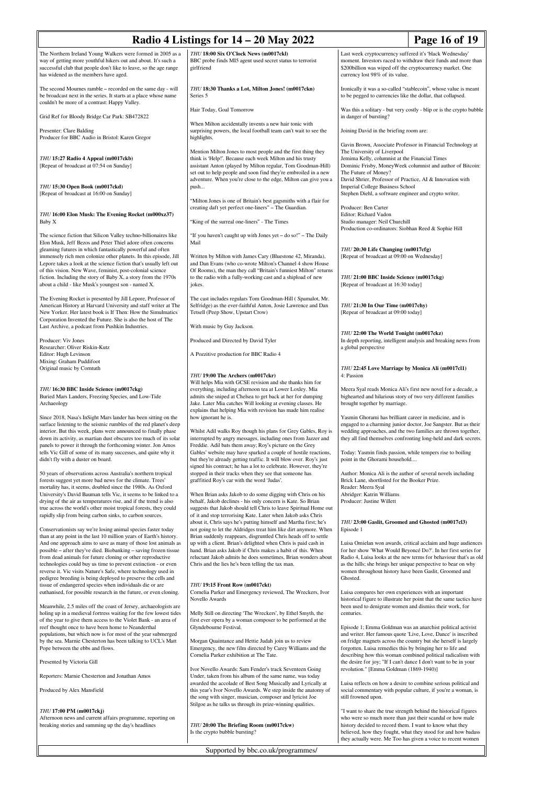| Radio 4 Listings for $14 - 20$ May 2022<br>Page 16 of 19                                                                                                                                                                                                                                                                                                                                                   |                                                                                                                                                                                                                                                                                                                                 |                                                                                                                                                                                                                                                                                                                                  |
|------------------------------------------------------------------------------------------------------------------------------------------------------------------------------------------------------------------------------------------------------------------------------------------------------------------------------------------------------------------------------------------------------------|---------------------------------------------------------------------------------------------------------------------------------------------------------------------------------------------------------------------------------------------------------------------------------------------------------------------------------|----------------------------------------------------------------------------------------------------------------------------------------------------------------------------------------------------------------------------------------------------------------------------------------------------------------------------------|
| The Northern Ireland Young Walkers were formed in 2005 as a                                                                                                                                                                                                                                                                                                                                                | THU 18:00 Six O'Clock News (m0017ckl)                                                                                                                                                                                                                                                                                           | Last week cryptocurrency suffered it's 'black Wednesday'                                                                                                                                                                                                                                                                         |
| way of getting more youthful hikers out and about. It's such a<br>successful club that people don't like to leave, so the age range<br>has widened as the members have aged.                                                                                                                                                                                                                               | BBC probe finds MI5 agent used secret status to terrorist<br>girlfriend                                                                                                                                                                                                                                                         | moment. Investors raced to withdraw their funds and more than<br>\$200billion was wiped off the cryptocurrency market. One<br>currency lost 98% of its value.                                                                                                                                                                    |
| The second Mournes ramble – recorded on the same day - will<br>be broadcast next in the series. It starts at a place whose name<br>couldn't be more of a contrast: Happy Valley.                                                                                                                                                                                                                           | THU 18:30 Thanks a Lot, Milton Jones! (m0017ckn)<br>Series 5                                                                                                                                                                                                                                                                    | Ironically it was a so-called "stablecoin", whose value is meant<br>to be pegged to currencies like the dollar, that collapsed.                                                                                                                                                                                                  |
| Grid Ref for Bloody Bridge Car Park: SB472822                                                                                                                                                                                                                                                                                                                                                              | Hair Today, Goal Tomorrow                                                                                                                                                                                                                                                                                                       | Was this a solitary - but very costly - blip or is the crypto bubble<br>in danger of bursting?                                                                                                                                                                                                                                   |
| Presenter: Clare Balding<br>Producer for BBC Audio in Bristol: Karen Gregor                                                                                                                                                                                                                                                                                                                                | When Milton accidentally invents a new hair tonic with<br>surprising powers, the local football team can't wait to see the<br>highlights.                                                                                                                                                                                       | Joining David in the briefing room are:                                                                                                                                                                                                                                                                                          |
| THU 15:27 Radio 4 Appeal (m0017ckb)<br>[Repeat of broadcast at 07:54 on Sunday]                                                                                                                                                                                                                                                                                                                            | Mention Milton Jones to most people and the first thing they<br>think is 'Help!'. Because each week Milton and his trusty<br>assistant Anton (played by Milton regular, Tom Goodman-Hill)<br>set out to help people and soon find they're embroiled in a new<br>adventure. When you're close to the edge, Milton can give you a | Gavin Brown, Associate Professor in Financial Technology at<br>The University of Liverpool<br>Jemima Kelly, columnist at the Financial Times<br>Dominic Frisby, MoneyWeek columnist and author of Bitcoin:<br>The Future of Money?<br>David Shrier, Professor of Practice, AI & Innovation with                                  |
| THU 15:30 Open Book (m0017ckd)<br>[Repeat of broadcast at 16:00 on Sunday]                                                                                                                                                                                                                                                                                                                                 | push<br>"Milton Jones is one of Britain's best gagsmiths with a flair for                                                                                                                                                                                                                                                       | Imperial College Business School<br>Stephen Diehl, a software engineer and crypto writer.                                                                                                                                                                                                                                        |
| THU 16:00 Elon Musk: The Evening Rocket (m000xz37)<br>Baby X                                                                                                                                                                                                                                                                                                                                               | creating daft yet perfect one-liners" - The Guardian.<br>"King of the surreal one-liners" - The Times                                                                                                                                                                                                                           | Producer: Ben Carter<br>Editor: Richard Vadon<br>Studio manager: Neil Churchill                                                                                                                                                                                                                                                  |
| The science fiction that Silicon Valley techno-billionaires like<br>Elon Musk, Jeff Bezos and Peter Thiel adore often concerns                                                                                                                                                                                                                                                                             | "If you haven't caught up with Jones yet – do so!" – The Daily                                                                                                                                                                                                                                                                  | Production co-ordinators: Siobhan Reed & Sophie Hill                                                                                                                                                                                                                                                                             |
| gleaming futures in which fantastically powerful and often<br>immensely rich men colonize other planets. In this episode, Jill<br>Lepore takes a look at the science fiction that's usually left out                                                                                                                                                                                                       | Mail<br>Written by Milton with James Cary (Bluestone 42, Miranda),<br>and Dan Evans (who co-wrote Milton's Channel 4 show House                                                                                                                                                                                                 | THU 20:30 Life Changing (m0017cfg)<br>[Repeat of broadcast at 09:00 on Wednesday]                                                                                                                                                                                                                                                |
| of this vision. New Wave, feminist, post-colonial science<br>fiction. Including the story of Baby X, a story from the 1970s<br>about a child - like Musk's youngest son - named X.                                                                                                                                                                                                                         | Of Rooms), the man they call "Britain's funniest Milton" returns<br>to the radio with a fully-working cast and a shipload of new<br>jokes.                                                                                                                                                                                      | THU 21:00 BBC Inside Science (m0017ckg)<br>[Repeat of broadcast at 16:30 today]                                                                                                                                                                                                                                                  |
| The Evening Rocket is presented by Jill Lepore, Professor of<br>American History at Harvard University and staff writer at The<br>New Yorker. Her latest book is If Then: How the Simulmatics<br>Corporation Invented the Future. She is also the host of The<br>Last Archive, a podcast from Pushkin Industries.                                                                                          | The cast includes regulars Tom Goodman-Hill (Spamalot, Mr.<br>Selfridge) as the ever-faithful Anton, Josie Lawrence and Dan<br>Tetsell (Peep Show, Upstart Crow)<br>With music by Guy Jackson.                                                                                                                                  | THU 21:30 In Our Time (m0017chy)<br>[Repeat of broadcast at 09:00 today]                                                                                                                                                                                                                                                         |
| Producer: Viv Jones                                                                                                                                                                                                                                                                                                                                                                                        | Produced and Directed by David Tyler                                                                                                                                                                                                                                                                                            | THU 22:00 The World Tonight (m0017ckz)<br>In depth reporting, intelligent analysis and breaking news from                                                                                                                                                                                                                        |
| Researcher: Oliver Riskin-Kutz<br>Editor: Hugh Levinson                                                                                                                                                                                                                                                                                                                                                    | A Pozzitive production for BBC Radio 4                                                                                                                                                                                                                                                                                          | a global perspective                                                                                                                                                                                                                                                                                                             |
| Mixing: Graham Puddifoot<br>Original music by Corntuth                                                                                                                                                                                                                                                                                                                                                     |                                                                                                                                                                                                                                                                                                                                 | THU 22:45 Love Marriage by Monica Ali (m0017cl1)                                                                                                                                                                                                                                                                                 |
|                                                                                                                                                                                                                                                                                                                                                                                                            | THU 19:00 The Archers (m0017ckr)<br>Will helps Mia with GCSE revision and she thanks him for                                                                                                                                                                                                                                    | 4: Passion                                                                                                                                                                                                                                                                                                                       |
| THU 16:30 BBC Inside Science (m0017ckg)<br>Buried Mars Landers, Freezing Species, and Low-Tide<br>Archaeology                                                                                                                                                                                                                                                                                              | everything, including afternoon tea at Lower Loxley. Mia<br>admits she sniped at Chelsea to get back at her for dumping<br>Jake. Later Mia catches Will looking at evening classes. He<br>explains that helping Mia with revision has made him realise                                                                          | Meera Syal reads Monica Ali's first new novel for a decade, a<br>bighearted and hilarious story of two very different families<br>brought together by marriage.                                                                                                                                                                  |
| Since 2018, Nasa's InSight Mars lander has been sitting on the<br>surface listening to the seismic rumbles of the red planet's deep<br>interior. But this week, plans were announced to finally phase                                                                                                                                                                                                      | how ignorant he is.<br>Whilst Adil walks Roy though his plans for Grey Gables, Roy is                                                                                                                                                                                                                                           | Yasmin Ghorami has brilliant career in medicine, and is<br>engaged to a charming junior doctor, Joe Sangster. But as their<br>wedding approaches, and the two families are thrown together,                                                                                                                                      |
| down its activity, as martian dust obscures too much of its solar<br>panels to power it through the forthcoming winter. Jon Amos<br>tells Vic Gill of some of its many successes, and quite why it<br>didn't fly with a duster on board.                                                                                                                                                                   | interrupted by angry messages, including ones from Jazzer and<br>Freddie. Adil bats them away; Roy's picture on the Grey<br>Gables' website may have sparked a couple of hostile reactions,<br>but they're already getting traffic. It will blow over. Roy's just                                                               | they all find themselves confronting long-held and dark secrets.<br>Today: Yasmin finds passion, while tempers rise to boiling<br>point in the Ghorami household                                                                                                                                                                 |
| 50 years of observations across Australia's northern tropical<br>forests suggest yet more bad news for the climate. Trees'<br>mortality has, it seems, doubled since the 1980s. As Oxford                                                                                                                                                                                                                  | signed his contract; he has a lot to celebrate. However, they're<br>stopped in their tracks when they see that someone has<br>graffitied Roy's car with the word 'Judas'.                                                                                                                                                       | Author: Monica Ali is the author of several novels including<br>Brick Lane, shortlisted for the Booker Prize.<br>Reader: Meera Syal                                                                                                                                                                                              |
| University's David Bauman tells Vic, it seems to be linked to a<br>drying of the air as temperatures rise, and if the trend is also<br>true across the world's other moist tropical forests, they could                                                                                                                                                                                                    | When Brian asks Jakob to do some digging with Chris on his<br>behalf, Jakob declines - his only concern is Kate. So Brian<br>suggests that Jakob should tell Chris to leave Spiritual Home out                                                                                                                                  | Abridger: Katrin Williams<br>Producer: Justine Willett                                                                                                                                                                                                                                                                           |
| rapidly slip from being carbon sinks, to carbon sources.<br>Conservationists say we're losing animal species faster today                                                                                                                                                                                                                                                                                  | of it and stop terrorising Kate. Later when Jakob asks Chris<br>about it, Chris says he's putting himself and Martha first; he's<br>not going to let the Aldridges treat him like dirt anymore. When                                                                                                                            | THU 23:00 Gaslit, Groomed and Ghosted (m0017cl3)<br>Episode 1                                                                                                                                                                                                                                                                    |
| than at any point in the last 10 million years of Earth's history.<br>And one approach aims to save as many of those lost animals as<br>possible – after they've died. Biobanking – saving frozen tissue<br>from dead animals for future cloning or other reproductive<br>technologies could buy us time to prevent extinction - or even<br>reverse it. Vic visits Nature's Safe, where technology used in | Brian suddenly reappears, disgruntled Chris heads off to settle<br>up with a client. Brian's delighted when Chris is paid cash in<br>hand. Brian asks Jakob if Chris makes a habit of this. When<br>reluctant Jakob admits he does sometimes, Brian wonders about<br>Chris and the lies he's been telling the tax man.          | Luisa Omielan won awards, critical acclaim and huge audiences<br>for her show 'What Would Beyoncé Do?'. In her first series for<br>Radio 4, Luisa looks at the new terms for behaviour that's as old<br>as the hills; she brings her unique perspective to bear on why<br>women throughout history have been Gaslit, Groomed and |
| pedigree breeding is being deployed to preserve the cells and<br>tissue of endangered species when individuals die or are<br>euthanised, for possible research in the future, or even cloning.                                                                                                                                                                                                             | <b>THU 19:15 Front Row (m0017ckt)</b><br>Cornelia Parker and Emergency reviewed, The Wreckers, Ivor<br>Novello Awards                                                                                                                                                                                                           | Ghosted.<br>Luisa compares her own experiences with an important<br>historical figure to illustrate her point that the same tactics have                                                                                                                                                                                         |
| Meanwhile, 2.5 miles off the coast of Jersey, archaeologists are<br>holing up in a medieval fortress waiting for the few lowest tides<br>of the year to give them access to the Violet Bank - an area of<br>reef thought once to have been home to Neanderthal                                                                                                                                             | Melly Still on directing 'The Wreckers', by Ethel Smyth, the<br>first ever opera by a woman composer to be performed at the<br>Glyndebourne Festival.                                                                                                                                                                           | been used to denigrate women and dismiss their work, for<br>centuries.<br>Episode 1; Emma Goldman was an anarchist political activist                                                                                                                                                                                            |
| populations, but which now is for most of the year submerged<br>by the sea. Marnie Chesterton has been talking to UCL's Matt<br>Pope between the ebbs and flows.                                                                                                                                                                                                                                           | Morgan Quaintance and Hettie Judah join us to review<br>Emergency, the new film directed by Carey Williams and the<br>Cornelia Parker exhibition at The Tate.                                                                                                                                                                   | and writer. Her famous quote 'Live, Love, Dance' is inscribed<br>on fridge magnets across the country but she herself is largely<br>forgotten. Luisa remedies this by bringing her to life and<br>describing how this woman combined political radicalism with                                                                   |
| Presented by Victoria Gill                                                                                                                                                                                                                                                                                                                                                                                 | Ivor Novello Awards: Sam Fender's track Seventeen Going                                                                                                                                                                                                                                                                         | the desire for joy; "If I can't dance I don't want to be in your<br>revolution." [Emma Goldman (1869-1940)]                                                                                                                                                                                                                      |
| Reporters: Marnie Chesterton and Jonathan Amos                                                                                                                                                                                                                                                                                                                                                             | Under, taken from his album of the same name, was today<br>awarded the accolade of Best Song Musically and Lyrically at                                                                                                                                                                                                         | Luisa reflects on how a desire to combine serious political and                                                                                                                                                                                                                                                                  |
| Produced by Alex Mansfield                                                                                                                                                                                                                                                                                                                                                                                 | this year's Ivor Novello Awards. We step inside the anatomy of<br>the song with singer, musician, composer and lyricist Joe<br>Stilgoe as he talks us through its prize-winning qualities.                                                                                                                                      | social commentary with popular culture, if you're a woman, is<br>still frowned upon.                                                                                                                                                                                                                                             |
| THU 17:00 PM (m0017ckj)<br>Afternoon news and current affairs programme, reporting on<br>breaking stories and summing up the day's headlines                                                                                                                                                                                                                                                               | THU 20:00 The Briefing Room (m0017ckw)<br>Is the crypto bubble bursting?                                                                                                                                                                                                                                                        | "I want to share the true strength behind the historical figures<br>who were so much more than just their scandal or how male<br>history decided to record them. I want to know what they<br>believed, how they fought, what they stood for and how badass<br>they actually were. Me Too has given a voice to recent women       |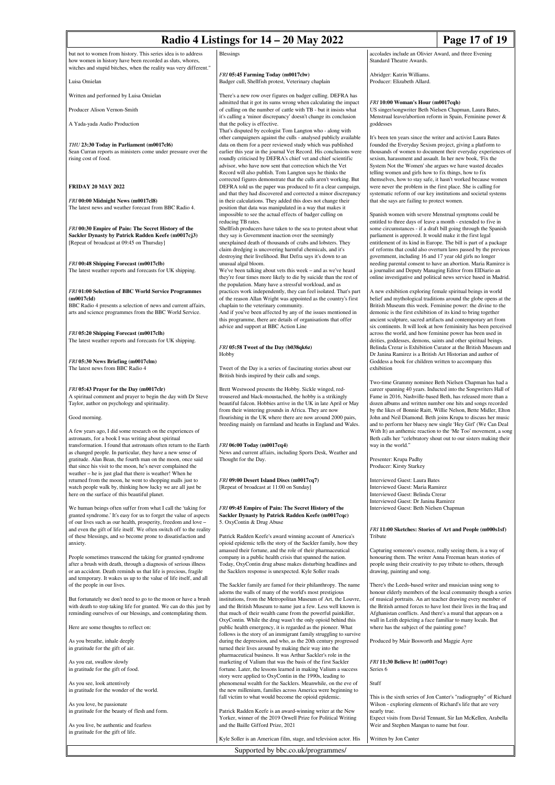# **Radio 4 Listings for 14 – 20 May 2022** Page 17 of 19

Blessings

but not to women from history. This series idea is to address how women in history have been recorded as sluts, whores, witches and stupid bitches, when the reality was very different."

Luisa Omielan

Written and performed by Luisa Omielan

Producer Alison Vernon-Smith

A Yada-yada Audio Production

# *THU* **23:30 Today in Parliament (m0017cl6)**

Sean Curran reports as ministers come under pressure over the rising cost of food.

# **FRIDAY 20 MAY 2022**

# *FRI* **00:00 Midnight News (m0017cl8)**

The latest news and weather forecast from BBC Radio 4.

*FRI* **00:30 Empire of Pain: The Secret History of the Sackler Dynasty by Patrick Radden Keefe (m0017cj3)** [Repeat of broadcast at 09:45 on Thursday]

## *FRI* **00:48 Shipping Forecast (m0017clb)**

The latest weather reports and forecasts for UK shipping.

#### *FRI* **01:00 Selection of BBC World Service Programmes (m0017cld)**

BBC Radio 4 presents a selection of news and current affairs, arts and science programmes from the BBC World Service.

## *FRI* **05:20 Shipping Forecast (m0017clh)** The latest weather reports and forecasts for UK shipping.

*FRI* **05:30 News Briefing (m0017clm)** The latest news from BBC Radio 4

## *FRI* **05:43 Prayer for the Day (m0017clr)**

A spiritual comment and prayer to begin the day with Dr Steve Taylor, author on psychology and spirituality.

#### Good morning.

A few years ago, I did some research on the experiences of astronauts, for a book I was writing about spiritual transformation. I found that astronauts often return to the Earth as changed people. In particular, they have a new sense of gratitude. Alan Bean, the fourth man on the moon, once said that since his visit to the moon, he's never complained the weather – he is just glad that there is weather! When he returned from the moon, he went to shopping malls just to watch people walk by, thinking how lucky we are all just be here on the surface of this beautiful planet.

We human beings often suffer from what I call the 'taking for granted syndrome.' It's easy for us to forget the value of aspects of our lives such as our health, prosperity, freedom and love – and even the gift of life itself. We often switch off to the reality of these blessings, and so become prone to dissatisfaction and anxiety.

People sometimes transcend the taking for granted syndrome after a brush with death, through a diagnosis of serious illness or an accident. Death reminds us that life is precious, fragile and temporary. It wakes us up to the value of life itself, and all of the people in our lives.

But fortunately we don't need to go to the moon or have a brush with death to stop taking life for granted. We can do this just by reminding ourselves of our blessings, and contemplating them.

Here are some thoughts to reflect on:

As you breathe, inhale deeply in gratitude for the gift of air.

As you eat, swallow slowly in gratitude for the gift of food.

As you see, look attentively in gratitude for the wonder of the world.

As you love, be passionate in gratitude for the beauty of flesh and form.

As you live, be authentic and fearless in gratitude for the gift of life.

*FRI* **05:45 Farming Today (m0017clw)** Badger cull, Shellfish protest, Veterinary chaplain

There's a new row over figures on badger culling. DEFRA has admitted that it got its sums wrong when calculating the impact of culling on the number of cattle with TB - but it insists what it's calling a 'minor discrepancy' doesn't change its conclusion that the policy is effective.

That's disputed by ecologist Tom Langton who - along with other campaigners against the culls - analysed publicly available data on them for a peer reviewed study which was published earlier this year in the journal Vet Record. His conclusions we roundly criticised by DEFRA's chief vet and chief scientific advisor, who have now sent that correction which the Vet Record will also publish. Tom Langton says he thinks the corrected figures demonstrate that the culls aren't working. But DEFRA told us the paper was produced to fit a clear campaign, and that they had discovered and corrected a minor discrepancy in their calculations. They added this does not change their position that data was manipulated in a way that makes it impossible to see the actual effects of badger culling on reducing TB rates.

Shellfish producers have taken to the sea to protest about what they say is Government inaction over the seemingly unexplained death of thousands of crabs and lobsters. They claim dredging is uncovering harmful chemicals, and it's destroying their livelihood. But Defra says it's down to an unusual algal bloom.

We've been talking about vets this week – and as we've heard they're four times more likely to die by suicide than the rest of the population. Many have a stressful workload, and as practices work independently, they can feel isolated. That's part of the reason Allan Wright was appointed as the country's first chaplain to the veterinary community.

And if you've been affected by any of the issues mentioned in this programme, there are details of organisations that offer advice and support at BBC Action Line

# *FRI* **05:58 Tweet of the Day (b038qk6z)** Hobby

Tweet of the Day is a series of fascinating stories about our British birds inspired by their calls and songs.

Brett Westwood presents the Hobby. Sickle winged, redtrousered and black-moustached, the hobby is a strikingly beautiful falcon. Hobbies arrive in the UK in late April or May from their wintering grounds in Africa. They are now flourishing in the UK where there are now around 2000 pairs, breeding mainly on farmland and heaths in England and Wales.

#### *FRI* **06:00 Today (m0017cq4)**

News and current affairs, including Sports Desk, Weather and Thought for the Day.

*FRI* **09:00 Desert Island Discs (m0017cq7)** [Repeat of broadcast at 11:00 on Sunday]

### *FRI* **09:45 Empire of Pain: The Secret History of the Sackler Dynasty by Patrick Radden Keefe (m0017cqc)** 5. OxyContin & Drug Abuse

Patrick Radden Keefe's award winning account of America's opioid epidemic tells the story of the Sackler family, how they amassed their fortune, and the role of their pharmaceutical company in a public health crisis that spanned the nation. Today, OxyContin drug abuse makes disturbing headlines and the Sacklers response is unexpected. Kyle Soller reads

The Sackler family are famed for their philanthropy. The name adorns the walls of many of the world's most prestigious institutions, from the Metropolitan Museum of Art, the Louvre, and the British Museum to name just a few. Less well known is that much of their wealth came from the powerful painkiller, OxyContin. While the drug wasn't the only opioid behind this public health emergency, it is regarded as the pioneer. What follows is the story of an immigrant family struggling to survive during the depression, and who, as the 20th century progressed turned their lives around by making their way into the pharmaceutical business. It was Arthur Sackler's role in the marketing of Valium that was the basis of the first Sackler fortune. Later, the lessons learned in making Valium a success story were applied to OxyContin in the 1990s, leading to phenomenal wealth for the Sacklers. Meanwhile, on the eve of the new millenium, families across America were beginning to fall victim to what would become the opioid epidemic.

Patrick Radden Keefe is an award-winning writer at the New Yorker, winner of the 2019 Orwell Prize for Political Writing and the Baille Gifford Prize, 2021

Kyle Soller is an American film, stage, and television actor. His

Supported by bbc.co.uk/programmes/

accolades include an Olivier Award, and three Evening Standard Theatre Awards.

Abridger: Katrin Williams. Producer: Elizabeth Allard.

# *FRI* **10:00 Woman's Hour (m0017cqh)**

US singer/songwriter Beth Nielsen Chapman, Laura Bates, Menstrual leave/abortion reform in Spain, Feminine power & goddesses

It's been ten years since the writer and activist Laura Bates founded the Everyday Sexism project, giving a platform to thousands of women to document their everyday experience sexism, harassment and assault. In her new book, 'Fix the System Not the Women' she argues we have wasted decade telling women and girls how to fix things, how to fix themselves, how to stay safe, it hasn't worked because women were never the problem in the first place. She is calling for systematic reform of our key institutions and societal system that she says are failing to protect women.

Spanish women with severe Menstrual symptoms could be entitled to three days of leave a month - extended to five in some circumstances - if a draft bill going through the Spanish parliament is approved. It would make it the first legal entitlement of its kind in Europe. The bill is part of a package of reforms that could also overturn laws passed by the previous government, including 16 and 17 year old girls no longer needing parental consent to have an abortion. Maria Ramirez is a journalist and Deputy Managing Editor from ElDiario an online investigative and political news service based in Madrid.

A new exhibition exploring female spiritual beings in world belief and mythological traditions around the globe opens at the British Museum this week. Feminine power: the divine to the demonic is the first exhibition of its kind to bring together ancient sculpture, sacred artifacts and contemporary art from six continents. It will look at how femininity has been perceived across the world, and how feminine power has been used in deities, goddesses, demons, saints and other spiritual beings. Belinda Crerar is Exhibition Curator at the British Museum and Dr Janina Ramirez is a British Art Historian and author of Goddess a book for children written to accompany this exhibition

Two-time Grammy nominee Beth Nielsen Chapman has had a career spanning 40 years. Inducted into the Songwriters Hall of Fame in 2016, Nashville-based Beth, has released more than a dozen albums and written number one hits and songs recorded by the likes of Bonnie Raitt, Willie Nelson, Bette Midler, Elton John and Neil Diamond. Beth joins Krupa to discuss her music and to perform her bluesy new single 'Hey Girl' (We Can Deal With It) an anthemic reaction to the 'Me Too' movement, a song Beth calls her "celebratory shout out to our sisters making their way in the world."

Presenter: Krupa Padhy Producer: Kirsty Starkey

Interviewed Guest: Laura Bates Interviewed Guest: Maria Ramirez Interviewed Guest: Belinda Crerar Interviewed Guest: Dr Janina Ramirez Interviewed Guest: Beth Nielsen Chapman

### *FRI* **11:00 Sketches: Stories of Art and People (m000s1sf) Tribute**

Capturing someone's essence, really seeing them, is a way of honouring them. The writer Anna Freeman hears stories of people using their creativity to pay tribute to others, through drawing, painting and song.

There's the Leeds-based writer and musician using song to honour elderly members of the local community though a series of musical portraits. An art teacher drawing every member of the British armed forces to have lost their lives in the Iraq and Afghanistan conflicts. And there's a mural that appears on a wall in Leith depicting a face familiar to many locals. But where has the subject of the painting gone?

Produced by Mair Bosworth and Maggie Ayre

#### *FRI* **11:30 Believe It! (m0017cqr)** Series 6

Stuff

This is the sixth series of Jon Canter's "radiography" of Richard Wilson - exploring elements of Richard's life that are very nearly true.

Expect visits from David Tennant, Sir Ian McKellen, Arabella Weir and Stephen Mangan to name but four.

Written by Jon Canter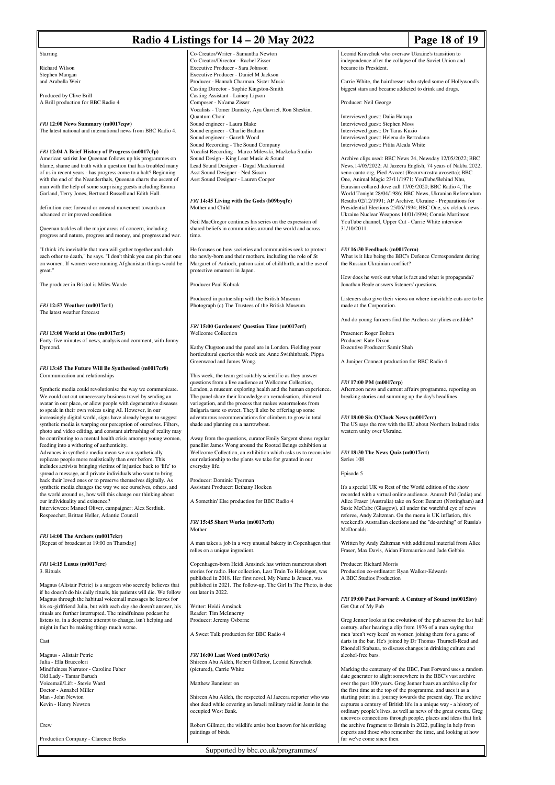# **Radio 4 Listings for 14 – 20 May 2022 Page 18 of 19**

#### Starring

Richard Wilson Stephen Mangan and Arabella Weir

Produced by Clive Brill A Brill production for BBC Radio 4

*FRI* **12:00 News Summary (m0017cqw)** The latest national and international news from BBC Radio 4.

## *FRI* **12:04 A Brief History of Progress (m0017cfp)**

American satirist Joe Queenan follows up his programmes on blame, shame and truth with a question that has troubled many of us in recent years - has progress come to a halt? Beginning with the end of the Neanderthals, Queenan charts the ascent of man with the help of some surprising guests including Emma Garland, Terry Jones, Bertrand Russell and Edith Ha

definition one: forward or onward movement towards an advanced or improved condition

Queenan tackles all the major areas of concern, including progress and nature, progress and money, and progress and war.

"I think it's inevitable that men will gather together and club each other to death," he says. "I don't think you can pin that one on women. If women were running Afghanistan things would be great<sup>1</sup>

The producer in Bristol is Miles Warde

*FRI* **12:57 Weather (m0017cr1)** The latest weather forecast

*FRI* **13:00 World at One (m0017cr5)** Forty-five minutes of news, analysis and comment, with Jonny Dymond.

#### *FRI* **13:45 The Future Will Be Synthesised (m0017cr8)** Communication and relationships

Synthetic media could revolutionise the way we communicate. We could cut out unnecessary business travel by sending an avatar in our place, or allow people with degenerative diseases to speak in their own voices using AI. However, in our increasingly digital world, signs have already begun to suggest synthetic media is warping our perception of ourselves. Filters, photo and video editing, and constant airbrushing of reality may be contributing to a mental health crisis amongst young women, feeding into a withering of authenticity. Advances in synthetic media mean we can synthetically

replicate people more realistically than ever before. This includes activists bringing victims of injustice back to 'life' to spread a message, and private individuals who want to bring back their loved ones or to preserve themselves digitally. As synthetic media changes the way we see ourselves, others, and the world around us, how will this change our thinking about our individuality and existence? Interviewees: Manuel Oliver, campaigner; Alex Serdiuk, Respeecher, Brittan Heller, Atlantic Council

*FRI* **14:00 The Archers (m0017ckr)** [Repeat of broadcast at 19:00 on Thursday]

*FRI* **14:15 Lusus (m0017crc)** 3. Rituals

Magnus (Alistair Petrie) is a surgeon who secretly believes that if he doesn't do his daily rituals, his patients will die. We follow Magnus through the habitual voicemail messages he leaves for his ex-girlfriend Julia, but with each day she doesn't answer, his rituals are further interrupted. The mindfulness podcast he listens to, in a desperate attempt to change, isn't helping and might in fact be making things much worse.

Cas

Magnus - Alistair Petrie Julia - Ella Bruccoleri Mindfulness Narrator - Caroline Faber Old Lady - Tamar Baruch Voicemail/Lift - Stevie Ward Doctor - Annabel Miller Man - John Newton Kevin - Henry Newton

**Crew** 

Production Company - Clarence Beeks

Co-Creator/Writer - Samantha Newton Co-Creator/Director - Rachel Zisser Executive Producer - Sara Johnson Executive Producer - Daniel M Jackson Producer - Hannah Charman, Sister Music Casting Director - Sophie Kingston-Smith Casting Assistant - Lainey Lipson Composer - Na'ama Zisser Vocalists - Tomer Damsky, Aya Gavriel, Ron Sheskin, Quantum Choir Sound engineer - Laura Blake Sound engineer - Charlie Braham Sound engineer - Gareth Wood Sound Recording - The Sound Company Vocalist Recording - Marco Milevski, Mazkeka Studio Sound Design - King Lear Music & Sound Lead Sound Designer - Dugal Macdiarmid Asst Sound Designer - Ned Sisson Asst Sound Designer - Lauren Cooper

*FRI* **14:45 Living with the Gods (b09byqfc)** Mother and Child

Neil MacGregor continues his series on the expression of shared beliefs in communities around the world and across time.

He focuses on how societies and communities seek to protect the newly-born and their mothers, including the role of St Margaret of Antioch, patron saint of childbirth, and the use of protective omamori in Japan.

Producer Paul Kobrak

Produced in partnership with the British Museum Photograph (c) The Trustees of the British Museum.

*FRI* **15:00 Gardeners' Question Time (m0017crf)** Wellcome Collection

Kathy Clugston and the panel are in London. Fielding your horticultural queries this week are Anne Swithinbank, Pippa Greenwood and James Wong.

This week, the team get suitably scientific as they answer questions from a live audience at Wellcome Collection, London, a museum exploring health and the human experience. The panel share their knowledge on vernalisation, chimeral variegation, and the process that makes watermelons from Bulgaria taste so sweet. They'll also be offering up some adventurous recommendations for climbers to grow in total shade and planting on a narrowboat.

Away from the questions, curator Emily Sargent shows regular panellist James Wong around the Rooted Beings exhibition at Wellcome Collection, an exhibition which asks us to reconsider our relationship to the plants we take for granted in our everyday life.

Producer: Dominic Tyerman Assistant Producer: Bethany Hocken

A Somethin' Else production for BBC Radio 4

*FRI* **15:45 Short Works (m0017crh)** Mother

A man takes a job in a very unusual bakery in Copenhagen that relies on a unique ingredient.

Copenhagen-born Heidi Amsinck has written numerous short stories for radio. Her collection, Last Train To Helsingør, was published in 2018. Her first novel, My Name Is Jensen, was published in 2021. The follow-up, The Girl In The Photo, is due <sub>.</sub><br>out later in 2022.

Writer: Heidi Amsinck Reader: Tim McInnerny Producer: Jeremy Osborne

A Sweet Talk production for BBC Radio 4

*FRI* **16:00 Last Word (m0017crk)** Shireen Abu Akleh, Robert Gillmor, Leonid Kravchuk (pictured), Carrie White

Matthew Bannister on

Shireen Abu Akleh, the respected Al Jazeera reporter who was shot dead while covering an Israeli military raid in Jenin in the occupied West Bank.

Robert Gillmor, the wildlife artist best known for his striking paintings of birds.

Supported by bbc.co.uk/programmes/

Leonid Kravchuk who oversaw Ukraine's transition to independence after the collapse of the Soviet Union and e its President

Carrie White, the hairdresser who styled some of Hollywood's biggest stars and became addicted to drink and drugs.

Producer: Neil George

Interviewed guest: Dalia Hatuqa Interviewed guest: Stephen Moss Interviewed guest: Dr Taras Kuzio Interviewed guest: Helena de Bertodano Interviewed guest: Pitita Alcala White

Archive clips used: BBC News 24, Newsday 12/05/2022; BBC News,14/05/2022; Al Jazeera English, 74 years of Nakba 2022; xeno-canto.org, Pied Avocet (Recurvirostra avosetta); BBC One, Animal Magic 23/11/1971; YouTube/Behind Nhu, Eurasian collared dove call 17/05/2020; BBC Radio 4, The World Tonight 28/04/1986; BBC News, Ukranian Referendum Results 02/12/1991; AP Archive, Ukraine - Preparations for Presidential Elections 25/06/1994; BBC One, six o'clock new Ukraine Nuclear Weapons 14/01/1994; Connie Martinson YouTube channel, Upper Cut - Carrie White interview 31/10/2011.

*FRI* **16:30 Feedback (m0017crm)**

What is it like being the BBC's Defence Correspondent during the Russian Ukrainian conflict?

How does he work out what is fact and what is propaganda? Jonathan Beale answers listeners' questions.

Listeners also give their views on where inevitable cuts are to be made at the Corporation

And do young farmers find the Archers storylines credible?

Presenter: Roger Bolton Producer: Kate Dixon Executive Producer: Samir Shah

A Juniper Connect production for BBC Radio 4

*FRI* **17:00 PM (m0017crp)**

Afternoon news and current affairs programme, reporting on breaking stories and summing up the day's headline

*FRI* **18:00 Six O'Clock News (m0017crr)** The US says the row with the EU about Northern Ireland risks western unity over Ukraine.

*FRI* **18:30 The News Quiz (m0017crt)** Series 108

Episode 5

It's a special UK vs Rest of the World edition of the show recorded with a virtual online audience. Anuvab Pal (India) and Alice Fraser (Australia) take on Scott Bennett (Nottingham) and Susie McCabe (Glasgow), all under the watchful eye of news referee, Andy Zaltzman. On the menu is UK inflation, this weekend's Australian elections and the "de-arching" of Russia's **McDonalds** 

Written by Andy Zaltzman with additional material from Alice Fraser, Max Davis, Aidan Fitzmaurice and Jade Gebbie.

Producer: Richard Morris Production co-ordinator: Ryan Walker-Edwards A BBC Studios Production

*FRI* **19:00 Past Forward: A Century of Sound (m0015lsv)** Get Out of My Pub

Greg Jenner looks at the evolution of the pub across the last half century, after hearing a clip from 1976 of a man saying that men 'aren't very keen' on women joining them for a game of darts in the bar. He's joined by Dr Thomas Thurnell-Read and Rhondell Stabana, to discuss changes in drinking culture and alcohol-free bars.

Marking the centenary of the BBC, Past Forward uses a random date generator to alight somewhere in the BBC's vast archive over the past 100 years. Greg Jenner hears an archive clip for the first time at the top of the programme, and uses it as  $\frac{1}{4}$ starting point in a journey towards the present day. The archive captures a century of British life in a unique way - a history of ordinary people's lives, as well as news of the great events. Greg uncovers connections through people, places and ideas that link the archive fragment to Britain in 2022, pulling in help from experts and those who remember the time, and looking at how far we've come since then.